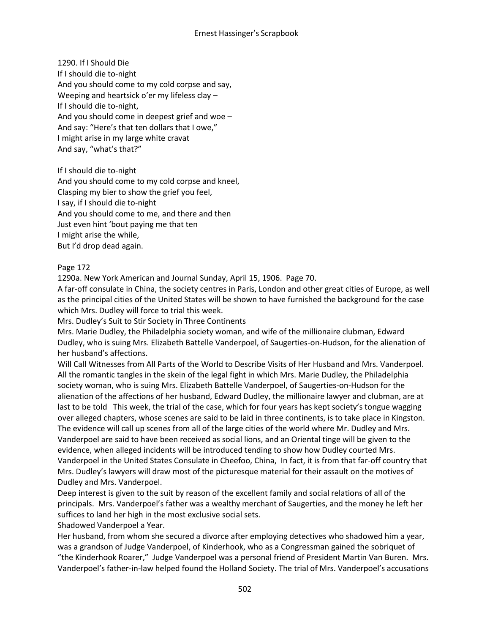1290. If I Should Die If I should die to-night And you should come to my cold corpse and say, Weeping and heartsick o'er my lifeless clay – If I should die to-night, And you should come in deepest grief and woe – And say: "Here's that ten dollars that I owe," I might arise in my large white cravat And say, "what's that?"

If I should die to-night

And you should come to my cold corpse and kneel, Clasping my bier to show the grief you feel, I say, if I should die to-night And you should come to me, and there and then Just even hint 'bout paying me that ten I might arise the while, But I'd drop dead again.

# Page 172

1290a. New York American and Journal Sunday, April 15, 1906. Page 70.

A far-off consulate in China, the society centres in Paris, London and other great cities of Europe, as well as the principal cities of the United States will be shown to have furnished the background for the case which Mrs. Dudley will force to trial this week.

Mrs. Dudley's Suit to Stir Society in Three Continents

Mrs. Marie Dudley, the Philadelphia society woman, and wife of the millionaire clubman, Edward Dudley, who is suing Mrs. Elizabeth Battelle Vanderpoel, of Saugerties-on-Hudson, for the alienation of her husband's affections.

Will Call Witnesses from All Parts of the World to Describe Visits of Her Husband and Mrs. Vanderpoel. All the romantic tangles in the skein of the legal fight in which Mrs. Marie Dudley, the Philadelphia society woman, who is suing Mrs. Elizabeth Battelle Vanderpoel, of Saugerties-on-Hudson for the alienation of the affections of her husband, Edward Dudley, the millionaire lawyer and clubman, are at last to be told This week, the trial of the case, which for four years has kept society's tongue wagging over alleged chapters, whose scenes are said to be laid in three continents, is to take place in Kingston. The evidence will call up scenes from all of the large cities of the world where Mr. Dudley and Mrs. Vanderpoel are said to have been received as social lions, and an Oriental tinge will be given to the evidence, when alleged incidents will be introduced tending to show how Dudley courted Mrs. Vanderpoel in the United States Consulate in Cheefoo, China, In fact, it is from that far-off country that Mrs. Dudley's lawyers will draw most of the picturesque material for their assault on the motives of Dudley and Mrs. Vanderpoel.

Deep interest is given to the suit by reason of the excellent family and social relations of all of the principals. Mrs. Vanderpoel's father was a wealthy merchant of Saugerties, and the money he left her suffices to land her high in the most exclusive social sets.

Shadowed Vanderpoel a Year.

Her husband, from whom she secured a divorce after employing detectives who shadowed him a year, was a grandson of Judge Vanderpoel, of Kinderhook, who as a Congressman gained the sobriquet of "the Kinderhook Roarer," Judge Vanderpoel was a personal friend of President Martin Van Buren. Mrs. Vanderpoel's father-in-law helped found the Holland Society. The trial of Mrs. Vanderpoel's accusations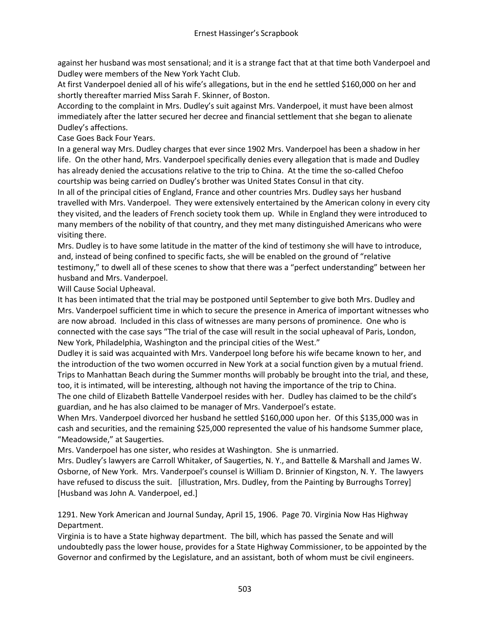against her husband was most sensational; and it is a strange fact that at that time both Vanderpoel and Dudley were members of the New York Yacht Club.

At first Vanderpoel denied all of his wife's allegations, but in the end he settled \$160,000 on her and shortly thereafter married Miss Sarah F. Skinner, of Boston.

According to the complaint in Mrs. Dudley's suit against Mrs. Vanderpoel, it must have been almost immediately after the latter secured her decree and financial settlement that she began to alienate Dudley's affections.

Case Goes Back Four Years.

In a general way Mrs. Dudley charges that ever since 1902 Mrs. Vanderpoel has been a shadow in her life. On the other hand, Mrs. Vanderpoel specifically denies every allegation that is made and Dudley has already denied the accusations relative to the trip to China. At the time the so-called Chefoo courtship was being carried on Dudley's brother was United States Consul in that city.

In all of the principal cities of England, France and other countries Mrs. Dudley says her husband travelled with Mrs. Vanderpoel. They were extensively entertained by the American colony in every city they visited, and the leaders of French society took them up. While in England they were introduced to many members of the nobility of that country, and they met many distinguished Americans who were visiting there.

Mrs. Dudley is to have some latitude in the matter of the kind of testimony she will have to introduce, and, instead of being confined to specific facts, she will be enabled on the ground of "relative testimony," to dwell all of these scenes to show that there was a "perfect understanding" between her husband and Mrs. Vanderpoel.

Will Cause Social Upheaval.

It has been intimated that the trial may be postponed until September to give both Mrs. Dudley and Mrs. Vanderpoel sufficient time in which to secure the presence in America of important witnesses who are now abroad. Included in this class of witnesses are many persons of prominence. One who is connected with the case says "The trial of the case will result in the social upheaval of Paris, London, New York, Philadelphia, Washington and the principal cities of the West."

Dudley it is said was acquainted with Mrs. Vanderpoel long before his wife became known to her, and the introduction of the two women occurred in New York at a social function given by a mutual friend. Trips to Manhattan Beach during the Summer months will probably be brought into the trial, and these, too, it is intimated, will be interesting, although not having the importance of the trip to China.

The one child of Elizabeth Battelle Vanderpoel resides with her. Dudley has claimed to be the child's guardian, and he has also claimed to be manager of Mrs. Vanderpoel's estate.

When Mrs. Vanderpoel divorced her husband he settled \$160,000 upon her. Of this \$135,000 was in cash and securities, and the remaining \$25,000 represented the value of his handsome Summer place, "Meadowside," at Saugerties.

Mrs. Vanderpoel has one sister, who resides at Washington. She is unmarried.

Mrs. Dudley's lawyers are Carroll Whitaker, of Saugerties, N. Y., and Battelle & Marshall and James W. Osborne, of New York. Mrs. Vanderpoel's counsel is William D. Brinnier of Kingston, N. Y. The lawyers have refused to discuss the suit. [illustration, Mrs. Dudley, from the Painting by Burroughs Torrey] [Husband was John A. Vanderpoel, ed.]

1291. New York American and Journal Sunday, April 15, 1906. Page 70. Virginia Now Has Highway Department.

Virginia is to have a State highway department. The bill, which has passed the Senate and will undoubtedly pass the lower house, provides for a State Highway Commissioner, to be appointed by the Governor and confirmed by the Legislature, and an assistant, both of whom must be civil engineers.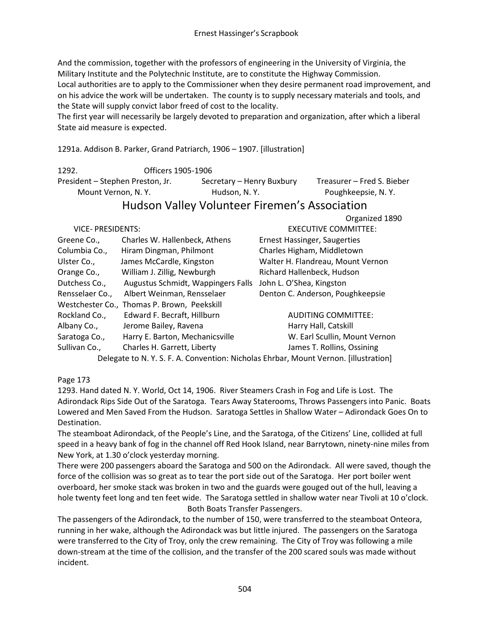And the commission, together with the professors of engineering in the University of Virginia, the Military Institute and the Polytechnic Institute, are to constitute the Highway Commission. Local authorities are to apply to the Commissioner when they desire permanent road improvement, and on his advice the work will be undertaken. The county is to supply necessary materials and tools, and the State will supply convict labor freed of cost to the locality.

The first year will necessarily be largely devoted to preparation and organization, after which a liberal State aid measure is expected.

1291a. Addison B. Parker, Grand Patriarch, 1906 – 1907. [illustration]

1292. Officers 1905-1906 President – Stephen Preston, Jr. Secretary – Henry Buxbury Treasurer – Fred S. Bieber Mount Vernon, N. Y. Hudson, N. Y. Poughkeepsie, N. Y.

# Hudson Valley Volunteer Firemen's Association

|                          |                                             | Organized 1890                                                                   |
|--------------------------|---------------------------------------------|----------------------------------------------------------------------------------|
| <b>VICE- PRESIDENTS:</b> |                                             | <b>EXECUTIVE COMMITTEE:</b>                                                      |
| Greene Co.,              | Charles W. Hallenbeck, Athens               | <b>Ernest Hassinger, Saugerties</b>                                              |
| Columbia Co.,            | Hiram Dingman, Philmont                     | Charles Higham, Middletown                                                       |
| Ulster Co.,              | James McCardle, Kingston                    | Walter H. Flandreau, Mount Vernon                                                |
| Orange Co.,              | William J. Zillig, Newburgh                 | Richard Hallenbeck, Hudson                                                       |
| Dutchess Co.,            | Augustus Schmidt, Wappingers Falls          | John L. O'Shea, Kingston                                                         |
| Rensselaer Co.,          | Albert Weinman, Rensselaer                  | Denton C. Anderson, Poughkeepsie                                                 |
|                          | Westchester Co., Thomas P. Brown, Peekskill |                                                                                  |
| Rockland Co.,            | Edward F. Becraft, Hillburn                 | <b>AUDITING COMMITTEE:</b>                                                       |
| Albany Co.,              | Jerome Bailey, Ravena                       | Harry Hall, Catskill                                                             |
| Saratoga Co.,            | Harry E. Barton, Mechanicsville             | W. Earl Scullin, Mount Vernon                                                    |
| Sullivan Co.,            | Charles H. Garrett, Liberty                 | James T. Rollins, Ossining                                                       |
|                          |                                             | Delegate to N.Y.S.F.A. Convention: Nicholas Ehrbar, Mount Vernon. [illustration] |

# Page 173

1293. Hand dated N. Y. World, Oct 14, 1906. River Steamers Crash in Fog and Life is Lost. The Adirondack Rips Side Out of the Saratoga. Tears Away Staterooms, Throws Passengers into Panic. Boats Lowered and Men Saved From the Hudson. Saratoga Settles in Shallow Water – Adirondack Goes On to Destination.

The steamboat Adirondack, of the People's Line, and the Saratoga, of the Citizens' Line, collided at full speed in a heavy bank of fog in the channel off Red Hook Island, near Barrytown, ninety-nine miles from New York, at 1.30 o'clock yesterday morning.

There were 200 passengers aboard the Saratoga and 500 on the Adirondack. All were saved, though the force of the collision was so great as to tear the port side out of the Saratoga. Her port boiler went overboard, her smoke stack was broken in two and the guards were gouged out of the hull, leaving a hole twenty feet long and ten feet wide. The Saratoga settled in shallow water near Tivoli at 10 o'clock. Both Boats Transfer Passengers.

The passengers of the Adirondack, to the number of 150, were transferred to the steamboat Onteora, running in her wake, although the Adirondack was but little injured. The passengers on the Saratoga were transferred to the City of Troy, only the crew remaining. The City of Troy was following a mile down-stream at the time of the collision, and the transfer of the 200 scared souls was made without incident.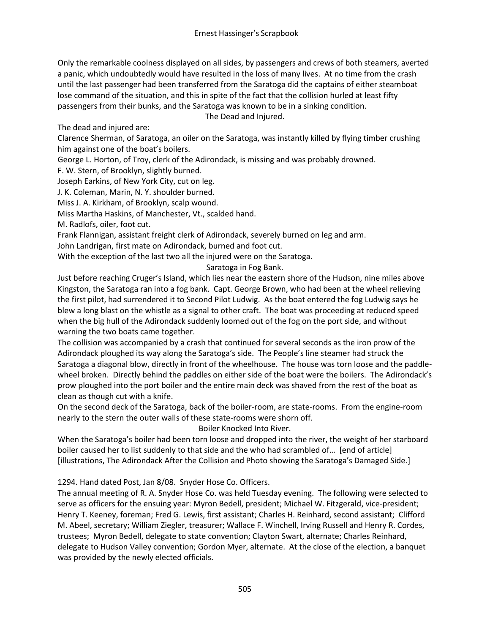Only the remarkable coolness displayed on all sides, by passengers and crews of both steamers, averted a panic, which undoubtedly would have resulted in the loss of many lives. At no time from the crash until the last passenger had been transferred from the Saratoga did the captains of either steamboat lose command of the situation, and this in spite of the fact that the collision hurled at least fifty passengers from their bunks, and the Saratoga was known to be in a sinking condition.

The Dead and Injured.

The dead and injured are:

Clarence Sherman, of Saratoga, an oiler on the Saratoga, was instantly killed by flying timber crushing him against one of the boat's boilers.

George L. Horton, of Troy, clerk of the Adirondack, is missing and was probably drowned.

F. W. Stern, of Brooklyn, slightly burned.

Joseph Earkins, of New York City, cut on leg.

J. K. Coleman, Marin, N. Y. shoulder burned.

Miss J. A. Kirkham, of Brooklyn, scalp wound.

Miss Martha Haskins, of Manchester, Vt., scalded hand.

M. Radlofs, oiler, foot cut.

Frank Flannigan, assistant freight clerk of Adirondack, severely burned on leg and arm.

John Landrigan, first mate on Adirondack, burned and foot cut.

With the exception of the last two all the injured were on the Saratoga.

## Saratoga in Fog Bank.

Just before reaching Cruger's Island, which lies near the eastern shore of the Hudson, nine miles above Kingston, the Saratoga ran into a fog bank. Capt. George Brown, who had been at the wheel relieving the first pilot, had surrendered it to Second Pilot Ludwig. As the boat entered the fog Ludwig says he blew a long blast on the whistle as a signal to other craft. The boat was proceeding at reduced speed when the big hull of the Adirondack suddenly loomed out of the fog on the port side, and without warning the two boats came together.

The collision was accompanied by a crash that continued for several seconds as the iron prow of the Adirondack ploughed its way along the Saratoga's side. The People's line steamer had struck the Saratoga a diagonal blow, directly in front of the wheelhouse. The house was torn loose and the paddlewheel broken. Directly behind the paddles on either side of the boat were the boilers. The Adirondack's prow ploughed into the port boiler and the entire main deck was shaved from the rest of the boat as clean as though cut with a knife.

On the second deck of the Saratoga, back of the boiler-room, are state-rooms. From the engine-room nearly to the stern the outer walls of these state-rooms were shorn off.

Boiler Knocked Into River.

When the Saratoga's boiler had been torn loose and dropped into the river, the weight of her starboard boiler caused her to list suddenly to that side and the who had scrambled of… [end of article] [illustrations, The Adirondack After the Collision and Photo showing the Saratoga's Damaged Side.]

1294. Hand dated Post, Jan 8/08. Snyder Hose Co. Officers.

The annual meeting of R. A. Snyder Hose Co. was held Tuesday evening. The following were selected to serve as officers for the ensuing year: Myron Bedell, president; Michael W. Fitzgerald, vice-president; Henry T. Keeney, foreman; Fred G. Lewis, first assistant; Charles H. Reinhard, second assistant; Clifford M. Abeel, secretary; William Ziegler, treasurer; Wallace F. Winchell, Irving Russell and Henry R. Cordes, trustees; Myron Bedell, delegate to state convention; Clayton Swart, alternate; Charles Reinhard, delegate to Hudson Valley convention; Gordon Myer, alternate. At the close of the election, a banquet was provided by the newly elected officials.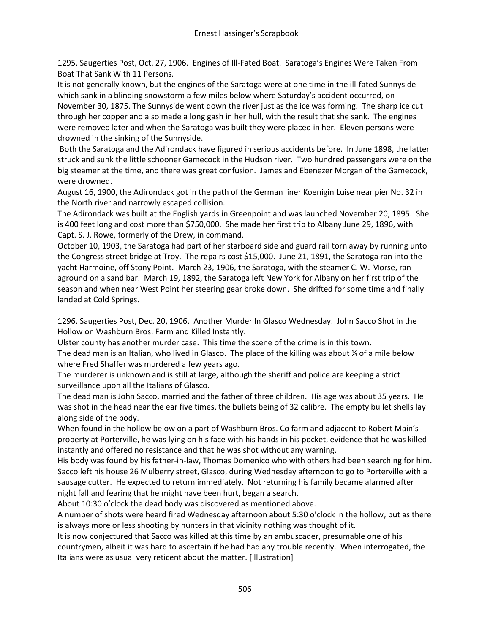1295. Saugerties Post, Oct. 27, 1906. Engines of Ill-Fated Boat. Saratoga's Engines Were Taken From Boat That Sank With 11 Persons.

It is not generally known, but the engines of the Saratoga were at one time in the ill-fated Sunnyside which sank in a blinding snowstorm a few miles below where Saturday's accident occurred, on November 30, 1875. The Sunnyside went down the river just as the ice was forming. The sharp ice cut through her copper and also made a long gash in her hull, with the result that she sank. The engines were removed later and when the Saratoga was built they were placed in her. Eleven persons were drowned in the sinking of the Sunnyside.

Both the Saratoga and the Adirondack have figured in serious accidents before. In June 1898, the latter struck and sunk the little schooner Gamecock in the Hudson river. Two hundred passengers were on the big steamer at the time, and there was great confusion. James and Ebenezer Morgan of the Gamecock, were drowned.

August 16, 1900, the Adirondack got in the path of the German liner Koenigin Luise near pier No. 32 in the North river and narrowly escaped collision.

The Adirondack was built at the English yards in Greenpoint and was launched November 20, 1895. She is 400 feet long and cost more than \$750,000. She made her first trip to Albany June 29, 1896, with Capt. S. J. Rowe, formerly of the Drew, in command.

October 10, 1903, the Saratoga had part of her starboard side and guard rail torn away by running unto the Congress street bridge at Troy. The repairs cost \$15,000. June 21, 1891, the Saratoga ran into the yacht Harmoine, off Stony Point. March 23, 1906, the Saratoga, with the steamer C. W. Morse, ran aground on a sand bar. March 19, 1892, the Saratoga left New York for Albany on her first trip of the season and when near West Point her steering gear broke down. She drifted for some time and finally landed at Cold Springs.

1296. Saugerties Post, Dec. 20, 1906. Another Murder In Glasco Wednesday. John Sacco Shot in the Hollow on Washburn Bros. Farm and Killed Instantly.

Ulster county has another murder case. This time the scene of the crime is in this town.

The dead man is an Italian, who lived in Glasco. The place of the killing was about % of a mile below where Fred Shaffer was murdered a few years ago.

The murderer is unknown and is still at large, although the sheriff and police are keeping a strict surveillance upon all the Italians of Glasco.

The dead man is John Sacco, married and the father of three children. His age was about 35 years. He was shot in the head near the ear five times, the bullets being of 32 calibre. The empty bullet shells lay along side of the body.

When found in the hollow below on a part of Washburn Bros. Co farm and adjacent to Robert Main's property at Porterville, he was lying on his face with his hands in his pocket, evidence that he was killed instantly and offered no resistance and that he was shot without any warning.

His body was found by his father-in-law, Thomas Domenico who with others had been searching for him. Sacco left his house 26 Mulberry street, Glasco, during Wednesday afternoon to go to Porterville with a sausage cutter. He expected to return immediately. Not returning his family became alarmed after night fall and fearing that he might have been hurt, began a search.

About 10:30 o'clock the dead body was discovered as mentioned above.

A number of shots were heard fired Wednesday afternoon about 5:30 o'clock in the hollow, but as there is always more or less shooting by hunters in that vicinity nothing was thought of it.

It is now conjectured that Sacco was killed at this time by an ambuscader, presumable one of his countrymen, albeit it was hard to ascertain if he had had any trouble recently. When interrogated, the Italians were as usual very reticent about the matter. [illustration]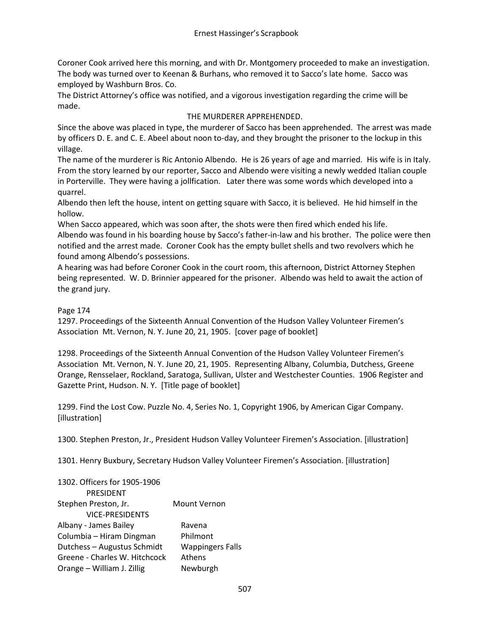Coroner Cook arrived here this morning, and with Dr. Montgomery proceeded to make an investigation. The body was turned over to Keenan & Burhans, who removed it to Sacco's late home. Sacco was employed by Washburn Bros. Co.

The District Attorney's office was notified, and a vigorous investigation regarding the crime will be made.

# THE MURDERER APPREHENDED.

Since the above was placed in type, the murderer of Sacco has been apprehended. The arrest was made by officers D. E. and C. E. Abeel about noon to-day, and they brought the prisoner to the lockup in this village.

The name of the murderer is Ric Antonio Albendo. He is 26 years of age and married. His wife is in Italy. From the story learned by our reporter, Sacco and Albendo were visiting a newly wedded Italian couple in Porterville. They were having a jollfication. Later there was some words which developed into a quarrel.

Albendo then left the house, intent on getting square with Sacco, it is believed. He hid himself in the hollow.

When Sacco appeared, which was soon after, the shots were then fired which ended his life. Albendo was found in his boarding house by Sacco's father-in-law and his brother. The police were then notified and the arrest made. Coroner Cook has the empty bullet shells and two revolvers which he found among Albendo's possessions.

A hearing was had before Coroner Cook in the court room, this afternoon, District Attorney Stephen being represented. W. D. Brinnier appeared for the prisoner. Albendo was held to await the action of the grand jury.

## Page 174

1297. Proceedings of the Sixteenth Annual Convention of the Hudson Valley Volunteer Firemen's Association Mt. Vernon, N. Y. June 20, 21, 1905. [cover page of booklet]

1298. Proceedings of the Sixteenth Annual Convention of the Hudson Valley Volunteer Firemen's Association Mt. Vernon, N. Y. June 20, 21, 1905. Representing Albany, Columbia, Dutchess, Greene Orange, Rensselaer, Rockland, Saratoga, Sullivan, Ulster and Westchester Counties. 1906 Register and Gazette Print, Hudson. N. Y. [Title page of booklet]

1299. Find the Lost Cow. Puzzle No. 4, Series No. 1, Copyright 1906, by American Cigar Company. [illustration]

1300. Stephen Preston, Jr., President Hudson Valley Volunteer Firemen's Association. [illustration]

1301. Henry Buxbury, Secretary Hudson Valley Volunteer Firemen's Association. [illustration]

| 1302. Officers for 1905-1906  |                         |
|-------------------------------|-------------------------|
| PRESIDENT                     |                         |
| Stephen Preston, Jr.          | <b>Mount Vernon</b>     |
| <b>VICE-PRESIDENTS</b>        |                         |
| Albany - James Bailey         | Ravena                  |
| Columbia - Hiram Dingman      | Philmont                |
| Dutchess - Augustus Schmidt   | <b>Wappingers Falls</b> |
| Greene - Charles W. Hitchcock | Athens                  |
| Orange - William J. Zillig    | Newburgh                |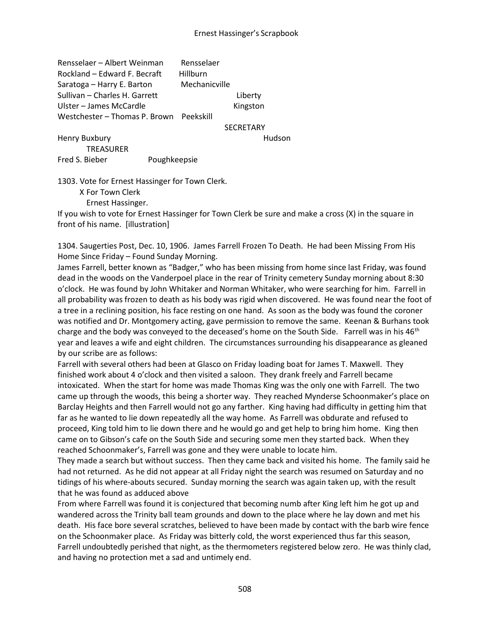Rensselaer – Albert Weinman Rensselaer Rockland – Edward F. Becraft Hillburn Saratoga – Harry E. Barton Mechanicville Sullivan – Charles H. Garrett Liberty Ulster – James McCardle Kingston Westchester – Thomas P. Brown Peekskill

#### **SECRETARY**

Henry Buxbury **Human** Hudson **TREASURER** Fred S. Bieber Poughkeepsie

1303. Vote for Ernest Hassinger for Town Clerk.

X For Town Clerk

Ernest Hassinger.

If you wish to vote for Ernest Hassinger for Town Clerk be sure and make a cross (X) in the square in front of his name. [illustration]

1304. Saugerties Post, Dec. 10, 1906. James Farrell Frozen To Death. He had been Missing From His Home Since Friday – Found Sunday Morning.

James Farrell, better known as "Badger," who has been missing from home since last Friday, was found dead in the woods on the Vanderpoel place in the rear of Trinity cemetery Sunday morning about 8:30 o'clock. He was found by John Whitaker and Norman Whitaker, who were searching for him. Farrell in all probability was frozen to death as his body was rigid when discovered. He was found near the foot of a tree in a reclining position, his face resting on one hand. As soon as the body was found the coroner was notified and Dr. Montgomery acting, gave permission to remove the same. Keenan & Burhans took charge and the body was conveyed to the deceased's home on the South Side. Farrell was in his 46<sup>th</sup> year and leaves a wife and eight children. The circumstances surrounding his disappearance as gleaned by our scribe are as follows:

Farrell with several others had been at Glasco on Friday loading boat for James T. Maxwell. They finished work about 4 o'clock and then visited a saloon. They drank freely and Farrell became intoxicated. When the start for home was made Thomas King was the only one with Farrell. The two came up through the woods, this being a shorter way. They reached Mynderse Schoonmaker's place on Barclay Heights and then Farrell would not go any farther. King having had difficulty in getting him that far as he wanted to lie down repeatedly all the way home. As Farrell was obdurate and refused to proceed, King told him to lie down there and he would go and get help to bring him home. King then came on to Gibson's cafe on the South Side and securing some men they started back. When they reached Schoonmaker's, Farrell was gone and they were unable to locate him.

They made a search but without success. Then they came back and visited his home. The family said he had not returned. As he did not appear at all Friday night the search was resumed on Saturday and no tidings of his where-abouts secured. Sunday morning the search was again taken up, with the result that he was found as adduced above

From where Farrell was found it is conjectured that becoming numb after King left him he got up and wandered across the Trinity ball team grounds and down to the place where he lay down and met his death. His face bore several scratches, believed to have been made by contact with the barb wire fence on the Schoonmaker place. As Friday was bitterly cold, the worst experienced thus far this season, Farrell undoubtedly perished that night, as the thermometers registered below zero. He was thinly clad, and having no protection met a sad and untimely end.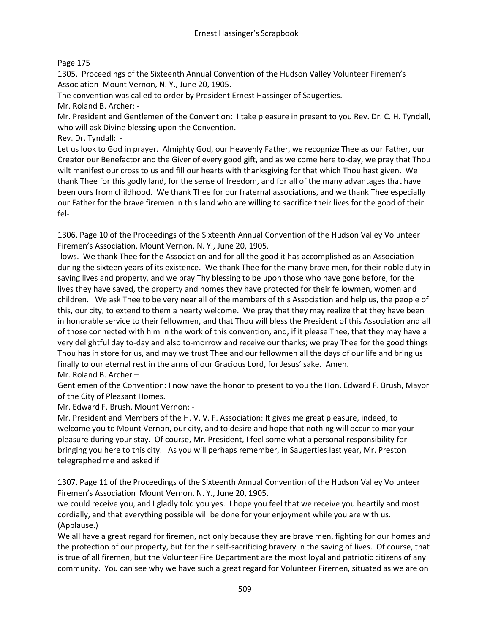# Page 175

1305. Proceedings of the Sixteenth Annual Convention of the Hudson Valley Volunteer Firemen's Association Mount Vernon, N. Y., June 20, 1905.

The convention was called to order by President Ernest Hassinger of Saugerties.

Mr. Roland B. Archer: -

Mr. President and Gentlemen of the Convention: I take pleasure in present to you Rev. Dr. C. H. Tyndall, who will ask Divine blessing upon the Convention.

Rev. Dr. Tyndall: -

Let us look to God in prayer. Almighty God, our Heavenly Father, we recognize Thee as our Father, our Creator our Benefactor and the Giver of every good gift, and as we come here to-day, we pray that Thou wilt manifest our cross to us and fill our hearts with thanksgiving for that which Thou hast given. We thank Thee for this godly land, for the sense of freedom, and for all of the many advantages that have been ours from childhood. We thank Thee for our fraternal associations, and we thank Thee especially our Father for the brave firemen in this land who are willing to sacrifice their lives for the good of their fel-

1306. Page 10 of the Proceedings of the Sixteenth Annual Convention of the Hudson Valley Volunteer Firemen's Association, Mount Vernon, N. Y., June 20, 1905.

-lows. We thank Thee for the Association and for all the good it has accomplished as an Association during the sixteen years of its existence. We thank Thee for the many brave men, for their noble duty in saving lives and property, and we pray Thy blessing to be upon those who have gone before, for the lives they have saved, the property and homes they have protected for their fellowmen, women and children. We ask Thee to be very near all of the members of this Association and help us, the people of this, our city, to extend to them a hearty welcome. We pray that they may realize that they have been in honorable service to their fellowmen, and that Thou will bless the President of this Association and all of those connected with him in the work of this convention, and, if it please Thee, that they may have a very delightful day to-day and also to-morrow and receive our thanks; we pray Thee for the good things Thou has in store for us, and may we trust Thee and our fellowmen all the days of our life and bring us finally to our eternal rest in the arms of our Gracious Lord, for Jesus' sake. Amen.

Mr. Roland B. Archer –

Gentlemen of the Convention: I now have the honor to present to you the Hon. Edward F. Brush, Mayor of the City of Pleasant Homes.

Mr. Edward F. Brush, Mount Vernon: -

Mr. President and Members of the H. V. V. F. Association: It gives me great pleasure, indeed, to welcome you to Mount Vernon, our city, and to desire and hope that nothing will occur to mar your pleasure during your stay. Of course, Mr. President, I feel some what a personal responsibility for bringing you here to this city. As you will perhaps remember, in Saugerties last year, Mr. Preston telegraphed me and asked if

1307. Page 11 of the Proceedings of the Sixteenth Annual Convention of the Hudson Valley Volunteer Firemen's Association Mount Vernon, N. Y., June 20, 1905.

we could receive you, and I gladly told you yes. I hope you feel that we receive you heartily and most cordially, and that everything possible will be done for your enjoyment while you are with us. (Applause.)

We all have a great regard for firemen, not only because they are brave men, fighting for our homes and the protection of our property, but for their self-sacrificing bravery in the saving of lives. Of course, that is true of all firemen, but the Volunteer Fire Department are the most loyal and patriotic citizens of any community. You can see why we have such a great regard for Volunteer Firemen, situated as we are on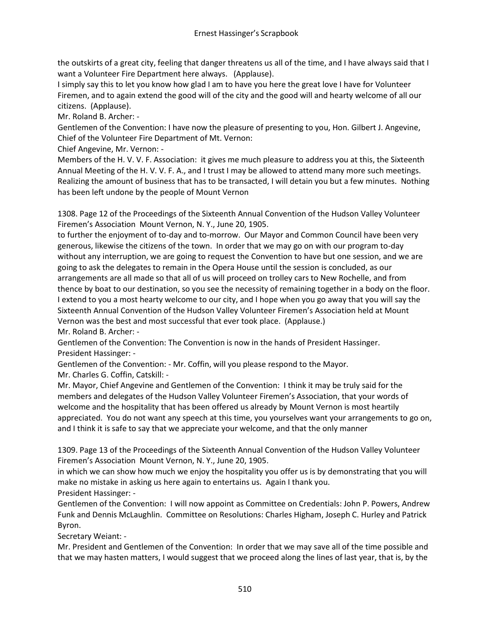the outskirts of a great city, feeling that danger threatens us all of the time, and I have always said that I want a Volunteer Fire Department here always. (Applause).

I simply say this to let you know how glad I am to have you here the great love I have for Volunteer Firemen, and to again extend the good will of the city and the good will and hearty welcome of all our citizens. (Applause).

Mr. Roland B. Archer: -

Gentlemen of the Convention: I have now the pleasure of presenting to you, Hon. Gilbert J. Angevine, Chief of the Volunteer Fire Department of Mt. Vernon:

Chief Angevine, Mr. Vernon: -

Members of the H. V. V. F. Association: it gives me much pleasure to address you at this, the Sixteenth Annual Meeting of the H. V. V. F. A., and I trust I may be allowed to attend many more such meetings. Realizing the amount of business that has to be transacted, I will detain you but a few minutes. Nothing has been left undone by the people of Mount Vernon

1308. Page 12 of the Proceedings of the Sixteenth Annual Convention of the Hudson Valley Volunteer Firemen's Association Mount Vernon, N. Y., June 20, 1905.

to further the enjoyment of to-day and to-morrow. Our Mayor and Common Council have been very generous, likewise the citizens of the town. In order that we may go on with our program to-day without any interruption, we are going to request the Convention to have but one session, and we are going to ask the delegates to remain in the Opera House until the session is concluded, as our arrangements are all made so that all of us will proceed on trolley cars to New Rochelle, and from thence by boat to our destination, so you see the necessity of remaining together in a body on the floor. I extend to you a most hearty welcome to our city, and I hope when you go away that you will say the Sixteenth Annual Convention of the Hudson Valley Volunteer Firemen's Association held at Mount Vernon was the best and most successful that ever took place. (Applause.) Mr. Roland B. Archer: -

Gentlemen of the Convention: The Convention is now in the hands of President Hassinger. President Hassinger: -

Gentlemen of the Convention: - Mr. Coffin, will you please respond to the Mayor.

Mr. Charles G. Coffin, Catskill: -

Mr. Mayor, Chief Angevine and Gentlemen of the Convention: I think it may be truly said for the members and delegates of the Hudson Valley Volunteer Firemen's Association, that your words of welcome and the hospitality that has been offered us already by Mount Vernon is most heartily appreciated. You do not want any speech at this time, you yourselves want your arrangements to go on, and I think it is safe to say that we appreciate your welcome, and that the only manner

1309. Page 13 of the Proceedings of the Sixteenth Annual Convention of the Hudson Valley Volunteer Firemen's Association Mount Vernon, N. Y., June 20, 1905.

in which we can show how much we enjoy the hospitality you offer us is by demonstrating that you will make no mistake in asking us here again to entertains us. Again I thank you. President Hassinger: -

Gentlemen of the Convention: I will now appoint as Committee on Credentials: John P. Powers, Andrew Funk and Dennis McLaughlin. Committee on Resolutions: Charles Higham, Joseph C. Hurley and Patrick Byron.

Secretary Weiant: -

Mr. President and Gentlemen of the Convention: In order that we may save all of the time possible and that we may hasten matters, I would suggest that we proceed along the lines of last year, that is, by the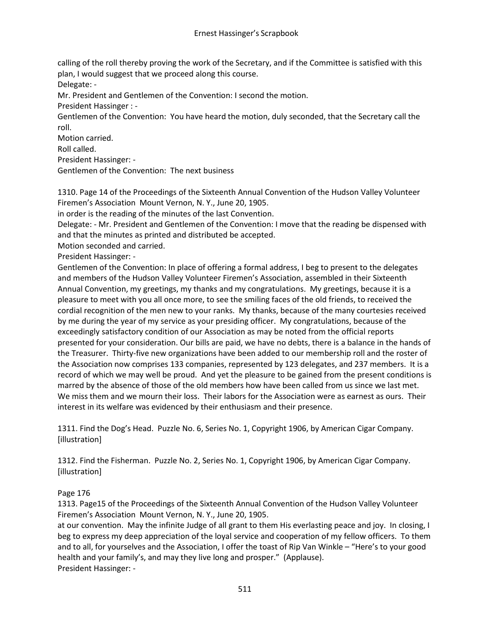calling of the roll thereby proving the work of the Secretary, and if the Committee is satisfied with this plan, I would suggest that we proceed along this course.

Delegate: -

Mr. President and Gentlemen of the Convention: I second the motion.

President Hassinger : -

Gentlemen of the Convention: You have heard the motion, duly seconded, that the Secretary call the roll.

Motion carried.

Roll called.

President Hassinger: -

Gentlemen of the Convention: The next business

1310. Page 14 of the Proceedings of the Sixteenth Annual Convention of the Hudson Valley Volunteer Firemen's Association Mount Vernon, N. Y., June 20, 1905.

in order is the reading of the minutes of the last Convention.

Delegate: - Mr. President and Gentlemen of the Convention: I move that the reading be dispensed with and that the minutes as printed and distributed be accepted.

Motion seconded and carried.

President Hassinger: -

Gentlemen of the Convention: In place of offering a formal address, I beg to present to the delegates and members of the Hudson Valley Volunteer Firemen's Association, assembled in their Sixteenth Annual Convention, my greetings, my thanks and my congratulations. My greetings, because it is a pleasure to meet with you all once more, to see the smiling faces of the old friends, to received the cordial recognition of the men new to your ranks. My thanks, because of the many courtesies received by me during the year of my service as your presiding officer. My congratulations, because of the exceedingly satisfactory condition of our Association as may be noted from the official reports presented for your consideration. Our bills are paid, we have no debts, there is a balance in the hands of the Treasurer. Thirty-five new organizations have been added to our membership roll and the roster of the Association now comprises 133 companies, represented by 123 delegates, and 237 members. It is a record of which we may well be proud. And yet the pleasure to be gained from the present conditions is marred by the absence of those of the old members how have been called from us since we last met. We miss them and we mourn their loss. Their labors for the Association were as earnest as ours. Their interest in its welfare was evidenced by their enthusiasm and their presence.

1311. Find the Dog's Head. Puzzle No. 6, Series No. 1, Copyright 1906, by American Cigar Company. [illustration]

1312. Find the Fisherman. Puzzle No. 2, Series No. 1, Copyright 1906, by American Cigar Company. [illustration]

# Page 176

1313. Page15 of the Proceedings of the Sixteenth Annual Convention of the Hudson Valley Volunteer Firemen's Association Mount Vernon, N. Y., June 20, 1905.

at our convention. May the infinite Judge of all grant to them His everlasting peace and joy. In closing, I beg to express my deep appreciation of the loyal service and cooperation of my fellow officers. To them and to all, for yourselves and the Association, I offer the toast of Rip Van Winkle – "Here's to your good health and your family's, and may they live long and prosper." (Applause). President Hassinger: -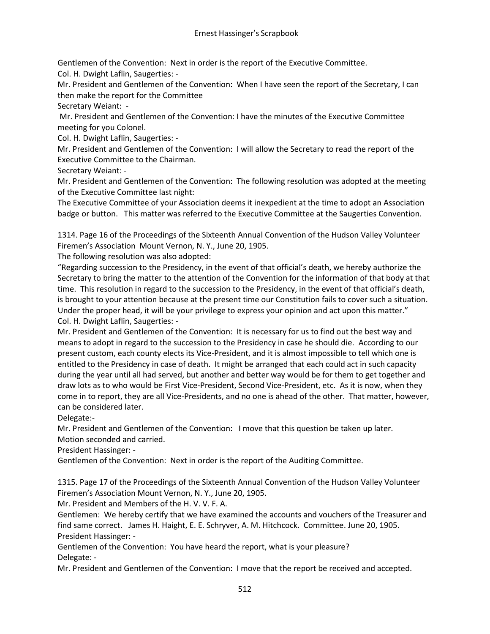Gentlemen of the Convention: Next in order is the report of the Executive Committee.

Col. H. Dwight Laflin, Saugerties: -

Mr. President and Gentlemen of the Convention: When I have seen the report of the Secretary, I can then make the report for the Committee

Secretary Weiant: -

Mr. President and Gentlemen of the Convention: I have the minutes of the Executive Committee meeting for you Colonel.

Col. H. Dwight Laflin, Saugerties: -

Mr. President and Gentlemen of the Convention: I will allow the Secretary to read the report of the Executive Committee to the Chairman.

Secretary Weiant: -

Mr. President and Gentlemen of the Convention: The following resolution was adopted at the meeting of the Executive Committee last night:

The Executive Committee of your Association deems it inexpedient at the time to adopt an Association badge or button. This matter was referred to the Executive Committee at the Saugerties Convention.

1314. Page 16 of the Proceedings of the Sixteenth Annual Convention of the Hudson Valley Volunteer Firemen's Association Mount Vernon, N. Y., June 20, 1905.

The following resolution was also adopted:

"Regarding succession to the Presidency, in the event of that official's death, we hereby authorize the Secretary to bring the matter to the attention of the Convention for the information of that body at that time. This resolution in regard to the succession to the Presidency, in the event of that official's death, is brought to your attention because at the present time our Constitution fails to cover such a situation. Under the proper head, it will be your privilege to express your opinion and act upon this matter." Col. H. Dwight Laflin, Saugerties: -

Mr. President and Gentlemen of the Convention: It is necessary for us to find out the best way and means to adopt in regard to the succession to the Presidency in case he should die. According to our present custom, each county elects its Vice-President, and it is almost impossible to tell which one is entitled to the Presidency in case of death. It might be arranged that each could act in such capacity during the year until all had served, but another and better way would be for them to get together and draw lots as to who would be First Vice-President, Second Vice-President, etc. As it is now, when they come in to report, they are all Vice-Presidents, and no one is ahead of the other. That matter, however, can be considered later.

Delegate:-

Mr. President and Gentlemen of the Convention: I move that this question be taken up later. Motion seconded and carried.

President Hassinger: -

Gentlemen of the Convention: Next in order is the report of the Auditing Committee.

1315. Page 17 of the Proceedings of the Sixteenth Annual Convention of the Hudson Valley Volunteer Firemen's Association Mount Vernon, N. Y., June 20, 1905.

Mr. President and Members of the H. V. V. F. A.

Gentlemen: We hereby certify that we have examined the accounts and vouchers of the Treasurer and find same correct. James H. Haight, E. E. Schryver, A. M. Hitchcock. Committee. June 20, 1905. President Hassinger: -

Gentlemen of the Convention: You have heard the report, what is your pleasure? Delegate: -

Mr. President and Gentlemen of the Convention: I move that the report be received and accepted.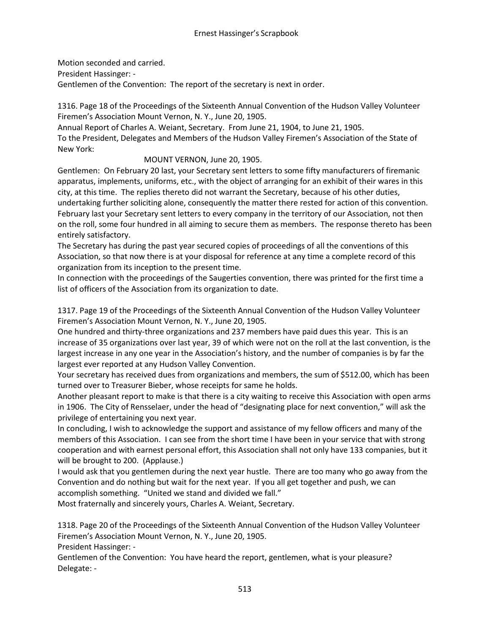Motion seconded and carried. President Hassinger: - Gentlemen of the Convention: The report of the secretary is next in order.

1316. Page 18 of the Proceedings of the Sixteenth Annual Convention of the Hudson Valley Volunteer Firemen's Association Mount Vernon, N. Y., June 20, 1905.

Annual Report of Charles A. Weiant, Secretary. From June 21, 1904, to June 21, 1905.

To the President, Delegates and Members of the Hudson Valley Firemen's Association of the State of New York:

MOUNT VERNON, June 20, 1905.

Gentlemen: On February 20 last, your Secretary sent letters to some fifty manufacturers of firemanic apparatus, implements, uniforms, etc., with the object of arranging for an exhibit of their wares in this city, at this time. The replies thereto did not warrant the Secretary, because of his other duties, undertaking further soliciting alone, consequently the matter there rested for action of this convention. February last your Secretary sent letters to every company in the territory of our Association, not then on the roll, some four hundred in all aiming to secure them as members. The response thereto has been entirely satisfactory.

The Secretary has during the past year secured copies of proceedings of all the conventions of this Association, so that now there is at your disposal for reference at any time a complete record of this organization from its inception to the present time.

In connection with the proceedings of the Saugerties convention, there was printed for the first time a list of officers of the Association from its organization to date.

1317. Page 19 of the Proceedings of the Sixteenth Annual Convention of the Hudson Valley Volunteer Firemen's Association Mount Vernon, N. Y., June 20, 1905.

One hundred and thirty-three organizations and 237 members have paid dues this year. This is an increase of 35 organizations over last year, 39 of which were not on the roll at the last convention, is the largest increase in any one year in the Association's history, and the number of companies is by far the largest ever reported at any Hudson Valley Convention.

Your secretary has received dues from organizations and members, the sum of \$512.00, which has been turned over to Treasurer Bieber, whose receipts for same he holds.

Another pleasant report to make is that there is a city waiting to receive this Association with open arms in 1906. The City of Rensselaer, under the head of "designating place for next convention," will ask the privilege of entertaining you next year.

In concluding, I wish to acknowledge the support and assistance of my fellow officers and many of the members of this Association. I can see from the short time I have been in your service that with strong cooperation and with earnest personal effort, this Association shall not only have 133 companies, but it will be brought to 200. (Applause.)

I would ask that you gentlemen during the next year hustle. There are too many who go away from the Convention and do nothing but wait for the next year. If you all get together and push, we can accomplish something. "United we stand and divided we fall."

Most fraternally and sincerely yours, Charles A. Weiant, Secretary.

1318. Page 20 of the Proceedings of the Sixteenth Annual Convention of the Hudson Valley Volunteer Firemen's Association Mount Vernon, N. Y., June 20, 1905.

President Hassinger: -

Gentlemen of the Convention: You have heard the report, gentlemen, what is your pleasure? Delegate: -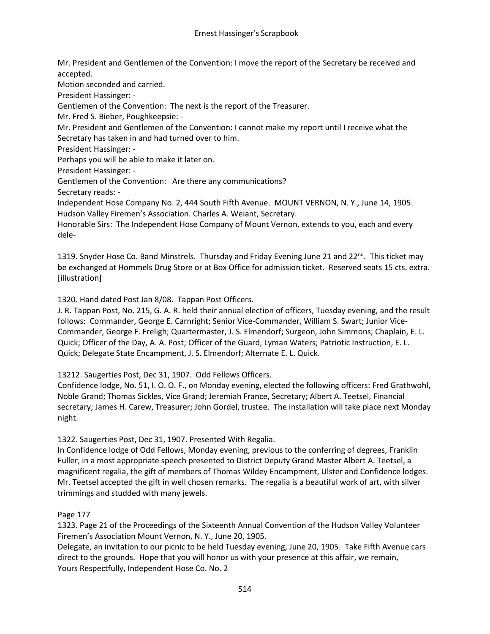Mr. President and Gentlemen of the Convention: I move the report of the Secretary be received and accepted.

Motion seconded and carried.

President Hassinger: -

Gentlemen of the Convention: The next is the report of the Treasurer.

Mr. Fred S. Bieber, Poughkeepsie: -

Mr. President and Gentlemen of the Convention: I cannot make my report until I receive what the Secretary has taken in and had turned over to him.

President Hassinger: -

Perhaps you will be able to make it later on.

President Hassinger: -

Gentlemen of the Convention: Are there any communications?

Secretary reads: -

Independent Hose Company No. 2, 444 South Fifth Avenue. MOUNT VERNON, N. Y., June 14, 1905. Hudson Valley Firemen's Association. Charles A. Weiant, Secretary.

Honorable Sirs: The Independent Hose Company of Mount Vernon, extends to you, each and every dele-

1319. Snyder Hose Co. Band Minstrels. Thursday and Friday Evening June 21 and  $22^{nd}$ . This ticket may be exchanged at Hommels Drug Store or at Box Office for admission ticket. Reserved seats 15 cts. extra. [illustration]

1320. Hand dated Post Jan 8/08. Tappan Post Officers.

J. R. Tappan Post, No. 215, G. A. R. held their annual election of officers, Tuesday evening, and the result follows: Commander, George E. Carnright; Senior Vice-Commander, William S. Swart; Junior Vice-Commander, George F. Freligh; Quartermaster, J. S. Elmendorf; Surgeon, John Simmons; Chaplain, E. L. Quick; Officer of the Day, A. A. Post; Officer of the Guard, Lyman Waters; Patriotic Instruction, E. L. Quick; Delegate State Encampment, J. S. Elmendorf; Alternate E. L. Quick.

13212. Saugerties Post, Dec 31, 1907. Odd Fellows Officers.

Confidence lodge, No. 51, I. O. O. F., on Monday evening, elected the following officers: Fred Grathwohl, Noble Grand; Thomas Sickles, Vice Grand; Jeremiah France, Secretary; Albert A. Teetsel, Financial secretary; James H. Carew, Treasurer; John Gordel, trustee. The installation will take place next Monday night.

1322. Saugerties Post, Dec 31, 1907. Presented With Regalia.

In Confidence lodge of Odd Fellows, Monday evening, previous to the conferring of degrees, Franklin Fuller, in a most appropriate speech presented to District Deputy Grand Master Albert A. Teetsel, a magnificent regalia, the gift of members of Thomas Wildey Encampment, Ulster and Confidence lodges. Mr. Teetsel accepted the gift in well chosen remarks. The regalia is a beautiful work of art, with silver trimmings and studded with many jewels.

# Page 177

1323. Page 21 of the Proceedings of the Sixteenth Annual Convention of the Hudson Valley Volunteer Firemen's Association Mount Vernon, N. Y., June 20, 1905.

Delegate, an invitation to our picnic to be held Tuesday evening, June 20, 1905. Take Fifth Avenue cars direct to the grounds. Hope that you will honor us with your presence at this affair, we remain, Yours Respectfully, Independent Hose Co. No. 2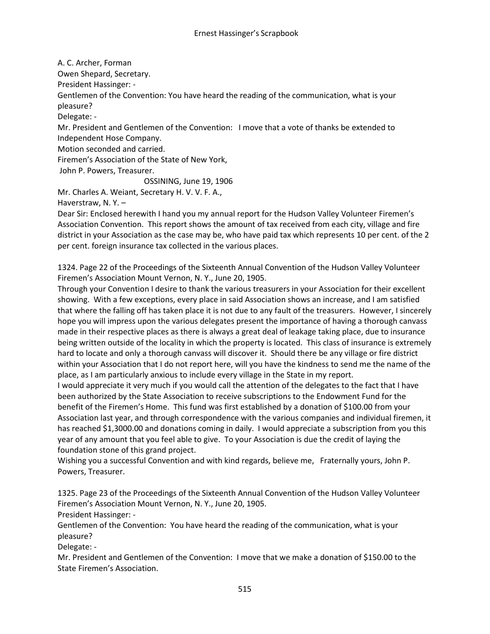A. C. Archer, Forman

Owen Shepard, Secretary.

President Hassinger: -

Gentlemen of the Convention: You have heard the reading of the communication, what is your pleasure?

Delegate: -

Mr. President and Gentlemen of the Convention: I move that a vote of thanks be extended to Independent Hose Company.

Motion seconded and carried.

Firemen's Association of the State of New York,

John P. Powers, Treasurer.

OSSINING, June 19, 1906

Mr. Charles A. Weiant, Secretary H. V. V. F. A.,

Haverstraw, N. Y. –

Dear Sir: Enclosed herewith I hand you my annual report for the Hudson Valley Volunteer Firemen's Association Convention. This report shows the amount of tax received from each city, village and fire district in your Association as the case may be, who have paid tax which represents 10 per cent. of the 2 per cent. foreign insurance tax collected in the various places.

1324. Page 22 of the Proceedings of the Sixteenth Annual Convention of the Hudson Valley Volunteer Firemen's Association Mount Vernon, N. Y., June 20, 1905.

Through your Convention I desire to thank the various treasurers in your Association for their excellent showing. With a few exceptions, every place in said Association shows an increase, and I am satisfied that where the falling off has taken place it is not due to any fault of the treasurers. However, I sincerely hope you will impress upon the various delegates present the importance of having a thorough canvass made in their respective places as there is always a great deal of leakage taking place, due to insurance being written outside of the locality in which the property is located. This class of insurance is extremely hard to locate and only a thorough canvass will discover it. Should there be any village or fire district within your Association that I do not report here, will you have the kindness to send me the name of the place, as I am particularly anxious to include every village in the State in my report.

I would appreciate it very much if you would call the attention of the delegates to the fact that I have been authorized by the State Association to receive subscriptions to the Endowment Fund for the benefit of the Firemen's Home. This fund was first established by a donation of \$100.00 from your Association last year, and through correspondence with the various companies and individual firemen, it has reached \$1,3000.00 and donations coming in daily. I would appreciate a subscription from you this year of any amount that you feel able to give. To your Association is due the credit of laying the foundation stone of this grand project.

Wishing you a successful Convention and with kind regards, believe me, Fraternally yours, John P. Powers, Treasurer.

1325. Page 23 of the Proceedings of the Sixteenth Annual Convention of the Hudson Valley Volunteer Firemen's Association Mount Vernon, N. Y., June 20, 1905.

President Hassinger: -

Gentlemen of the Convention: You have heard the reading of the communication, what is your pleasure?

Delegate: -

Mr. President and Gentlemen of the Convention: I move that we make a donation of \$150.00 to the State Firemen's Association.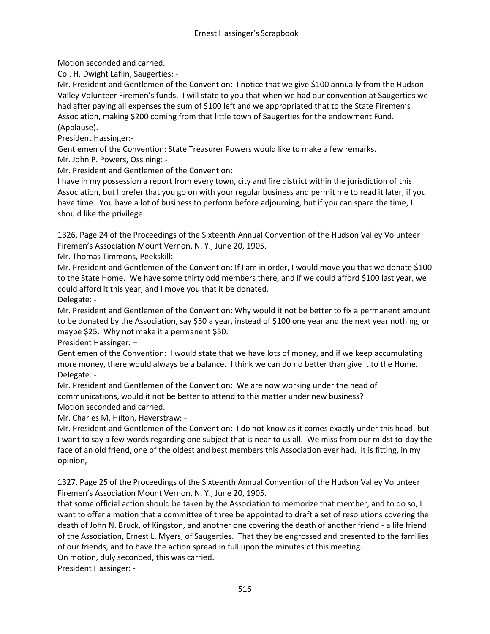Motion seconded and carried.

Col. H. Dwight Laflin, Saugerties: -

Mr. President and Gentlemen of the Convention: I notice that we give \$100 annually from the Hudson Valley Volunteer Firemen's funds. I will state to you that when we had our convention at Saugerties we had after paying all expenses the sum of \$100 left and we appropriated that to the State Firemen's Association, making \$200 coming from that little town of Saugerties for the endowment Fund. (Applause).

President Hassinger:-

Gentlemen of the Convention: State Treasurer Powers would like to make a few remarks. Mr. John P. Powers, Ossining: -

Mr. President and Gentlemen of the Convention:

I have in my possession a report from every town, city and fire district within the jurisdiction of this Association, but I prefer that you go on with your regular business and permit me to read it later, if you have time. You have a lot of business to perform before adjourning, but if you can spare the time, I should like the privilege.

1326. Page 24 of the Proceedings of the Sixteenth Annual Convention of the Hudson Valley Volunteer Firemen's Association Mount Vernon, N. Y., June 20, 1905.

Mr. Thomas Timmons, Peekskill: -

Mr. President and Gentlemen of the Convention: If I am in order, I would move you that we donate \$100 to the State Home. We have some thirty odd members there, and if we could afford \$100 last year, we could afford it this year, and I move you that it be donated.

Delegate: -

Mr. President and Gentlemen of the Convention: Why would it not be better to fix a permanent amount to be donated by the Association, say \$50 a year, instead of \$100 one year and the next year nothing, or maybe \$25. Why not make it a permanent \$50.

President Hassinger: –

Gentlemen of the Convention: I would state that we have lots of money, and if we keep accumulating more money, there would always be a balance. I think we can do no better than give it to the Home. Delegate: -

Mr. President and Gentlemen of the Convention: We are now working under the head of communications, would it not be better to attend to this matter under new business? Motion seconded and carried.

Mr. Charles M. Hilton, Haverstraw: -

Mr. President and Gentlemen of the Convention: I do not know as it comes exactly under this head, but I want to say a few words regarding one subject that is near to us all. We miss from our midst to-day the face of an old friend, one of the oldest and best members this Association ever had. It is fitting, in my opinion,

1327. Page 25 of the Proceedings of the Sixteenth Annual Convention of the Hudson Valley Volunteer Firemen's Association Mount Vernon, N. Y., June 20, 1905.

that some official action should be taken by the Association to memorize that member, and to do so, I want to offer a motion that a committee of three be appointed to draft a set of resolutions covering the death of John N. Bruck, of Kingston, and another one covering the death of another friend - a life friend of the Association, Ernest L. Myers, of Saugerties. That they be engrossed and presented to the families of our friends, and to have the action spread in full upon the minutes of this meeting.

On motion, duly seconded, this was carried.

President Hassinger: -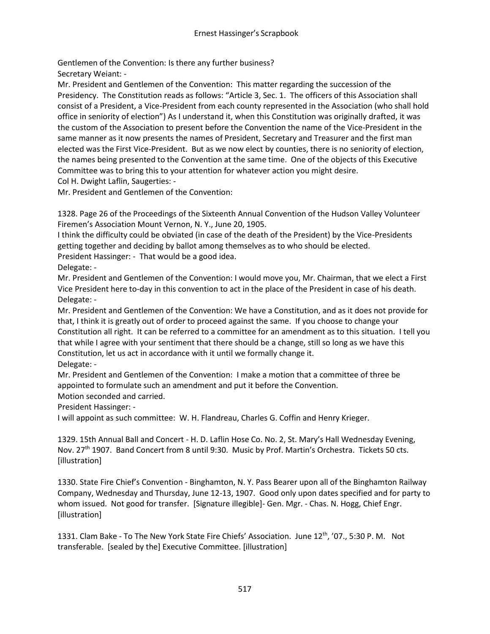Gentlemen of the Convention: Is there any further business? Secretary Weiant: -

Mr. President and Gentlemen of the Convention: This matter regarding the succession of the Presidency. The Constitution reads as follows: "Article 3, Sec. 1. The officers of this Association shall consist of a President, a Vice-President from each county represented in the Association (who shall hold office in seniority of election") As I understand it, when this Constitution was originally drafted, it was the custom of the Association to present before the Convention the name of the Vice-President in the same manner as it now presents the names of President, Secretary and Treasurer and the first man elected was the First Vice-President. But as we now elect by counties, there is no seniority of election, the names being presented to the Convention at the same time. One of the objects of this Executive Committee was to bring this to your attention for whatever action you might desire. Col H. Dwight Laflin, Saugerties: -

Mr. President and Gentlemen of the Convention:

1328. Page 26 of the Proceedings of the Sixteenth Annual Convention of the Hudson Valley Volunteer Firemen's Association Mount Vernon, N. Y., June 20, 1905.

I think the difficulty could be obviated (in case of the death of the President) by the Vice-Presidents getting together and deciding by ballot among themselves as to who should be elected. President Hassinger: - That would be a good idea.

Delegate: -

Mr. President and Gentlemen of the Convention: I would move you, Mr. Chairman, that we elect a First Vice President here to-day in this convention to act in the place of the President in case of his death. Delegate: -

Mr. President and Gentlemen of the Convention: We have a Constitution, and as it does not provide for that, I think it is greatly out of order to proceed against the same. If you choose to change your Constitution all right. It can be referred to a committee for an amendment as to this situation. I tell you that while I agree with your sentiment that there should be a change, still so long as we have this Constitution, let us act in accordance with it until we formally change it. Delegate: -

Mr. President and Gentlemen of the Convention: I make a motion that a committee of three be appointed to formulate such an amendment and put it before the Convention.

Motion seconded and carried.

President Hassinger: -

I will appoint as such committee: W. H. Flandreau, Charles G. Coffin and Henry Krieger.

1329. 15th Annual Ball and Concert - H. D. Laflin Hose Co. No. 2, St. Mary's Hall Wednesday Evening, Nov. 27<sup>th</sup> 1907. Band Concert from 8 until 9:30. Music by Prof. Martin's Orchestra. Tickets 50 cts. [illustration]

1330. State Fire Chief's Convention - Binghamton, N. Y. Pass Bearer upon all of the Binghamton Railway Company, Wednesday and Thursday, June 12-13, 1907. Good only upon dates specified and for party to whom issued. Not good for transfer. [Signature illegible]- Gen. Mgr. - Chas. N. Hogg, Chief Engr. [illustration]

1331. Clam Bake - To The New York State Fire Chiefs' Association. June 12th, '07., 5:30 P. M. Not transferable. [sealed by the] Executive Committee. [illustration]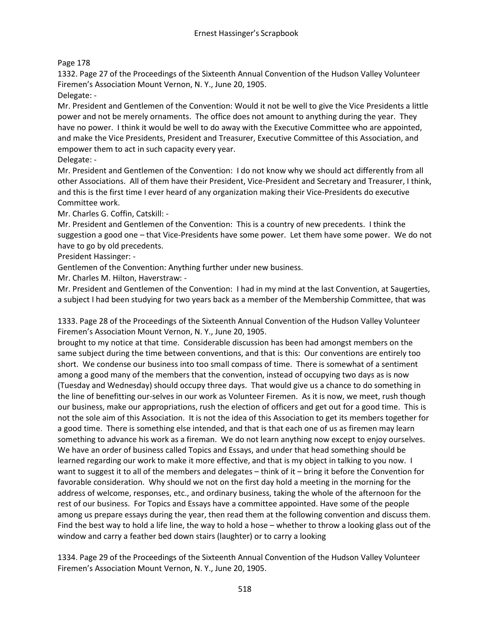# Page 178

1332. Page 27 of the Proceedings of the Sixteenth Annual Convention of the Hudson Valley Volunteer Firemen's Association Mount Vernon, N. Y., June 20, 1905.

Delegate: -

Mr. President and Gentlemen of the Convention: Would it not be well to give the Vice Presidents a little power and not be merely ornaments. The office does not amount to anything during the year. They have no power. I think it would be well to do away with the Executive Committee who are appointed, and make the Vice Presidents, President and Treasurer, Executive Committee of this Association, and empower them to act in such capacity every year.

Delegate: -

Mr. President and Gentlemen of the Convention: I do not know why we should act differently from all other Associations. All of them have their President, Vice-President and Secretary and Treasurer, I think, and this is the first time I ever heard of any organization making their Vice-Presidents do executive Committee work.

Mr. Charles G. Coffin, Catskill: -

Mr. President and Gentlemen of the Convention: This is a country of new precedents. I think the suggestion a good one – that Vice-Presidents have some power. Let them have some power. We do not have to go by old precedents.

President Hassinger: -

Gentlemen of the Convention: Anything further under new business.

Mr. Charles M. Hilton, Haverstraw: -

Mr. President and Gentlemen of the Convention: I had in my mind at the last Convention, at Saugerties, a subject I had been studying for two years back as a member of the Membership Committee, that was

1333. Page 28 of the Proceedings of the Sixteenth Annual Convention of the Hudson Valley Volunteer Firemen's Association Mount Vernon, N. Y., June 20, 1905.

brought to my notice at that time. Considerable discussion has been had amongst members on the same subject during the time between conventions, and that is this: Our conventions are entirely too short. We condense our business into too small compass of time. There is somewhat of a sentiment among a good many of the members that the convention, instead of occupying two days as is now (Tuesday and Wednesday) should occupy three days. That would give us a chance to do something in the line of benefitting our-selves in our work as Volunteer Firemen. As it is now, we meet, rush though our business, make our appropriations, rush the election of officers and get out for a good time. This is not the sole aim of this Association. It is not the idea of this Association to get its members together for a good time. There is something else intended, and that is that each one of us as firemen may learn something to advance his work as a fireman. We do not learn anything now except to enjoy ourselves. We have an order of business called Topics and Essays, and under that head something should be learned regarding our work to make it more effective, and that is my object in talking to you now. I want to suggest it to all of the members and delegates – think of it – bring it before the Convention for favorable consideration. Why should we not on the first day hold a meeting in the morning for the address of welcome, responses, etc., and ordinary business, taking the whole of the afternoon for the rest of our business. For Topics and Essays have a committee appointed. Have some of the people among us prepare essays during the year, then read them at the following convention and discuss them. Find the best way to hold a life line, the way to hold a hose – whether to throw a looking glass out of the window and carry a feather bed down stairs (laughter) or to carry a looking

1334. Page 29 of the Proceedings of the Sixteenth Annual Convention of the Hudson Valley Volunteer Firemen's Association Mount Vernon, N. Y., June 20, 1905.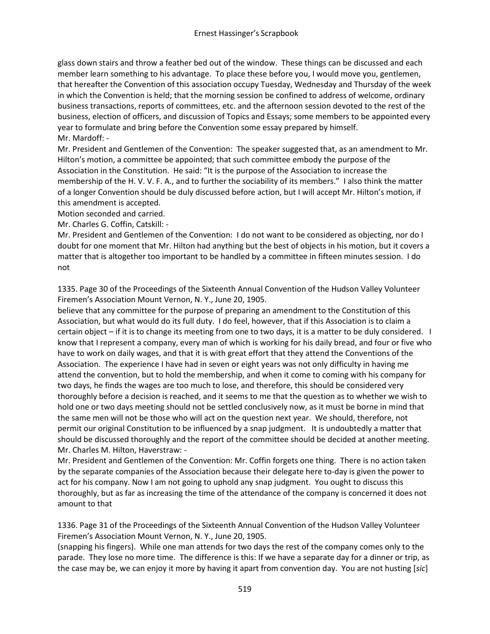glass down stairs and throw a feather bed out of the window. These things can be discussed and each member learn something to his advantage. To place these before you, I would move you, gentlemen, that hereafter the Convention of this association occupy Tuesday, Wednesday and Thursday of the week in which the Convention is held; that the morning session be confined to address of welcome, ordinary business transactions, reports of committees, etc. and the afternoon session devoted to the rest of the business, election of officers, and discussion of Topics and Essays; some members to be appointed every year to formulate and bring before the Convention some essay prepared by himself. Mr. Mardoff: -

Mr. President and Gentlemen of the Convention: The speaker suggested that, as an amendment to Mr. Hilton's motion, a committee be appointed; that such committee embody the purpose of the Association in the Constitution. He said: "It is the purpose of the Association to increase the membership of the H. V. V. F. A., and to further the sociability of its members." I also think the matter of a longer Convention should be duly discussed before action, but I will accept Mr. Hilton's motion, if this amendment is accepted.

Motion seconded and carried.

Mr. Charles G. Coffin, Catskill: -

Mr. President and Gentlemen of the Convention: I do not want to be considered as objecting, nor do I doubt for one moment that Mr. Hilton had anything but the best of objects in his motion, but it covers a matter that is altogether too important to be handled by a committee in fifteen minutes session. I do not

1335. Page 30 of the Proceedings of the Sixteenth Annual Convention of the Hudson Valley Volunteer Firemen's Association Mount Vernon, N. Y., June 20, 1905.

believe that any committee for the purpose of preparing an amendment to the Constitution of this Association, but what would do its full duty. I do feel, however, that if this Association is to claim a certain object – if it is to change its meeting from one to two days, it is a matter to be duly considered. I know that I represent a company, every man of which is working for his daily bread, and four or five who have to work on daily wages, and that it is with great effort that they attend the Conventions of the Association. The experience I have had in seven or eight years was not only difficulty in having me attend the convention, but to hold the membership, and when it come to coming with his company for two days, he finds the wages are too much to lose, and therefore, this should be considered very thoroughly before a decision is reached, and it seems to me that the question as to whether we wish to hold one or two days meeting should not be settled conclusively now, as it must be borne in mind that the same men will not be those who will act on the question next year. We should, therefore, not permit our original Constitution to be influenced by a snap judgment. It is undoubtedly a matter that should be discussed thoroughly and the report of the committee should be decided at another meeting. Mr. Charles M. Hilton, Haverstraw: -

Mr. President and Gentlemen of the Convention: Mr. Coffin forgets one thing. There is no action taken by the separate companies of the Association because their delegate here to-day is given the power to act for his company. Now I am not going to uphold any snap judgment. You ought to discuss this thoroughly, but as far as increasing the time of the attendance of the company is concerned it does not amount to that

1336. Page 31 of the Proceedings of the Sixteenth Annual Convention of the Hudson Valley Volunteer Firemen's Association Mount Vernon, N. Y., June 20, 1905.

(snapping his fingers). While one man attends for two days the rest of the company comes only to the parade. They lose no more time. The difference is this: If we have a separate day for a dinner or trip, as the case may be, we can enjoy it more by having it apart from convention day. You are not husting [*sic*]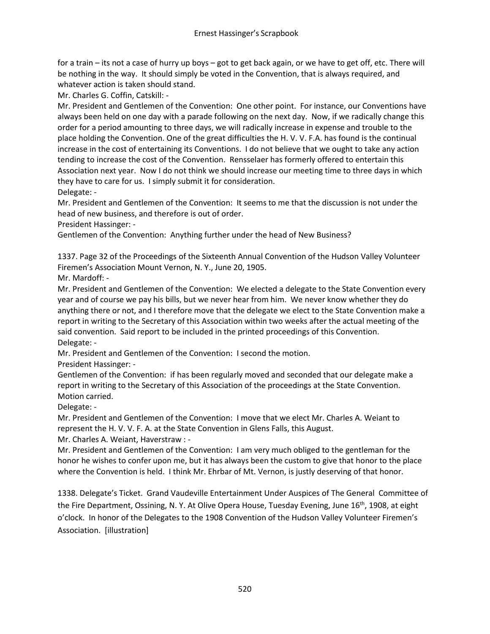for a train – its not a case of hurry up boys – got to get back again, or we have to get off, etc. There will be nothing in the way. It should simply be voted in the Convention, that is always required, and whatever action is taken should stand.

Mr. Charles G. Coffin, Catskill: -

Mr. President and Gentlemen of the Convention: One other point. For instance, our Conventions have always been held on one day with a parade following on the next day. Now, if we radically change this order for a period amounting to three days, we will radically increase in expense and trouble to the place holding the Convention. One of the great difficulties the H. V. V. F.A. has found is the continual increase in the cost of entertaining its Conventions. I do not believe that we ought to take any action tending to increase the cost of the Convention. Rensselaer has formerly offered to entertain this Association next year. Now I do not think we should increase our meeting time to three days in which they have to care for us. I simply submit it for consideration. Delegate: -

Mr. President and Gentlemen of the Convention: It seems to me that the discussion is not under the head of new business, and therefore is out of order.

President Hassinger: -

Gentlemen of the Convention: Anything further under the head of New Business?

1337. Page 32 of the Proceedings of the Sixteenth Annual Convention of the Hudson Valley Volunteer Firemen's Association Mount Vernon, N. Y., June 20, 1905.

Mr. Mardoff: -

Mr. President and Gentlemen of the Convention: We elected a delegate to the State Convention every year and of course we pay his bills, but we never hear from him. We never know whether they do anything there or not, and I therefore move that the delegate we elect to the State Convention make a report in writing to the Secretary of this Association within two weeks after the actual meeting of the said convention. Said report to be included in the printed proceedings of this Convention. Delegate: -

Mr. President and Gentlemen of the Convention: I second the motion. President Hassinger: -

Gentlemen of the Convention: if has been regularly moved and seconded that our delegate make a report in writing to the Secretary of this Association of the proceedings at the State Convention. Motion carried.

Delegate: -

Mr. President and Gentlemen of the Convention: I move that we elect Mr. Charles A. Weiant to represent the H. V. V. F. A. at the State Convention in Glens Falls, this August.

Mr. Charles A. Weiant, Haverstraw : -

Mr. President and Gentlemen of the Convention: I am very much obliged to the gentleman for the honor he wishes to confer upon me, but it has always been the custom to give that honor to the place where the Convention is held. I think Mr. Ehrbar of Mt. Vernon, is justly deserving of that honor.

1338. Delegate's Ticket. Grand Vaudeville Entertainment Under Auspices of The General Committee of the Fire Department, Ossining, N. Y. At Olive Opera House, Tuesday Evening, June 16th, 1908, at eight o'clock. In honor of the Delegates to the 1908 Convention of the Hudson Valley Volunteer Firemen's Association. [illustration]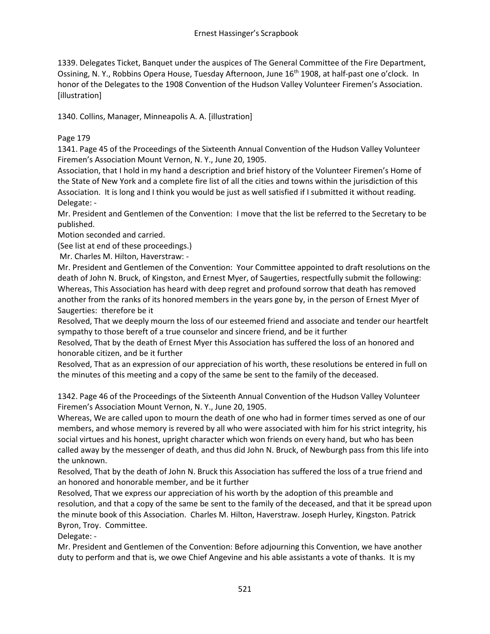1339. Delegates Ticket, Banquet under the auspices of The General Committee of the Fire Department, Ossining, N. Y., Robbins Opera House, Tuesday Afternoon, June 16<sup>th</sup> 1908, at half-past one o'clock. In honor of the Delegates to the 1908 Convention of the Hudson Valley Volunteer Firemen's Association. [illustration]

1340. Collins, Manager, Minneapolis A. A. [illustration]

# Page 179

1341. Page 45 of the Proceedings of the Sixteenth Annual Convention of the Hudson Valley Volunteer Firemen's Association Mount Vernon, N. Y., June 20, 1905.

Association, that I hold in my hand a description and brief history of the Volunteer Firemen's Home of the State of New York and a complete fire list of all the cities and towns within the jurisdiction of this Association. It is long and I think you would be just as well satisfied if I submitted it without reading. Delegate: -

Mr. President and Gentlemen of the Convention: I move that the list be referred to the Secretary to be published.

Motion seconded and carried.

(See list at end of these proceedings.)

Mr. Charles M. Hilton, Haverstraw: -

Mr. President and Gentlemen of the Convention: Your Committee appointed to draft resolutions on the death of John N. Bruck, of Kingston, and Ernest Myer, of Saugerties, respectfully submit the following: Whereas, This Association has heard with deep regret and profound sorrow that death has removed another from the ranks of its honored members in the years gone by, in the person of Ernest Myer of Saugerties: therefore be it

Resolved, That we deeply mourn the loss of our esteemed friend and associate and tender our heartfelt sympathy to those bereft of a true counselor and sincere friend, and be it further

Resolved, That by the death of Ernest Myer this Association has suffered the loss of an honored and honorable citizen, and be it further

Resolved, That as an expression of our appreciation of his worth, these resolutions be entered in full on the minutes of this meeting and a copy of the same be sent to the family of the deceased.

1342. Page 46 of the Proceedings of the Sixteenth Annual Convention of the Hudson Valley Volunteer Firemen's Association Mount Vernon, N. Y., June 20, 1905.

Whereas, We are called upon to mourn the death of one who had in former times served as one of our members, and whose memory is revered by all who were associated with him for his strict integrity, his social virtues and his honest, upright character which won friends on every hand, but who has been called away by the messenger of death, and thus did John N. Bruck, of Newburgh pass from this life into the unknown.

Resolved, That by the death of John N. Bruck this Association has suffered the loss of a true friend and an honored and honorable member, and be it further

Resolved, That we express our appreciation of his worth by the adoption of this preamble and resolution, and that a copy of the same be sent to the family of the deceased, and that it be spread upon the minute book of this Association. Charles M. Hilton, Haverstraw. Joseph Hurley, Kingston. Patrick Byron, Troy. Committee.

Delegate: -

Mr. President and Gentlemen of the Convention: Before adjourning this Convention, we have another duty to perform and that is, we owe Chief Angevine and his able assistants a vote of thanks. It is my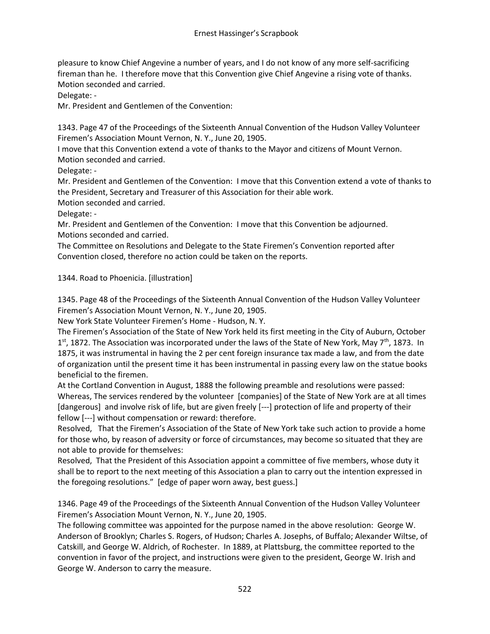pleasure to know Chief Angevine a number of years, and I do not know of any more self-sacrificing fireman than he. I therefore move that this Convention give Chief Angevine a rising vote of thanks. Motion seconded and carried.

Delegate: -

Mr. President and Gentlemen of the Convention:

1343. Page 47 of the Proceedings of the Sixteenth Annual Convention of the Hudson Valley Volunteer Firemen's Association Mount Vernon, N. Y., June 20, 1905.

I move that this Convention extend a vote of thanks to the Mayor and citizens of Mount Vernon. Motion seconded and carried.

Delegate: -

Mr. President and Gentlemen of the Convention: I move that this Convention extend a vote of thanks to the President, Secretary and Treasurer of this Association for their able work.

Motion seconded and carried.

Delegate: -

Mr. President and Gentlemen of the Convention: I move that this Convention be adjourned. Motions seconded and carried.

The Committee on Resolutions and Delegate to the State Firemen's Convention reported after Convention closed, therefore no action could be taken on the reports.

1344. Road to Phoenicia. [illustration]

1345. Page 48 of the Proceedings of the Sixteenth Annual Convention of the Hudson Valley Volunteer Firemen's Association Mount Vernon, N. Y., June 20, 1905.

New York State Volunteer Firemen's Home - Hudson, N. Y.

The Firemen's Association of the State of New York held its first meeting in the City of Auburn, October 1<sup>st</sup>, 1872. The Association was incorporated under the laws of the State of New York, May 7<sup>th</sup>, 1873. In 1875, it was instrumental in having the 2 per cent foreign insurance tax made a law, and from the date of organization until the present time it has been instrumental in passing every law on the statue books beneficial to the firemen.

At the Cortland Convention in August, 1888 the following preamble and resolutions were passed: Whereas, The services rendered by the volunteer [companies] of the State of New York are at all times [dangerous] and involve risk of life, but are given freely [---] protection of life and property of their fellow [---] without compensation or reward: therefore.

Resolved, That the Firemen's Association of the State of New York take such action to provide a home for those who, by reason of adversity or force of circumstances, may become so situated that they are not able to provide for themselves:

Resolved, That the President of this Association appoint a committee of five members, whose duty it shall be to report to the next meeting of this Association a plan to carry out the intention expressed in the foregoing resolutions." [edge of paper worn away, best guess.]

1346. Page 49 of the Proceedings of the Sixteenth Annual Convention of the Hudson Valley Volunteer Firemen's Association Mount Vernon, N. Y., June 20, 1905.

The following committee was appointed for the purpose named in the above resolution: George W. Anderson of Brooklyn; Charles S. Rogers, of Hudson; Charles A. Josephs, of Buffalo; Alexander Wiltse, of Catskill, and George W. Aldrich, of Rochester. In 1889, at Plattsburg, the committee reported to the convention in favor of the project, and instructions were given to the president, George W. Irish and George W. Anderson to carry the measure.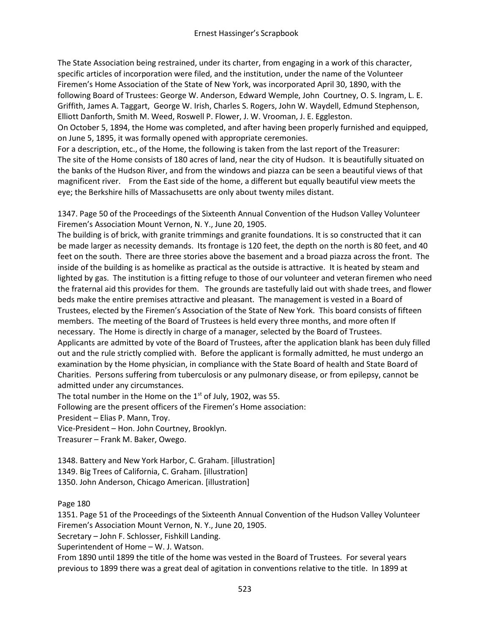The State Association being restrained, under its charter, from engaging in a work of this character, specific articles of incorporation were filed, and the institution, under the name of the Volunteer Firemen's Home Association of the State of New York, was incorporated April 30, 1890, with the following Board of Trustees: George W. Anderson, Edward Wemple, John Courtney, O. S. Ingram, L. E. Griffith, James A. Taggart, George W. Irish, Charles S. Rogers, John W. Waydell, Edmund Stephenson, Elliott Danforth, Smith M. Weed, Roswell P. Flower, J. W. Vrooman, J. E. Eggleston.

On October 5, 1894, the Home was completed, and after having been properly furnished and equipped, on June 5, 1895, it was formally opened with appropriate ceremonies.

For a description, etc., of the Home, the following is taken from the last report of the Treasurer: The site of the Home consists of 180 acres of land, near the city of Hudson. It is beautifully situated on the banks of the Hudson River, and from the windows and piazza can be seen a beautiful views of that magnificent river. From the East side of the home, a different but equally beautiful view meets the eye; the Berkshire hills of Massachusetts are only about twenty miles distant.

1347. Page 50 of the Proceedings of the Sixteenth Annual Convention of the Hudson Valley Volunteer Firemen's Association Mount Vernon, N. Y., June 20, 1905.

The building is of brick, with granite trimmings and granite foundations. It is so constructed that it can be made larger as necessity demands. Its frontage is 120 feet, the depth on the north is 80 feet, and 40 feet on the south. There are three stories above the basement and a broad piazza across the front. The inside of the building is as homelike as practical as the outside is attractive. It is heated by steam and lighted by gas. The institution is a fitting refuge to those of our volunteer and veteran firemen who need the fraternal aid this provides for them. The grounds are tastefully laid out with shade trees, and flower beds make the entire premises attractive and pleasant. The management is vested in a Board of Trustees, elected by the Firemen's Association of the State of New York. This board consists of fifteen members. The meeting of the Board of Trustees is held every three months, and more often If necessary. The Home is directly in charge of a manager, selected by the Board of Trustees. Applicants are admitted by vote of the Board of Trustees, after the application blank has been duly filled out and the rule strictly complied with. Before the applicant is formally admitted, he must undergo an examination by the Home physician, in compliance with the State Board of health and State Board of Charities. Persons suffering from tuberculosis or any pulmonary disease, or from epilepsy, cannot be admitted under any circumstances.

The total number in the Home on the  $1<sup>st</sup>$  of July, 1902, was 55.

Following are the present officers of the Firemen's Home association:

President – Elias P. Mann, Troy.

Vice-President – Hon. John Courtney, Brooklyn.

Treasurer – Frank M. Baker, Owego.

1348. Battery and New York Harbor, C. Graham. [illustration] 1349. Big Trees of California, C. Graham. [illustration]

1350. John Anderson, Chicago American. [illustration]

Page 180

1351. Page 51 of the Proceedings of the Sixteenth Annual Convention of the Hudson Valley Volunteer Firemen's Association Mount Vernon, N. Y., June 20, 1905.

Secretary – John F. Schlosser, Fishkill Landing.

Superintendent of Home – W. J. Watson.

From 1890 until 1899 the title of the home was vested in the Board of Trustees. For several years previous to 1899 there was a great deal of agitation in conventions relative to the title. In 1899 at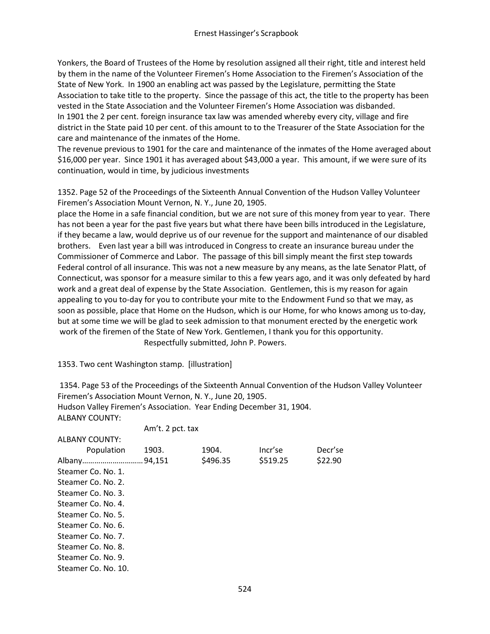Yonkers, the Board of Trustees of the Home by resolution assigned all their right, title and interest held by them in the name of the Volunteer Firemen's Home Association to the Firemen's Association of the State of New York. In 1900 an enabling act was passed by the Legislature, permitting the State Association to take title to the property. Since the passage of this act, the title to the property has been vested in the State Association and the Volunteer Firemen's Home Association was disbanded. In 1901 the 2 per cent. foreign insurance tax law was amended whereby every city, village and fire district in the State paid 10 per cent. of this amount to to the Treasurer of the State Association for the care and maintenance of the inmates of the Home.

The revenue previous to 1901 for the care and maintenance of the inmates of the Home averaged about \$16,000 per year. Since 1901 it has averaged about \$43,000 a year. This amount, if we were sure of its continuation, would in time, by judicious investments

1352. Page 52 of the Proceedings of the Sixteenth Annual Convention of the Hudson Valley Volunteer Firemen's Association Mount Vernon, N. Y., June 20, 1905.

place the Home in a safe financial condition, but we are not sure of this money from year to year. There has not been a year for the past five years but what there have been bills introduced in the Legislature, if they became a law, would deprive us of our revenue for the support and maintenance of our disabled brothers. Even last year a bill was introduced in Congress to create an insurance bureau under the Commissioner of Commerce and Labor. The passage of this bill simply meant the first step towards Federal control of all insurance. This was not a new measure by any means, as the late Senator Platt, of Connecticut, was sponsor for a measure similar to this a few years ago, and it was only defeated by hard work and a great deal of expense by the State Association. Gentlemen, this is my reason for again appealing to you to-day for you to contribute your mite to the Endowment Fund so that we may, as soon as possible, place that Home on the Hudson, which is our Home, for who knows among us to-day, but at some time we will be glad to seek admission to that monument erected by the energetic work work of the firemen of the State of New York. Gentlemen, I thank you for this opportunity. Respectfully submitted, John P. Powers.

1353. Two cent Washington stamp. [illustration]

1354. Page 53 of the Proceedings of the Sixteenth Annual Convention of the Hudson Valley Volunteer Firemen's Association Mount Vernon, N. Y., June 20, 1905. Hudson Valley Firemen's Association. Year Ending December 31, 1904. ALBANY COUNTY:

| 1903. | 1904.    | Incr'se          | Decr'se |
|-------|----------|------------------|---------|
|       | \$496.35 | \$519.25         | \$22.90 |
|       |          |                  |         |
|       |          |                  |         |
|       |          |                  |         |
|       |          |                  |         |
|       |          |                  |         |
|       |          |                  |         |
|       |          |                  |         |
|       |          |                  |         |
|       |          |                  |         |
|       |          |                  |         |
|       |          | Am't. 2 pct. tax |         |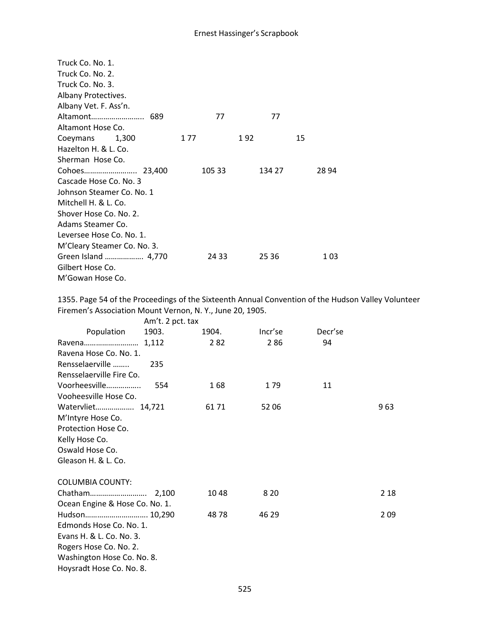| Truck Co. No. 1.            |        |        |    |       |
|-----------------------------|--------|--------|----|-------|
| Truck Co. No. 2.            |        |        |    |       |
| Truck Co. No. 3.            |        |        |    |       |
| Albany Protectives.         |        |        |    |       |
| Albany Vet. F. Ass'n.       |        |        |    |       |
| Altamont<br>689             | 77     | 77     |    |       |
| Altamont Hose Co.           |        |        |    |       |
| Coeymans 1,300              | 1 77   | 192    | 15 |       |
| Hazelton H. & L. Co.        |        |        |    |       |
| Sherman Hose Co.            |        |        |    |       |
|                             | 105 33 | 134 27 |    | 28 94 |
| Cascade Hose Co. No. 3      |        |        |    |       |
| Johnson Steamer Co. No. 1   |        |        |    |       |
| Mitchell H. & L. Co.        |        |        |    |       |
| Shover Hose Co. No. 2.      |        |        |    |       |
| Adams Steamer Co.           |        |        |    |       |
| Leversee Hose Co. No. 1.    |        |        |    |       |
| M'Cleary Steamer Co. No. 3. |        |        |    |       |
| Green Island  4,770         | 24 33  | 25 36  |    | 103   |
| Gilbert Hose Co.            |        |        |    |       |
| M'Gowan Hose Co.            |        |        |    |       |

1355. Page 54 of the Proceedings of the Sixteenth Annual Convention of the Hudson Valley Volunteer Firemen's Association Mount Vernon, N. Y., June 20, 1905.

|                                | Am't. 2 pct. tax |       |         |         |       |
|--------------------------------|------------------|-------|---------|---------|-------|
| Population                     | 1903.            | 1904. | Incr'se | Decr'se |       |
| Ravena 1,112                   |                  | 282   | 286     | 94      |       |
| Ravena Hose Co. No. 1.         |                  |       |         |         |       |
| Rensselaerville                | 235              |       |         |         |       |
| Rensselaerville Fire Co.       |                  |       |         |         |       |
| Voorheesville                  | 554              | 168   | 179     | 11      |       |
| Vooheesville Hose Co.          |                  |       |         |         |       |
| Watervliet 14,721              |                  | 61 71 | 5206    |         | 963   |
| M'Intyre Hose Co.              |                  |       |         |         |       |
| Protection Hose Co.            |                  |       |         |         |       |
| Kelly Hose Co.                 |                  |       |         |         |       |
| Oswald Hose Co.                |                  |       |         |         |       |
| Gleason H. & L. Co.            |                  |       |         |         |       |
| <b>COLUMBIA COUNTY:</b>        |                  |       |         |         |       |
|                                |                  | 1048  | 8 2 0   |         | 2 1 8 |
| Ocean Engine & Hose Co. No. 1. |                  |       |         |         |       |
| Hudson 10,290                  |                  | 4878  | 46 29   |         | 209   |
| Edmonds Hose Co. No. 1.        |                  |       |         |         |       |
| Evans H. & L. Co. No. 3.       |                  |       |         |         |       |
| Rogers Hose Co. No. 2.         |                  |       |         |         |       |
| Washington Hose Co. No. 8.     |                  |       |         |         |       |
| Hoysradt Hose Co. No. 8.       |                  |       |         |         |       |
|                                |                  |       |         |         |       |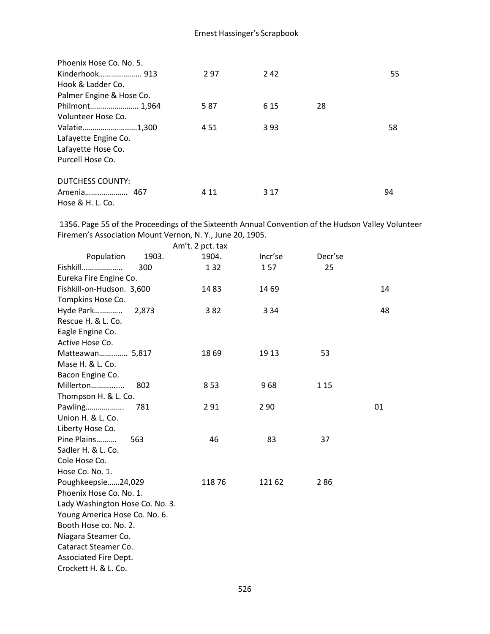| Phoenix Hose Co. No. 5.  |       |       |    |    |
|--------------------------|-------|-------|----|----|
|                          | 297   | 242   |    | 55 |
| Hook & Ladder Co.        |       |       |    |    |
| Palmer Engine & Hose Co. |       |       |    |    |
| Philmont 1,964           | 587   | 6 1 5 | 28 |    |
| Volunteer Hose Co.       |       |       |    |    |
| Valatie1,300             | 4 5 1 | 393   |    | 58 |
| Lafayette Engine Co.     |       |       |    |    |
| Lafayette Hose Co.       |       |       |    |    |
| Purcell Hose Co.         |       |       |    |    |
| <b>DUTCHESS COUNTY:</b>  |       |       |    |    |
|                          | 4 1 1 | 3 1 7 |    | 94 |
| Hose & H. L. Co.         |       |       |    |    |

1356. Page 55 of the Proceedings of the Sixteenth Annual Convention of the Hudson Valley Volunteer Firemen's Association Mount Vernon, N. Y., June 20, 1905.

|                                 |       | Am't. 2 pct. tax |         |         |    |
|---------------------------------|-------|------------------|---------|---------|----|
| Population                      | 1903. | 1904.            | Incr'se | Decr'se |    |
| Fishkill                        | 300   | 132              | 157     | 25      |    |
| Eureka Fire Engine Co.          |       |                  |         |         |    |
| Fishkill-on-Hudson. 3,600       |       | 1483             | 14 69   |         | 14 |
| Tompkins Hose Co.               |       |                  |         |         |    |
| Hyde Park                       | 2,873 | 382              | 3 3 4   |         | 48 |
| Rescue H. & L. Co.              |       |                  |         |         |    |
| Eagle Engine Co.                |       |                  |         |         |    |
| Active Hose Co.                 |       |                  |         |         |    |
| Matteawan 5,817                 |       | 1869             | 19 13   | 53      |    |
| Mase H. & L. Co.                |       |                  |         |         |    |
| Bacon Engine Co.                |       |                  |         |         |    |
| Millerton                       | 802   | 853              | 968     | 1 1 5   |    |
| Thompson H. & L. Co.            |       |                  |         |         |    |
| Pawling                         | 781   | 291              | 2 9 0   |         | 01 |
| Union H. & L. Co.               |       |                  |         |         |    |
| Liberty Hose Co.                |       |                  |         |         |    |
| Pine Plains                     | 563   | 46               | 83      | 37      |    |
| Sadler H. & L. Co.              |       |                  |         |         |    |
| Cole Hose Co.                   |       |                  |         |         |    |
| Hose Co. No. 1.                 |       |                  |         |         |    |
| Poughkeepsie24,029              |       | 11876            | 121 62  | 286     |    |
| Phoenix Hose Co. No. 1.         |       |                  |         |         |    |
| Lady Washington Hose Co. No. 3. |       |                  |         |         |    |
| Young America Hose Co. No. 6.   |       |                  |         |         |    |
| Booth Hose co. No. 2.           |       |                  |         |         |    |
| Niagara Steamer Co.             |       |                  |         |         |    |
| Cataract Steamer Co.            |       |                  |         |         |    |
| Associated Fire Dept.           |       |                  |         |         |    |
| Crockett H. & L. Co.            |       |                  |         |         |    |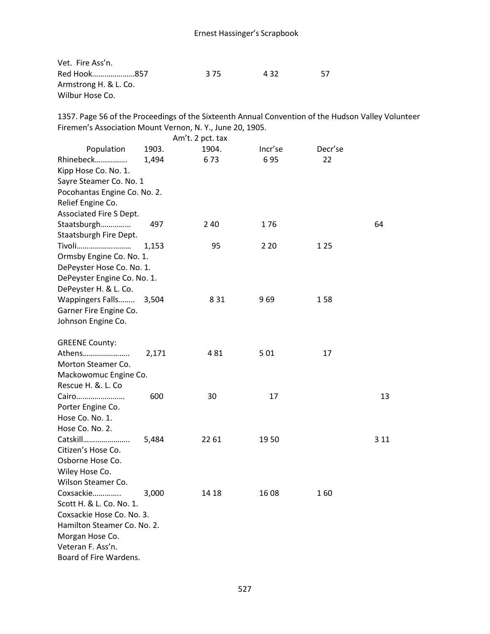Vet. Fire Ass'n. Red Hook.........................857 **375** 432 57 Armstrong H. & L. Co. Wilbur Hose Co.

1357. Page 56 of the Proceedings of the Sixteenth Annual Convention of the Hudson Valley Volunteer Firemen's Association Mount Vernon, N. Y., June 20, 1905.

|                              |       | Am't. 2 pct. tax |         |         |       |
|------------------------------|-------|------------------|---------|---------|-------|
| Population                   | 1903. | 1904.            | Incr'se | Decr'se |       |
| Rhinebeck                    | 1,494 | 673              | 695     | 22      |       |
| Kipp Hose Co. No. 1.         |       |                  |         |         |       |
| Sayre Steamer Co. No. 1      |       |                  |         |         |       |
| Pocohantas Engine Co. No. 2. |       |                  |         |         |       |
| Relief Engine Co.            |       |                  |         |         |       |
| Associated Fire S Dept.      |       |                  |         |         |       |
| Staatsburgh                  | 497   | 240              | 176     |         | 64    |
| Staatsburgh Fire Dept.       |       |                  |         |         |       |
| Tivoli                       | 1,153 | 95               | 2 2 0   | 1 2 5   |       |
| Ormsby Engine Co. No. 1.     |       |                  |         |         |       |
| DePeyster Hose Co. No. 1.    |       |                  |         |         |       |
| DePeyster Engine Co. No. 1.  |       |                  |         |         |       |
| DePeyster H. & L. Co.        |       |                  |         |         |       |
| Wappingers Falls             | 3,504 | 8 3 1            | 969     | 158     |       |
| Garner Fire Engine Co.       |       |                  |         |         |       |
| Johnson Engine Co.           |       |                  |         |         |       |
|                              |       |                  |         |         |       |
| <b>GREENE County:</b>        |       |                  |         |         |       |
| Athens                       | 2,171 | 481              | 501     | 17      |       |
| Morton Steamer Co.           |       |                  |         |         |       |
| Mackowomuc Engine Co.        |       |                  |         |         |       |
| Rescue H. &. L. Co           |       |                  |         |         |       |
| Cairo                        | 600   | 30               | 17      |         | 13    |
| Porter Engine Co.            |       |                  |         |         |       |
| Hose Co. No. 1.              |       |                  |         |         |       |
| Hose Co. No. 2.              |       |                  |         |         |       |
| Catskill                     | 5,484 | 22 61            | 1950    |         | 3 1 1 |
| Citizen's Hose Co.           |       |                  |         |         |       |
| Osborne Hose Co.             |       |                  |         |         |       |
| Wiley Hose Co.               |       |                  |         |         |       |
| Wilson Steamer Co.           |       |                  |         |         |       |
| Coxsackie                    | 3,000 | 14 18            | 1608    | 160     |       |
| Scott H. & L. Co. No. 1.     |       |                  |         |         |       |
| Coxsackie Hose Co. No. 3.    |       |                  |         |         |       |
| Hamilton Steamer Co. No. 2.  |       |                  |         |         |       |
| Morgan Hose Co.              |       |                  |         |         |       |
| Veteran F. Ass'n.            |       |                  |         |         |       |
| Board of Fire Wardens.       |       |                  |         |         |       |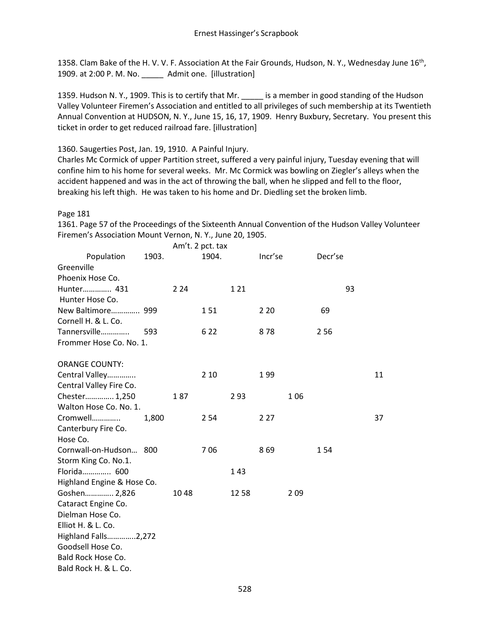1358. Clam Bake of the H. V. V. F. Association At the Fair Grounds, Hudson, N. Y., Wednesday June 16<sup>th</sup>, 1909. at 2:00 P. M. No. \_\_\_\_\_ Admit one. [illustration]

1359. Hudson N. Y., 1909. This is to certify that Mr. \_\_\_\_\_ is a member in good standing of the Hudson Valley Volunteer Firemen's Association and entitled to all privileges of such membership at its Twentieth Annual Convention at HUDSON, N. Y., June 15, 16, 17, 1909. Henry Buxbury, Secretary. You present this ticket in order to get reduced railroad fare. [illustration]

1360. Saugerties Post, Jan. 19, 1910. A Painful Injury.

Charles Mc Cormick of upper Partition street, suffered a very painful injury, Tuesday evening that will confine him to his home for several weeks. Mr. Mc Cormick was bowling on Ziegler's alleys when the accident happened and was in the act of throwing the ball, when he slipped and fell to the floor, breaking his left thigh. He was taken to his home and Dr. Diedling set the broken limb.

Page 181

1361. Page 57 of the Proceedings of the Sixteenth Annual Convention of the Hudson Valley Volunteer Firemen's Association Mount Vernon, N. Y., June 20, 1905.

|                                                                                                                                                                                                        |       |       | Am't. 2 pct. tax |       |         |     |         |    |    |
|--------------------------------------------------------------------------------------------------------------------------------------------------------------------------------------------------------|-------|-------|------------------|-------|---------|-----|---------|----|----|
| Population<br>Greenville                                                                                                                                                                               | 1903. |       | 1904.            |       | Incr'se |     | Decr'se |    |    |
| Phoenix Hose Co.                                                                                                                                                                                       |       |       |                  |       |         |     |         |    |    |
| Hunter 431<br>Hunter Hose Co.                                                                                                                                                                          |       | 2 2 4 |                  | 1 2 1 |         |     |         | 93 |    |
| New Baltimore 999<br>Cornell H. & L. Co.                                                                                                                                                               |       |       | 151              |       | 2 2 0   |     | 69      |    |    |
| Tannersville<br>Frommer Hose Co. No. 1.                                                                                                                                                                | 593   |       | 6 2 2            |       | 878     |     | 2 5 6   |    |    |
| <b>ORANGE COUNTY:</b>                                                                                                                                                                                  |       |       | 2 1 0            |       | 199     |     |         |    | 11 |
| Central Valley<br>Central Valley Fire Co.                                                                                                                                                              |       |       |                  |       |         |     |         |    |    |
| Chester 1,250<br>Walton Hose Co. No. 1.                                                                                                                                                                |       | 187   |                  | 293   |         | 106 |         |    |    |
| Cromwell<br>Canterbury Fire Co.<br>Hose Co.                                                                                                                                                            | 1,800 |       | 2 5 4            |       | 2 2 7   |     |         |    | 37 |
| Cornwall-on-Hudson 800<br>Storm King Co. No.1.                                                                                                                                                         |       |       | 706              |       | 869     |     | 154     |    |    |
| Florida 600                                                                                                                                                                                            |       |       |                  | 143   |         |     |         |    |    |
| Highland Engine & Hose Co.<br>Goshen 2,826<br>Cataract Engine Co.<br>Dielman Hose Co.<br>Elliot H. & L. Co.<br>Highland Falls2,272<br>Goodsell Hose Co.<br>Bald Rock Hose Co.<br>Bald Rock H. & L. Co. |       | 1048  |                  | 12 58 |         | 209 |         |    |    |

528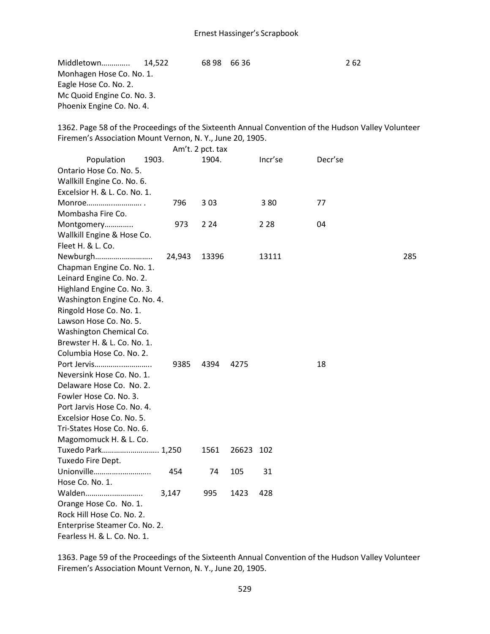Middletown………….. 14,522 68 98 66 36 2 62 Monhagen Hose Co. No. 1. Eagle Hose Co. No. 2. Mc Quoid Engine Co. No. 3. Phoenix Engine Co. No. 4.

1362. Page 58 of the Proceedings of the Sixteenth Annual Convention of the Hudson Valley Volunteer Firemen's Association Mount Vernon, N. Y., June 20, 1905.

|                               |        | Am't. 2 pct. tax |           |         |         |     |
|-------------------------------|--------|------------------|-----------|---------|---------|-----|
| Population<br>1903.           |        | 1904.            |           | Incr'se | Decr'se |     |
| Ontario Hose Co. No. 5.       |        |                  |           |         |         |     |
| Wallkill Engine Co. No. 6.    |        |                  |           |         |         |     |
| Excelsior H. & L. Co. No. 1.  |        |                  |           |         |         |     |
| Monroe                        | 796    | 3 0 3            |           | 380     | 77      |     |
| Mombasha Fire Co.             |        |                  |           |         |         |     |
| Montgomery                    | 973    | 2 2 4            |           | 2 28    | 04      |     |
| Wallkill Engine & Hose Co.    |        |                  |           |         |         |     |
| Fleet H. & L. Co.             |        |                  |           |         |         |     |
| Newburgh                      | 24,943 | 13396            |           | 13111   |         | 285 |
| Chapman Engine Co. No. 1.     |        |                  |           |         |         |     |
| Leinard Engine Co. No. 2.     |        |                  |           |         |         |     |
| Highland Engine Co. No. 3.    |        |                  |           |         |         |     |
| Washington Engine Co. No. 4.  |        |                  |           |         |         |     |
| Ringold Hose Co. No. 1.       |        |                  |           |         |         |     |
| Lawson Hose Co. No. 5.        |        |                  |           |         |         |     |
| Washington Chemical Co.       |        |                  |           |         |         |     |
| Brewster H. & L. Co. No. 1.   |        |                  |           |         |         |     |
| Columbia Hose Co. No. 2.      |        |                  |           |         |         |     |
| Port Jervis                   | 9385   | 4394             | 4275      |         | 18      |     |
| Neversink Hose Co. No. 1.     |        |                  |           |         |         |     |
| Delaware Hose Co. No. 2.      |        |                  |           |         |         |     |
| Fowler Hose Co. No. 3.        |        |                  |           |         |         |     |
| Port Jarvis Hose Co. No. 4.   |        |                  |           |         |         |     |
| Excelsior Hose Co. No. 5.     |        |                  |           |         |         |     |
| Tri-States Hose Co. No. 6.    |        |                  |           |         |         |     |
| Magomomuck H. & L. Co.        |        |                  |           |         |         |     |
| Tuxedo Park 1,250             |        | 1561             | 26623 102 |         |         |     |
| Tuxedo Fire Dept.             |        |                  |           |         |         |     |
| Unionville                    | 454    | 74               | 105       | 31      |         |     |
| Hose Co. No. 1.               |        |                  |           |         |         |     |
| Walden                        | 3,147  | 995              | 1423      | 428     |         |     |
| Orange Hose Co. No. 1.        |        |                  |           |         |         |     |
| Rock Hill Hose Co. No. 2.     |        |                  |           |         |         |     |
| Enterprise Steamer Co. No. 2. |        |                  |           |         |         |     |
| Fearless H. & L. Co. No. 1.   |        |                  |           |         |         |     |

1363. Page 59 of the Proceedings of the Sixteenth Annual Convention of the Hudson Valley Volunteer Firemen's Association Mount Vernon, N. Y., June 20, 1905.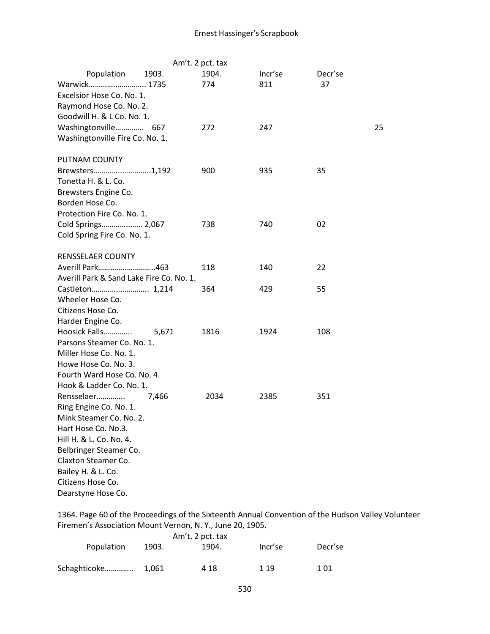|                                          |       | Am't. 2 pct. tax |         |         |
|------------------------------------------|-------|------------------|---------|---------|
| Population                               | 1903. | 1904.            | Incr'se | Decr'se |
| Warwick 1735                             |       | 774              | 811     | 37      |
| Excelsior Hose Co. No. 1.                |       |                  |         |         |
| Raymond Hose Co. No. 2.                  |       |                  |         |         |
| Goodwill H. & L Co. No. 1.               |       |                  |         |         |
| Washingtonville 667                      |       | 272              | 247     | 25      |
| Washingtonville Fire Co. No. 1.          |       |                  |         |         |
| PUTNAM COUNTY                            |       |                  |         |         |
| Brewsters1,192                           |       | 900              | 935     | 35      |
| Tonetta H. & L. Co.                      |       |                  |         |         |
| Brewsters Engine Co.                     |       |                  |         |         |
| Borden Hose Co.                          |       |                  |         |         |
| Protection Fire Co. No. 1.               |       |                  |         |         |
| Cold Springs 2,067                       |       | 738              | 740     | 02      |
| Cold Spring Fire Co. No. 1.              |       |                  |         |         |
| <b>RENSSELAER COUNTY</b>                 |       |                  |         |         |
| Averill Park463                          |       | 118              | 140     | 22      |
| Averill Park & Sand Lake Fire Co. No. 1. |       |                  |         |         |
| Castleton 1,214                          |       | 364              | 429     | 55      |
| Wheeler Hose Co.                         |       |                  |         |         |
| Citizens Hose Co.                        |       |                  |         |         |
| Harder Engine Co.                        |       |                  |         |         |
| Hoosick Falls                            | 5,671 | 1816             | 1924    | 108     |
| Parsons Steamer Co. No. 1.               |       |                  |         |         |
| Miller Hose Co. No. 1.                   |       |                  |         |         |
| Howe Hose Co. No. 3.                     |       |                  |         |         |
| Fourth Ward Hose Co. No. 4.              |       |                  |         |         |
| Hook & Ladder Co. No. 1.                 |       |                  |         |         |
| Rensselaer                               | 7,466 | 2034             | 2385    | 351     |
| Ring Engine Co. No. 1.                   |       |                  |         |         |
| Mink Steamer Co. No. 2.                  |       |                  |         |         |
| Hart Hose Co. No.3.                      |       |                  |         |         |
| Hill H. & L. Co. No. 4.                  |       |                  |         |         |
| Belbringer Steamer Co.                   |       |                  |         |         |
| Claxton Steamer Co.                      |       |                  |         |         |
| Bailey H. & L. Co.                       |       |                  |         |         |
| Citizens Hose Co.                        |       |                  |         |         |
| Dearstyne Hose Co.                       |       |                  |         |         |

1364. Page 60 of the Proceedings of the Sixteenth Annual Convention of the Hudson Valley Volunteer Firemen's Association Mount Vernon, N. Y., June 20, 1905.

|              |       | Am't. 2 pct. tax |         |         |
|--------------|-------|------------------|---------|---------|
| Population   | 1903. | 1904.            | Incr'se | Decr'se |
| Schaghticoke | 1.061 | 4 18             | 1 1 9   | 1 01    |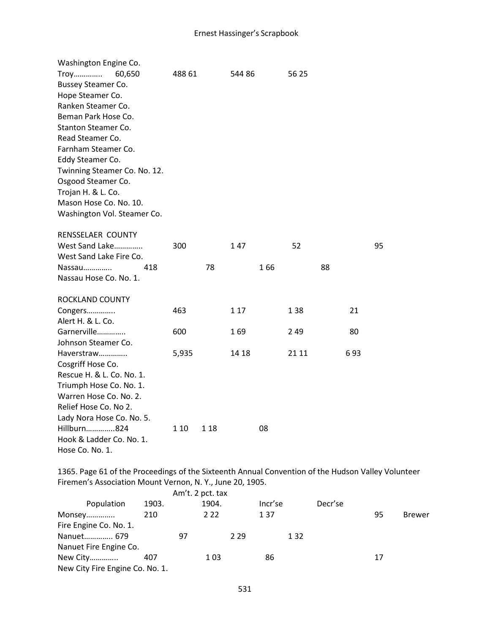| Washington Engine Co.<br>Troy<br>60,650<br><b>Bussey Steamer Co.</b><br>Hope Steamer Co.<br>Ranken Steamer Co.<br>Beman Park Hose Co.<br>Stanton Steamer Co.<br>Read Steamer Co.<br>Farnham Steamer Co.<br>Eddy Steamer Co.<br>Twinning Steamer Co. No. 12.<br>Osgood Steamer Co.<br>Trojan H. & L. Co.<br>Mason Hose Co. No. 10.<br>Washington Vol. Steamer Co. | 488 61 |      | 544 86 |     | 56 25 |    |     |    |
|------------------------------------------------------------------------------------------------------------------------------------------------------------------------------------------------------------------------------------------------------------------------------------------------------------------------------------------------------------------|--------|------|--------|-----|-------|----|-----|----|
| RENSSELAER COUNTY<br>West Sand Lake                                                                                                                                                                                                                                                                                                                              | 300    |      | 147    |     | 52    |    |     | 95 |
| West Sand Lake Fire Co.                                                                                                                                                                                                                                                                                                                                          |        |      |        |     |       |    |     |    |
| Nassau<br>418                                                                                                                                                                                                                                                                                                                                                    |        | 78   |        | 166 |       | 88 |     |    |
| Nassau Hose Co. No. 1.                                                                                                                                                                                                                                                                                                                                           |        |      |        |     |       |    |     |    |
| ROCKLAND COUNTY                                                                                                                                                                                                                                                                                                                                                  |        |      |        |     |       |    |     |    |
| Congers                                                                                                                                                                                                                                                                                                                                                          | 463    |      | 1 1 7  |     | 1 38  |    | 21  |    |
| Alert H. & L. Co.<br>Garnerville                                                                                                                                                                                                                                                                                                                                 | 600    |      | 169    |     | 249   |    | 80  |    |
| Johnson Steamer Co.                                                                                                                                                                                                                                                                                                                                              |        |      |        |     |       |    |     |    |
| Haverstraw                                                                                                                                                                                                                                                                                                                                                       | 5,935  |      | 14 18  |     | 21 11 |    | 693 |    |
| Cosgriff Hose Co.                                                                                                                                                                                                                                                                                                                                                |        |      |        |     |       |    |     |    |
| Rescue H. & L. Co. No. 1.                                                                                                                                                                                                                                                                                                                                        |        |      |        |     |       |    |     |    |
| Triumph Hose Co. No. 1.                                                                                                                                                                                                                                                                                                                                          |        |      |        |     |       |    |     |    |
| Warren Hose Co. No. 2.                                                                                                                                                                                                                                                                                                                                           |        |      |        |     |       |    |     |    |
| Relief Hose Co. No 2.                                                                                                                                                                                                                                                                                                                                            |        |      |        |     |       |    |     |    |
| Lady Nora Hose Co. No. 5.                                                                                                                                                                                                                                                                                                                                        |        |      |        |     |       |    |     |    |
| Hillburn824                                                                                                                                                                                                                                                                                                                                                      | 1 10   | 1 18 |        | 08  |       |    |     |    |
| Hook & Ladder Co. No. 1.<br>Hose Co. No. 1.                                                                                                                                                                                                                                                                                                                      |        |      |        |     |       |    |     |    |
|                                                                                                                                                                                                                                                                                                                                                                  |        |      |        |     |       |    |     |    |

1365. Page 61 of the Proceedings of the Sixteenth Annual Convention of the Hudson Valley Volunteer Firemen's Association Mount Vernon, N. Y., June 20, 1905.

|                                 |       | Am't. 2 pct. tax |       |         |       |         |    |               |
|---------------------------------|-------|------------------|-------|---------|-------|---------|----|---------------|
| Population                      | 1903. | 1904.            |       | Incr'se |       | Decr'se |    |               |
| Monsey                          | 210   | 2 2 2            |       | 137     |       |         | 95 | <b>Brewer</b> |
| Fire Engine Co. No. 1.          |       |                  |       |         |       |         |    |               |
| Nanuet 679                      |       | 97               | 2 2 9 |         | 1 3 2 |         |    |               |
| Nanuet Fire Engine Co.          |       |                  |       |         |       |         |    |               |
| New City                        | 407   | 103              |       | 86      |       |         | 17 |               |
| New City Fire Engine Co. No. 1. |       |                  |       |         |       |         |    |               |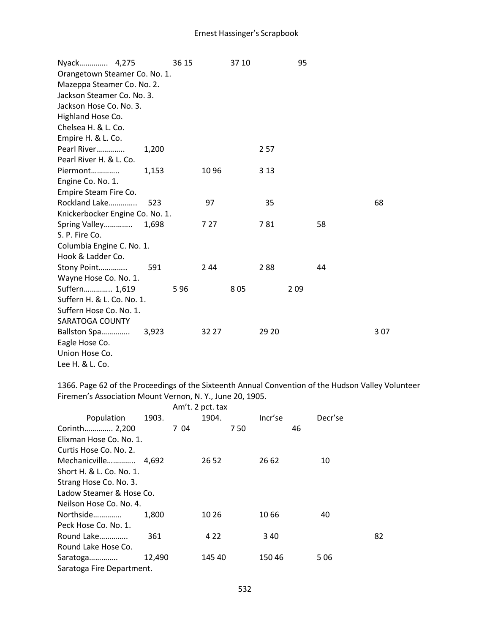| Nyack 4,275                     |       | 36 15 |       | 37 10 |       | 95  |    |     |
|---------------------------------|-------|-------|-------|-------|-------|-----|----|-----|
| Orangetown Steamer Co. No. 1.   |       |       |       |       |       |     |    |     |
| Mazeppa Steamer Co. No. 2.      |       |       |       |       |       |     |    |     |
| Jackson Steamer Co. No. 3.      |       |       |       |       |       |     |    |     |
| Jackson Hose Co. No. 3.         |       |       |       |       |       |     |    |     |
| Highland Hose Co.               |       |       |       |       |       |     |    |     |
| Chelsea H. & L. Co.             |       |       |       |       |       |     |    |     |
| Empire H. & L. Co.              |       |       |       |       |       |     |    |     |
| Pearl River                     | 1,200 |       |       |       | 2 5 7 |     |    |     |
| Pearl River H. & L. Co.         |       |       |       |       |       |     |    |     |
| Piermont                        | 1,153 |       | 1096  |       | 3 1 3 |     |    |     |
| Engine Co. No. 1.               |       |       |       |       |       |     |    |     |
| Empire Steam Fire Co.           |       |       |       |       |       |     |    |     |
| Rockland Lake                   | 523   |       | 97    |       | 35    |     |    | 68  |
| Knickerbocker Engine Co. No. 1. |       |       |       |       |       |     |    |     |
| Spring Valley                   | 1,698 |       | 7 27  |       | 781   |     | 58 |     |
| S. P. Fire Co.                  |       |       |       |       |       |     |    |     |
| Columbia Engine C. No. 1.       |       |       |       |       |       |     |    |     |
| Hook & Ladder Co.               |       |       |       |       |       |     |    |     |
| Stony Point                     | 591   |       | 2 4 4 |       | 288   |     | 44 |     |
| Wayne Hose Co. No. 1.           |       |       |       |       |       |     |    |     |
| Suffern 1,619                   |       | 596   |       | 805   |       | 209 |    |     |
| Suffern H. & L. Co. No. 1.      |       |       |       |       |       |     |    |     |
| Suffern Hose Co. No. 1.         |       |       |       |       |       |     |    |     |
| SARATOGA COUNTY                 |       |       |       |       |       |     |    |     |
| Ballston Spa                    | 3,923 |       | 32 27 |       | 29 20 |     |    | 307 |
| Eagle Hose Co.                  |       |       |       |       |       |     |    |     |
| Union Hose Co.                  |       |       |       |       |       |     |    |     |
| Lee H. & L. Co.                 |       |       |       |       |       |     |    |     |

1366. Page 62 of the Proceedings of the Sixteenth Annual Convention of the Hudson Valley Volunteer Firemen's Association Mount Vernon, N. Y., June 20, 1905.  $A = \begin{pmatrix} 1 & 2 & 3 \\ 1 & 2 & 3 \end{pmatrix}$ 

|                           | Am t. 2 pct. tax |         |         |    |
|---------------------------|------------------|---------|---------|----|
| 1903.                     | 1904.            | Incr'se | Decr'se |    |
|                           |                  | 750     | 46      |    |
| Elixman Hose Co. No. 1.   |                  |         |         |    |
|                           |                  |         |         |    |
| Mechanicville 4,692       | 26 52            | 26 62   | 10      |    |
|                           |                  |         |         |    |
|                           |                  |         |         |    |
| Ladow Steamer & Hose Co.  |                  |         |         |    |
| Neilson Hose Co. No. 4.   |                  |         |         |    |
| 1.800                     | 10 26            | 10 66   | 40      |    |
|                           |                  |         |         |    |
| 361                       | 4 2 2            | 340     |         | 82 |
|                           |                  |         |         |    |
| 12,490                    | 145 40           | 150 46  | 506     |    |
| Saratoga Fire Department. |                  |         |         |    |
|                           |                  | 704     |         |    |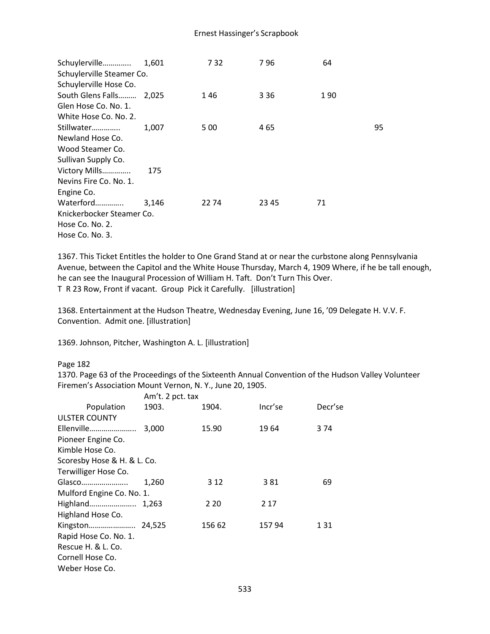| Schuylerville 1,601       |       | 7 32  | 796   | 64  |    |
|---------------------------|-------|-------|-------|-----|----|
| Schuylerville Steamer Co. |       |       |       |     |    |
| Schuylerville Hose Co.    |       |       |       |     |    |
| South Glens Falls 2,025   |       | 1 46  | 3 3 6 | 190 |    |
| Glen Hose Co. No. 1.      |       |       |       |     |    |
| White Hose Co. No. 2.     |       |       |       |     |    |
| Stillwater                | 1,007 | 5 0 0 | 465   |     | 95 |
| Newland Hose Co.          |       |       |       |     |    |
| Wood Steamer Co.          |       |       |       |     |    |
| Sullivan Supply Co.       |       |       |       |     |    |
| Victory Mills             | 175   |       |       |     |    |
| Nevins Fire Co. No. 1.    |       |       |       |     |    |
| Engine Co.                |       |       |       |     |    |
| Waterford                 | 3.146 | 22 74 | 23 45 | 71  |    |
| Knickerbocker Steamer Co. |       |       |       |     |    |
| Hose Co. No. 2.           |       |       |       |     |    |
| Hose Co. No. 3.           |       |       |       |     |    |

1367. This Ticket Entitles the holder to One Grand Stand at or near the curbstone along Pennsylvania Avenue, between the Capitol and the White House Thursday, March 4, 1909 Where, if he be tall enough, he can see the Inaugural Procession of William H. Taft. Don't Turn This Over. T R 23 Row, Front if vacant. Group Pick it Carefully. [illustration]

1368. Entertainment at the Hudson Theatre, Wednesday Evening, June 16, '09 Delegate H. V.V. F. Convention. Admit one. [illustration]

1369. Johnson, Pitcher, Washington A. L. [illustration]

### Page 182

1370. Page 63 of the Proceedings of the Sixteenth Annual Convention of the Hudson Valley Volunteer Firemen's Association Mount Vernon, N. Y., June 20, 1905.

|                             | Am't. 2 pct. tax |        |         |         |
|-----------------------------|------------------|--------|---------|---------|
| Population                  | 1903.            | 1904.  | Incr'se | Decr'se |
| <b>ULSTER COUNTY</b>        |                  |        |         |         |
| Ellenville                  | 3,000            | 15.90  | 1964    | 3 74    |
| Pioneer Engine Co.          |                  |        |         |         |
| Kimble Hose Co.             |                  |        |         |         |
| Scoresby Hose & H. & L. Co. |                  |        |         |         |
| Terwilliger Hose Co.        |                  |        |         |         |
| Glasco                      | 1,260            | 3 1 2  | 381     | 69      |
| Mulford Engine Co. No. 1.   |                  |        |         |         |
|                             |                  | 2 2 0  | 2 1 7   |         |
| Highland Hose Co.           |                  |        |         |         |
|                             |                  | 156 62 | 157 94  | 1 31    |
| Rapid Hose Co. No. 1.       |                  |        |         |         |
| Rescue H. & L. Co.          |                  |        |         |         |
| Cornell Hose Co.            |                  |        |         |         |
| Weber Hose Co.              |                  |        |         |         |
|                             |                  |        |         |         |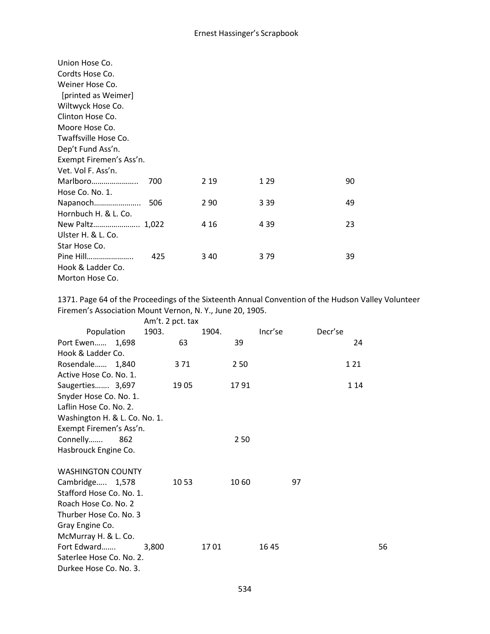| Union Hose Co.<br>Cordts Hose Co.<br>Weiner Hose Co.<br>[printed as Weimer]<br>Wiltwyck Hose Co.<br>Clinton Hose Co.<br>Moore Hose Co.<br>Twaffsville Hose Co.<br>Dep't Fund Ass'n. |     |       |       |    |
|-------------------------------------------------------------------------------------------------------------------------------------------------------------------------------------|-----|-------|-------|----|
| Exempt Firemen's Ass'n.                                                                                                                                                             |     |       |       |    |
| Vet. Vol F. Ass'n.                                                                                                                                                                  |     |       |       |    |
| Marlboro                                                                                                                                                                            | 700 | 2 1 9 | 1 29  | 90 |
| Hose Co. No. 1.                                                                                                                                                                     |     |       |       |    |
| Napanoch                                                                                                                                                                            | 506 | 2 9 0 | 3 3 9 | 49 |
| Hornbuch H. & L. Co.                                                                                                                                                                |     |       |       |    |
| New Paltz 1,022                                                                                                                                                                     |     | 4 1 6 | 4 3 9 | 23 |
| Ulster H. & L. Co.                                                                                                                                                                  |     |       |       |    |
| Star Hose Co.                                                                                                                                                                       |     |       |       |    |
| Pine Hill                                                                                                                                                                           | 425 | 340   | 379   | 39 |
| Hook & Ladder Co.                                                                                                                                                                   |     |       |       |    |
| Morton Hose Co.                                                                                                                                                                     |     |       |       |    |

1371. Page 64 of the Proceedings of the Sixteenth Annual Convention of the Hudson Valley Volunteer Firemen's Association Mount Vernon, N. Y., June 20, 1905.

| 1903.                         | 1904. | Incr'se          | Decr'se |
|-------------------------------|-------|------------------|---------|
| 63                            | 39    |                  | 24      |
|                               |       |                  |         |
| 3 71                          | 250   |                  | 1 2 1   |
|                               |       |                  |         |
| 1905                          | 1791  |                  | 1 1 4   |
|                               |       |                  |         |
|                               |       |                  |         |
| Washington H. & L. Co. No. 1. |       |                  |         |
| Exempt Firemen's Ass'n.       |       |                  |         |
|                               | 250   |                  |         |
|                               |       |                  |         |
| <b>WASHINGTON COUNTY</b>      |       |                  |         |
| 10 53                         | 10 60 | 97               |         |
| Stafford Hose Co. No. 1.      |       |                  |         |
|                               |       |                  |         |
|                               |       |                  |         |
|                               |       |                  |         |
|                               |       |                  |         |
| 3,800                         | 1701  | 1645             | 56      |
| Saterlee Hose Co. No. 2.      |       |                  |         |
|                               |       |                  |         |
|                               |       | Am't. 2 pct. tax |         |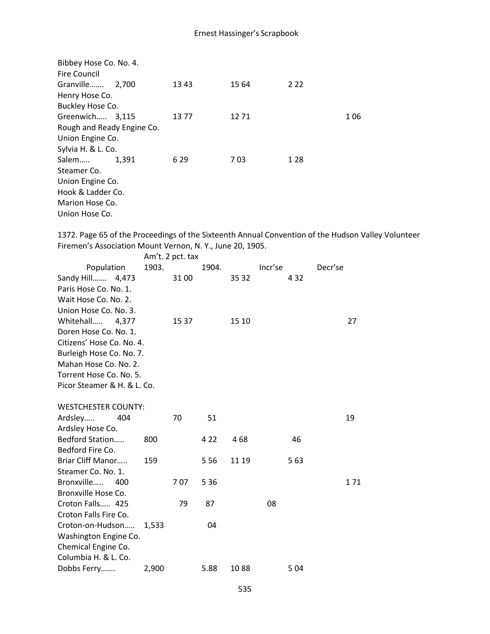| Bibbey Hose Co. No. 4.     |       |      |       |       |     |
|----------------------------|-------|------|-------|-------|-----|
| Fire Council               |       |      |       |       |     |
| Granville                  | 2,700 | 1343 | 15 64 | 2 2 2 |     |
| Henry Hose Co.             |       |      |       |       |     |
| Buckley Hose Co.           |       |      |       |       |     |
| Greenwich 3,115            |       | 1377 | 1271  |       | 106 |
| Rough and Ready Engine Co. |       |      |       |       |     |
| Union Engine Co.           |       |      |       |       |     |
| Sylvia H. & L. Co.         |       |      |       |       |     |
| Salem                      | 1.391 | 6 29 | 703   | 1 2 8 |     |
| Steamer Co.                |       |      |       |       |     |
| Union Engine Co.           |       |      |       |       |     |
| Hook & Ladder Co.          |       |      |       |       |     |
| Marion Hose Co.            |       |      |       |       |     |
| Union Hose Co.             |       |      |       |       |     |

1372. Page 65 of the Proceedings of the Sixteenth Annual Convention of the Hudson Valley Volunteer Firemen's Association Mount Vernon, N. Y., June 20, 1905.  $Am't.$  2 pct. tax

|                             |       |       | Am t. 2 pct. tax |       |       |         |       |         |       |
|-----------------------------|-------|-------|------------------|-------|-------|---------|-------|---------|-------|
| Population                  |       | 1903. |                  | 1904. |       | Incr'se |       | Decr'se |       |
| Sandy Hill 4,473            |       |       | 3100             |       | 35 32 |         | 4 3 2 |         |       |
| Paris Hose Co. No. 1.       |       |       |                  |       |       |         |       |         |       |
| Wait Hose Co. No. 2.        |       |       |                  |       |       |         |       |         |       |
| Union Hose Co. No. 3.       |       |       |                  |       |       |         |       |         |       |
| Whitehall                   | 4,377 |       | 15 37            |       | 15 10 |         |       |         | 27    |
| Doren Hose Co. No. 1.       |       |       |                  |       |       |         |       |         |       |
| Citizens' Hose Co. No. 4.   |       |       |                  |       |       |         |       |         |       |
| Burleigh Hose Co. No. 7.    |       |       |                  |       |       |         |       |         |       |
| Mahan Hose Co. No. 2.       |       |       |                  |       |       |         |       |         |       |
| Torrent Hose Co. No. 5.     |       |       |                  |       |       |         |       |         |       |
| Picor Steamer & H. & L. Co. |       |       |                  |       |       |         |       |         |       |
|                             |       |       |                  |       |       |         |       |         |       |
| <b>WESTCHESTER COUNTY:</b>  |       |       |                  |       |       |         |       |         |       |
| Ardsley                     | 404   |       | 70               | 51    |       |         |       |         | 19    |
| Ardsley Hose Co.            |       |       |                  |       |       |         |       |         |       |
| Bedford Station             |       | 800   |                  | 4 2 2 | 468   |         | 46    |         |       |
| Bedford Fire Co.            |       |       |                  |       |       |         |       |         |       |
| Briar Cliff Manor           |       | 159   |                  | 5 5 6 | 11 19 |         | 5 6 3 |         |       |
| Steamer Co. No. 1.          |       |       |                  |       |       |         |       |         |       |
| Bronxville                  | 400   |       | 707              | 5 3 6 |       |         |       |         | 1 7 1 |
| Bronxville Hose Co.         |       |       |                  |       |       |         |       |         |       |
| Croton Falls 425            |       |       | 79               | 87    |       | 08      |       |         |       |
| Croton Falls Fire Co.       |       |       |                  |       |       |         |       |         |       |
| Croton-on-Hudson            |       | 1,533 |                  | 04    |       |         |       |         |       |
| Washington Engine Co.       |       |       |                  |       |       |         |       |         |       |
| Chemical Engine Co.         |       |       |                  |       |       |         |       |         |       |
| Columbia H. & L. Co.        |       |       |                  |       |       |         |       |         |       |
| Dobbs Ferry                 |       | 2,900 |                  | 5.88  | 1088  |         | 504   |         |       |
|                             |       |       |                  |       |       |         |       |         |       |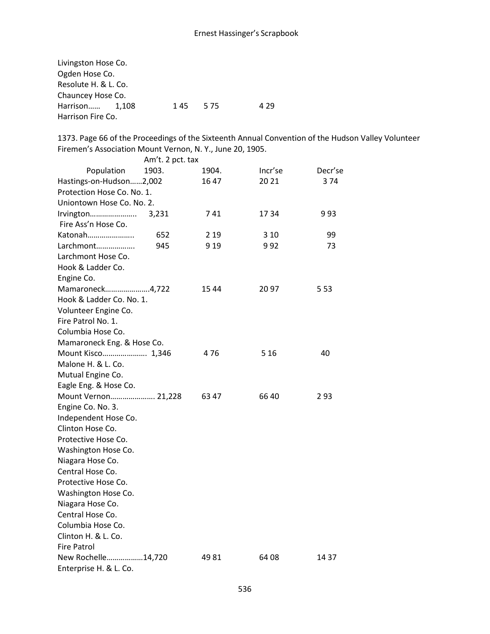| Livingston Hose Co.  |         |       |
|----------------------|---------|-------|
| Ogden Hose Co.       |         |       |
| Resolute H. & L. Co. |         |       |
| Chauncey Hose Co.    |         |       |
| Harrison 1,108       | 145 575 | 4 2 9 |
| Harrison Fire Co.    |         |       |

1373. Page 66 of the Proceedings of the Sixteenth Annual Convention of the Hudson Valley Volunteer Firemen's Association Mount Vernon, N. Y., June 20, 1905.

|                            | Am't. 2 pct. tax |       |         |         |
|----------------------------|------------------|-------|---------|---------|
| Population                 | 1903.            | 1904. | Incr'se | Decr'se |
| Hastings-on-Hudson2,002    |                  | 16 47 | 20 21   | 374     |
| Protection Hose Co. No. 1. |                  |       |         |         |
| Uniontown Hose Co. No. 2.  |                  |       |         |         |
| Irvington                  | 3,231            | 741   | 1734    | 993     |
| Fire Ass'n Hose Co.        |                  |       |         |         |
| Katonah                    | 652              | 2 1 9 | 3 1 0   | 99      |
| Larchmont                  | 945              | 9 1 9 | 992     | 73      |
| Larchmont Hose Co.         |                  |       |         |         |
| Hook & Ladder Co.          |                  |       |         |         |
| Engine Co.                 |                  |       |         |         |
| Mamaroneck4,722            |                  | 1544  | 2097    | 5 5 3   |
| Hook & Ladder Co. No. 1.   |                  |       |         |         |
| Volunteer Engine Co.       |                  |       |         |         |
| Fire Patrol No. 1.         |                  |       |         |         |
| Columbia Hose Co.          |                  |       |         |         |
| Mamaroneck Eng. & Hose Co. |                  |       |         |         |
| Mount Kisco 1,346          |                  | 476   | 5 1 6   | 40      |
| Malone H. & L. Co.         |                  |       |         |         |
| Mutual Engine Co.          |                  |       |         |         |
| Eagle Eng. & Hose Co.      |                  |       |         |         |
| Mount Vernon 21,228        |                  | 63 47 | 6640    | 293     |
| Engine Co. No. 3.          |                  |       |         |         |
| Independent Hose Co.       |                  |       |         |         |
| Clinton Hose Co.           |                  |       |         |         |
| Protective Hose Co.        |                  |       |         |         |
| Washington Hose Co.        |                  |       |         |         |
| Niagara Hose Co.           |                  |       |         |         |
| Central Hose Co.           |                  |       |         |         |
| Protective Hose Co.        |                  |       |         |         |
| Washington Hose Co.        |                  |       |         |         |
| Niagara Hose Co.           |                  |       |         |         |
| Central Hose Co.           |                  |       |         |         |
| Columbia Hose Co.          |                  |       |         |         |
| Clinton H. & L. Co.        |                  |       |         |         |
| <b>Fire Patrol</b>         |                  |       |         |         |
| New Rochelle14,720         |                  | 49 81 | 64 08   | 14 37   |
| Enterprise H. & L. Co.     |                  |       |         |         |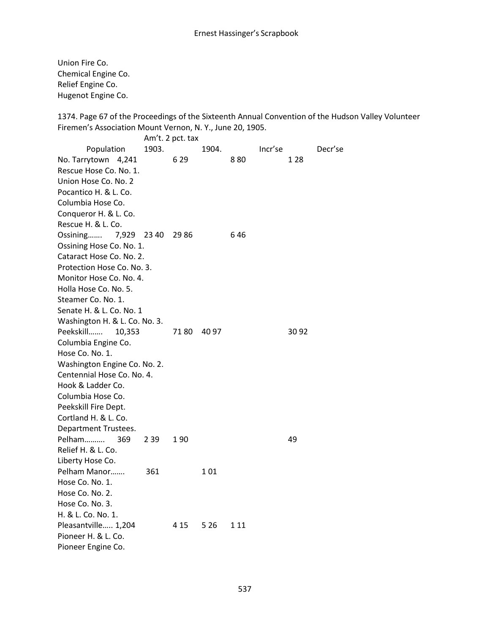Union Fire Co. Chemical Engine Co. Relief Engine Co. Hugenot Engine Co.

1374. Page 67 of the Proceedings of the Sixteenth Annual Convention of the Hudson Valley Volunteer Firemen's Association Mount Vernon, N. Y., June 20, 1905.

Am't. 2 pct. tax Population 1903. 1904. Incr'se Decr'se No. Tarrytown 4,241 629 880 128 Rescue Hose Co. No. 1. Union Hose Co. No. 2 Pocantico H. & L. Co. Columbia Hose Co. Conqueror H. & L. Co. Rescue H. & L. Co. Ossining....... 7,929 23 40 29 86 6 46 Ossining Hose Co. No. 1. Cataract Hose Co. No. 2. Protection Hose Co. No. 3. Monitor Hose Co. No. 4. Holla Hose Co. No. 5. Steamer Co. No. 1. Senate H. & L. Co. No. 1 Washington H. & L. Co. No. 3. Peekskill……. 10,353 71 80 40 97 30 92 Columbia Engine Co. Hose Co. No. 1. Washington Engine Co. No. 2. Centennial Hose Co. No. 4. Hook & Ladder Co. Columbia Hose Co. Peekskill Fire Dept. Cortland H. & L. Co. Department Trustees. Pelham.......... 369 2 39 1 90 49 Relief H. & L. Co. Liberty Hose Co. Pelham Manor....... 361 101 Hose Co. No. 1. Hose Co. No. 2. Hose Co. No. 3. H. & L. Co. No. 1. Pleasantville..... 1,204 4 15 5 26 1 11 Pioneer H. & L. Co. Pioneer Engine Co.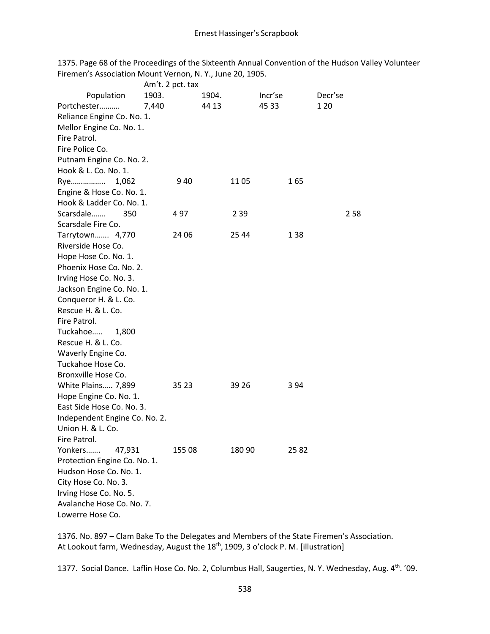1375. Page 68 of the Proceedings of the Sixteenth Annual Convention of the Hudson Valley Volunteer Firemen's Association Mount Vernon, N. Y., June 20, 1905.

|                               | Am't. 2 pct. tax |        |         |         |
|-------------------------------|------------------|--------|---------|---------|
| Population                    | 1903.            | 1904.  | Incr'se | Decr'se |
| Portchester                   | 7,440            | 44 13  | 45 33   | 1 20    |
| Reliance Engine Co. No. 1.    |                  |        |         |         |
| Mellor Engine Co. No. 1.      |                  |        |         |         |
| Fire Patrol.                  |                  |        |         |         |
| Fire Police Co.               |                  |        |         |         |
| Putnam Engine Co. No. 2.      |                  |        |         |         |
| Hook & L. Co. No. 1.          |                  |        |         |         |
| 1,062<br>Rye                  | 940              | 11 05  | 165     |         |
| Engine & Hose Co. No. 1.      |                  |        |         |         |
| Hook & Ladder Co. No. 1.      |                  |        |         |         |
| Scarsdale<br>350              | 497              | 2 3 9  |         | 258     |
| Scarsdale Fire Co.            |                  |        |         |         |
| Tarrytown 4,770               | 24 06            | 25 44  | 138     |         |
| Riverside Hose Co.            |                  |        |         |         |
| Hope Hose Co. No. 1.          |                  |        |         |         |
| Phoenix Hose Co. No. 2.       |                  |        |         |         |
| Irving Hose Co. No. 3.        |                  |        |         |         |
| Jackson Engine Co. No. 1.     |                  |        |         |         |
| Conqueror H. & L. Co.         |                  |        |         |         |
| Rescue H. & L. Co.            |                  |        |         |         |
| Fire Patrol.                  |                  |        |         |         |
| Tuckahoe<br>1,800             |                  |        |         |         |
| Rescue H. & L. Co.            |                  |        |         |         |
| Waverly Engine Co.            |                  |        |         |         |
| Tuckahoe Hose Co.             |                  |        |         |         |
| Bronxville Hose Co.           |                  |        |         |         |
| White Plains 7,899            | 35 23            | 39 26  | 394     |         |
| Hope Engine Co. No. 1.        |                  |        |         |         |
| East Side Hose Co. No. 3.     |                  |        |         |         |
| Independent Engine Co. No. 2. |                  |        |         |         |
| Union H. & L. Co.             |                  |        |         |         |
| Fire Patrol.                  |                  |        |         |         |
| Yonkers<br>47,931             | 155 08           | 180 90 | 25 82   |         |
| Protection Engine Co. No. 1.  |                  |        |         |         |
| Hudson Hose Co. No. 1.        |                  |        |         |         |
| City Hose Co. No. 3.          |                  |        |         |         |
| Irving Hose Co. No. 5.        |                  |        |         |         |
| Avalanche Hose Co. No. 7.     |                  |        |         |         |
| Lowerre Hose Co.              |                  |        |         |         |

1376. No. 897 – Clam Bake To the Delegates and Members of the State Firemen's Association. At Lookout farm, Wednesday, August the 18<sup>th</sup>, 1909, 3 o'clock P. M. [illustration]

1377. Social Dance. Laflin Hose Co. No. 2, Columbus Hall, Saugerties, N. Y. Wednesday, Aug. 4th. '09.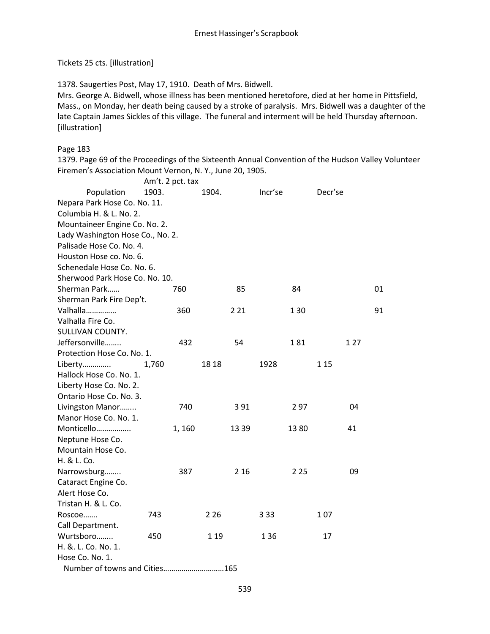### Tickets 25 cts. [illustration]

1378. Saugerties Post, May 17, 1910. Death of Mrs. Bidwell.

Mrs. George A. Bidwell, whose illness has been mentioned heretofore, died at her home in Pittsfield, Mass., on Monday, her death being caused by a stroke of paralysis. Mrs. Bidwell was a daughter of the late Captain James Sickles of this village. The funeral and interment will be held Thursday afternoon. [illustration]

### Page 183

1379. Page 69 of the Proceedings of the Sixteenth Annual Convention of the Hudson Valley Volunteer Firemen's Association Mount Vernon, N. Y., June 20, 1905.

|                                  | Am't. 2 pct. tax |       |       |         |       |         |      |    |
|----------------------------------|------------------|-------|-------|---------|-------|---------|------|----|
| Population                       | 1903.            | 1904. |       | Incr'se |       | Decr'se |      |    |
| Nepara Park Hose Co. No. 11.     |                  |       |       |         |       |         |      |    |
| Columbia H. & L. No. 2.          |                  |       |       |         |       |         |      |    |
| Mountaineer Engine Co. No. 2.    |                  |       |       |         |       |         |      |    |
| Lady Washington Hose Co., No. 2. |                  |       |       |         |       |         |      |    |
| Palisade Hose Co. No. 4.         |                  |       |       |         |       |         |      |    |
| Houston Hose co. No. 6.          |                  |       |       |         |       |         |      |    |
| Schenedale Hose Co. No. 6.       |                  |       |       |         |       |         |      |    |
| Sherwood Park Hose Co. No. 10.   |                  |       |       |         |       |         |      |    |
| Sherman Park                     | 760              |       | 85    |         | 84    |         |      | 01 |
| Sherman Park Fire Dep't.         |                  |       |       |         |       |         |      |    |
| Valhalla                         | 360              |       | 2 2 1 |         | 130   |         |      | 91 |
| Valhalla Fire Co.                |                  |       |       |         |       |         |      |    |
| SULLIVAN COUNTY.                 |                  |       |       |         |       |         |      |    |
| Jeffersonville                   | 432              |       | 54    |         | 181   |         | 1 27 |    |
| Protection Hose Co. No. 1.       |                  |       |       |         |       |         |      |    |
| Liberty                          | 1,760            | 18 18 |       | 1928    |       | 1 15    |      |    |
| Hallock Hose Co. No. 1.          |                  |       |       |         |       |         |      |    |
| Liberty Hose Co. No. 2.          |                  |       |       |         |       |         |      |    |
| Ontario Hose Co. No. 3.          |                  |       |       |         |       |         |      |    |
| Livingston Manor                 | 740              |       | 391   |         | 297   |         | 04   |    |
| Manor Hose Co. No. 1.            |                  |       |       |         |       |         |      |    |
| Monticello                       | 1, 160           |       | 13 39 |         | 1380  |         | 41   |    |
| Neptune Hose Co.                 |                  |       |       |         |       |         |      |    |
| Mountain Hose Co.                |                  |       |       |         |       |         |      |    |
| H. & L. Co.                      |                  |       |       |         |       |         |      |    |
| Narrowsburg                      | 387              |       | 2 1 6 |         | 2 2 5 |         | 09   |    |
| Cataract Engine Co.              |                  |       |       |         |       |         |      |    |
| Alert Hose Co.                   |                  |       |       |         |       |         |      |    |
| Tristan H. & L. Co.              |                  |       |       |         |       |         |      |    |
| Roscoe                           | 743              | 2 2 6 |       | 3 3 3   |       | 107     |      |    |
| Call Department.                 |                  |       |       |         |       |         |      |    |
| Wurtsboro                        | 450              | 1 1 9 |       | 136     |       | 17      |      |    |
| H. &. L. Co. No. 1.              |                  |       |       |         |       |         |      |    |
| Hose Co. No. 1.                  |                  |       |       |         |       |         |      |    |
| Number of towns and Cities165    |                  |       |       |         |       |         |      |    |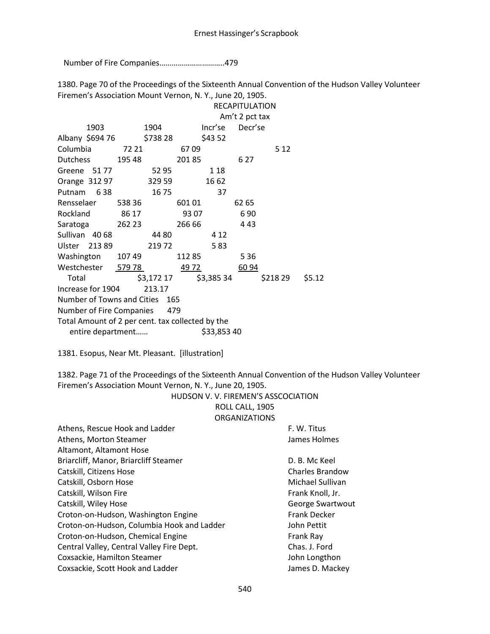Number of Fire Companies…………………………..479

1380. Page 70 of the Proceedings of the Sixteenth Annual Convention of the Hudson Valley Volunteer Firemen's Association Mount Vernon, N. Y., June 20, 1905.

|                                                  |        |            |              |             | <b>RECAPITULATION</b> |          |        |
|--------------------------------------------------|--------|------------|--------------|-------------|-----------------------|----------|--------|
|                                                  |        |            |              |             | Am't 2 pct tax        |          |        |
| 1903                                             |        | 1904       |              | Incr'se     | Decr'se               |          |        |
| Albany \$694 76                                  |        | \$738 28   |              | \$43 52     |                       |          |        |
| Columbia                                         | 72 21  |            | 6709         |             |                       | 5 1 2    |        |
| Dutchess 195 48                                  |        |            | 20185        |             | 6 2 7                 |          |        |
| Greene 5177                                      |        | 52 95      |              | 1 18        |                       |          |        |
| Orange 312 97                                    |        | 329 59     |              | 16 62       |                       |          |        |
| Putnam 638                                       |        | 16 75      |              | 37          |                       |          |        |
| Rensselaer 538 36                                |        |            | 601 01       |             | 62 65                 |          |        |
| Rockland                                         | 86 17  |            | 93 07        |             | 690                   |          |        |
| Saratoga                                         | 262 23 |            | 266 66       |             | 443                   |          |        |
| Sullivan 40 68                                   |        | 44 80      |              | 4 1 2       |                       |          |        |
| Ulster 213 89                                    |        | 21972      |              | 583         |                       |          |        |
| Washington 10749                                 |        |            | 112 85       |             | 5 3 6                 |          |        |
| Westchester 579 78                               |        |            | <u>49 72</u> |             | 60 94                 |          |        |
| Total                                            |        | \$3,172 17 |              | \$3,385 34  |                       | \$218 29 | \$5.12 |
| Increase for 1904                                |        | 213.17     |              |             |                       |          |        |
| Number of Towns and Cities 165                   |        |            |              |             |                       |          |        |
| Number of Fire Companies 479                     |        |            |              |             |                       |          |        |
| Total Amount of 2 per cent. tax collected by the |        |            |              |             |                       |          |        |
| entire department                                |        |            |              | \$33,853 40 |                       |          |        |

1381. Esopus, Near Mt. Pleasant. [illustration]

1382. Page 71 of the Proceedings of the Sixteenth Annual Convention of the Hudson Valley Volunteer Firemen's Association Mount Vernon, N. Y., June 20, 1905.

HUDSON V. V. FIREMEN'S ASSCOCIATION

ROLL CALL, 1905 ORGANIZATIONS

| Athens, Rescue Hook and Ladder<br>Athens, Morton Steamer | F. W. Titus<br>James Holmes |
|----------------------------------------------------------|-----------------------------|
| Altamont, Altamont Hose                                  |                             |
| Briarcliff, Manor, Briarcliff Steamer                    | D. B. Mc Keel               |
| Catskill, Citizens Hose                                  | <b>Charles Brandow</b>      |
| Catskill, Osborn Hose                                    | Michael Sullivan            |
| Catskill, Wilson Fire                                    | Frank Knoll, Jr.            |
| Catskill, Wiley Hose                                     | George Swartwout            |
| Croton-on-Hudson, Washington Engine                      | <b>Frank Decker</b>         |
| Croton-on-Hudson, Columbia Hook and Ladder               | John Pettit                 |
| Croton-on-Hudson, Chemical Engine                        | Frank Ray                   |
| Central Valley, Central Valley Fire Dept.                | Chas. J. Ford               |
| Coxsackie, Hamilton Steamer                              | John Longthon               |
| Coxsackie, Scott Hook and Ladder                         | James D. Mackey             |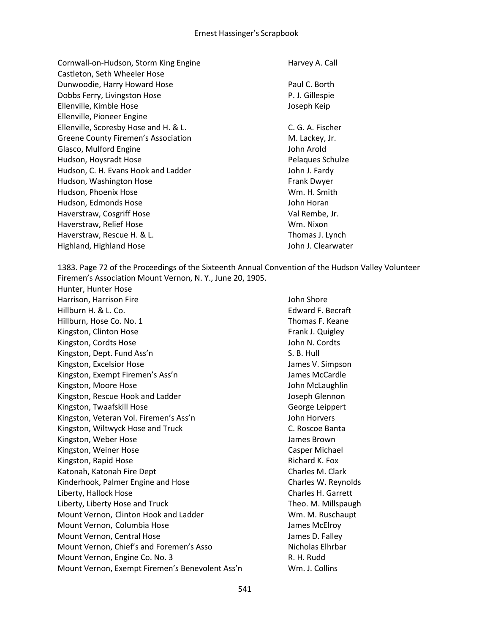Cornwall-on-Hudson, Storm King Engine **Harvey A. Call** Castleton, Seth Wheeler Hose Dunwoodie, Harry Howard Hose **Paul C. Borth** Paul C. Borth Dobbs Ferry, Livingston Hose **P. J. Gillespie** P. J. Gillespie Ellenville, Kimble Hose Joseph Keip Ellenville, Pioneer Engine Ellenville, Scoresby Hose and H. & L. C. G. A. Fischer Greene County Firemen's Association The M. Lackey, Jr. Glasco, Mulford Engine **Glasco**, Mulford Engine Hudson, Hoysradt Hose **Pelaques Schulze** Pelaques Schulze Hudson, C. H. Evans Hook and Ladder John J. Fardy Hudson, Washington Hose Frank Dwyer Hudson, Phoenix Hose Wm. H. Smith Hudson, Edmonds Hose John Horan Haverstraw, Cosgriff Hose Val Rembe, Jr. Haverstraw, Relief Hose National Communication of Muslim Wm. Nixon Haverstraw, Rescue H. & L. Thomas J. Lynch Highland, Highland Hose John J. Clearwater

1383. Page 72 of the Proceedings of the Sixteenth Annual Convention of the Hudson Valley Volunteer Firemen's Association Mount Vernon, N. Y., June 20, 1905.

Hunter, Hunter Hose Harrison, Harrison Fire **Harrison**, Harrison Fire John Shore Hillburn H. & L. Co. Edward F. Becraft Hillburn, Hose Co. No. 1 Thomas F. Keane Kingston, Clinton Hose **Frank J. Quigley** Frank J. Quigley Kingston, Cordts Hose John N. Cordts Kingston, Dept. Fund Ass'n S. B. Hull S. B. Hull Kingston, Excelsior Hose James V. Simpson Kingston, Exempt Firemen's Ass'n Sames McCardle James McCardle Kingston, Moore Hose John McLaughlin Kingston, Rescue Hook and Ladder **Glennon** Joseph Glennon Kingston, Twaafskill Hose George Leippert Kingston, Veteran Vol. Firemen's Ass'n Same Marine School John Horvers Kingston, Wiltwyck Hose and Truck C. Roscoe Banta Kingston, Weber Hose James Brown Kingston, Weiner Hose Casper Michael Kingston, Rapid Hose Richard K. Fox Katonah, Katonah Fire Dept Charles M. Clark Kinderhook, Palmer Engine and Hose Charles W. Reynolds Liberty, Hallock Hose Charles H. Garrett Liberty, Liberty Hose and Truck Theo. M. Millspaugh Mount Vernon, Clinton Hook and Ladder WM. M. Ruschaupt Mount Vernon, Columbia Hose James McElroy Mount Vernon, Central Hose James D. Falley Mount Vernon, Chief's and Foremen's Asso Nicholas Elhrbar Mount Vernon, Engine Co. No. 3 R. H. Rudd Mount Vernon, Exempt Firemen's Benevolent Ass'n Wm. J. Collins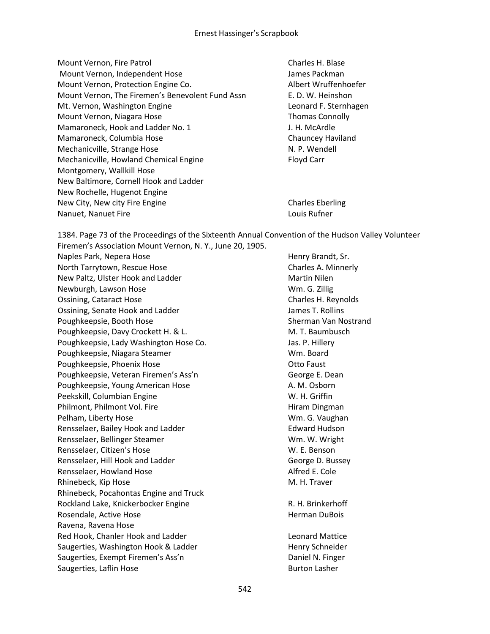Mount Vernon, Fire Patrol Charles H. Blase Mount Vernon, Independent Hose James Packman Mount Vernon, Protection Engine Co. Albert Wruffenhoefer Mount Vernon, The Firemen's Benevolent Fund Assn E. D. W. Heinshon Mt. Vernon, Washington Engine Leonard F. Sternhagen Mount Vernon, Niagara Hose Thomas Connolly Mamaroneck, Hook and Ladder No. 1 J. H. McArdle Mamaroneck, Columbia Hose Chauncey Haviland Mechanicville, Strange Hose N. P. Wendell Mechanicville, Howland Chemical Engine Floyd Carr Montgomery, Wallkill Hose New Baltimore, Cornell Hook and Ladder New Rochelle, Hugenot Engine New City, New city Fire Engine Charles Eberling Nanuet, Nanuet Fire Louis Rufner Louis Rufner

1384. Page 73 of the Proceedings of the Sixteenth Annual Convention of the Hudson Valley Volunteer Firemen's Association Mount Vernon, N. Y., June 20, 1905. Naples Park, Nepera Hose Henry Brandt, Sr.

North Tarrytown, Rescue Hose Charles A. Minnerly New Paltz, Ulster Hook and Ladder Martin Nilen Newburgh, Lawson Hose Newburgh, Lawson Hose Newburgh, Lawson Hose Newburgh, 2011 Ossining, Cataract Hose Charles H. Reynolds Ossining, Senate Hook and Ladder and Hook and Ladder James T. Rollins Poughkeepsie, Booth Hose Sherman Van Nostrand Poughkeepsie, Davy Crockett H. & L. M. M. T. Baumbusch Poughkeepsie, Lady Washington Hose Co. Show The Mass P. Hillery Poughkeepsie, Niagara Steamer Wm. Board Poughkeepsie, Phoenix Hose **Constanting Constanting Constanting Constanting Constanting Constanting Constanting Constanting Constanting Constanting Constanting Constanting Constanting Constanting Constanting Constanting Co** Poughkeepsie, Veteran Firemen's Ass'n George E. Dean Poughkeepsie, Young American Hose A. M. Osborn Peekskill, Columbian Engine W. H. Griffin Philmont, Philmont Vol. Fire **Hiram Dingman** Pelham, Liberty Hose Wm. G. Vaughan Rensselaer, Bailey Hook and Ladder **Edward Hudson** Rensselaer, Bellinger Steamer Wm. W. Wright Rensselaer, Citizen's Hose W. E. Benson Rensselaer, Hill Hook and Ladder George D. Bussey Rensselaer, Howland Hose Alfred E. Cole Rhinebeck, Kip Hose M. H. Traver Rhinebeck, Pocahontas Engine and Truck Rockland Lake, Knickerbocker Engine Theorem R. H. Brinkerhoff Rosendale, Active Hose **Herman DuBois Herman DuBois** Ravena, Ravena Hose Red Hook, Chanler Hook and Ladder **Leonard Mattice** Leonard Mattice Saugerties, Washington Hook & Ladder **Henry Schneider** Henry Schneider Saugerties, Exempt Firemen's Ass'n **Example 20** aniel N. Finger Saugerties, Laflin Hose Burton Lasher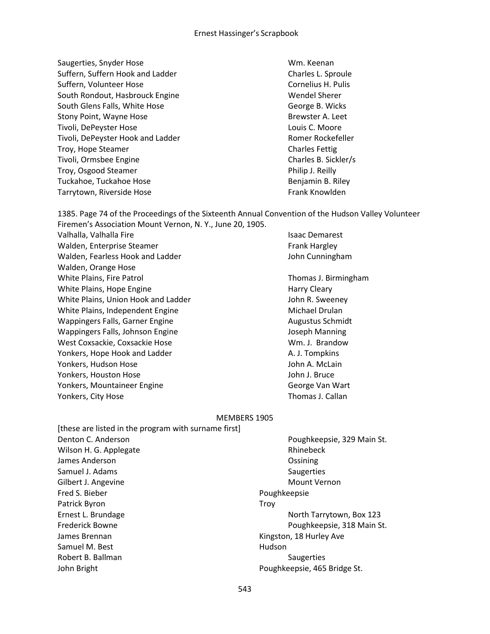Saugerties, Snyder Hose Wm. Keenan Suffern, Suffern Hook and Ladder Charles L. Sproule Suffern, Volunteer Hose Cornelius H. Pulis Cornelius H. Pulis South Rondout, Hasbrouck Engine Wendel Sherer South Glens Falls, White Hose George B. Wicks Stony Point, Wayne Hose Brewster A. Leet Tivoli, DePeyster Hose Louis C. Moore Tivoli, DePeyster Hook and Ladder **Romer Romer Rockefeller** Romer Rockefeller Troy, Hope Steamer Charles Fettig Tivoli, Ormsbee Engine Charles B. Sickler/s Troy, Osgood Steamer **Philip J. Reilly** Philip J. Reilly Tuckahoe, Tuckahoe Hose Benjamin B. Riley Tarrytown, Riverside Hose Frank Knowlden

1385. Page 74 of the Proceedings of the Sixteenth Annual Convention of the Hudson Valley Volunteer Firemen's Association Mount Vernon, N. Y., June 20, 1905.

Valhalla, Valhalla Fire **Islaming Community** Community Communist Communist Communist Communist Communist Communist Walden, Enterprise Steamer Frank Hargley Walden, Fearless Hook and Ladder **John Cunningham** Walden, Orange Hose White Plains, Fire Patrol Thomas J. Birmingham White Plains, Hope Engine Harry Cleary Harry Cleary White Plains, Union Hook and Ladder **John R. Sweeney** White Plains, Independent Engine Michael Drulan Wappingers Falls, Garner Engine Augustus Schmidt Wappingers Falls, Johnson Engine Van Hotel Boseph Manning West Coxsackie, Coxsackie Hose Wm. J. Brandow Yonkers, Hope Hook and Ladder A. J. Tompkins Yonkers, Hudson Hose John A. McLain Yonkers, Houston Hose John J. Bruce Yonkers, Mountaineer Engine George Van Wart Yonkers, City Hose Thomas J. Callan

#### MEMBERS 1905

| [these are listed in the program with surname first] |                              |
|------------------------------------------------------|------------------------------|
| Denton C. Anderson                                   | Poughkeepsie, 329 Main St.   |
| Wilson H. G. Applegate                               | Rhinebeck                    |
| James Anderson                                       | Ossining                     |
| Samuel J. Adams                                      | Saugerties                   |
| Gilbert J. Angevine                                  | Mount Vernon                 |
| Fred S. Bieber                                       | Poughkeepsie                 |
| Patrick Byron                                        | Trov                         |
| Ernest L. Brundage                                   | North Tarrytown, Box 123     |
| <b>Frederick Bowne</b>                               | Poughkeepsie, 318 Main St.   |
| James Brennan                                        | Kingston, 18 Hurley Ave      |
| Samuel M. Best                                       | Hudson                       |
| Robert B. Ballman                                    | Saugerties                   |
| John Bright                                          | Poughkeepsie, 465 Bridge St. |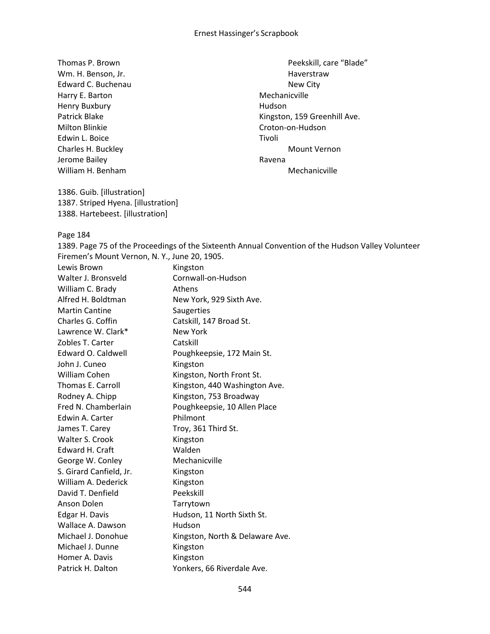Wm. H. Benson, Jr. No. 1998 and South American Mayerstraw Edward C. Buchenau New City Harry E. Barton **Mechanicville** Henry Buxbury **Human** Hudson Milton Blinkie Croton-on-Hudson Edwin L. Boice Tivoli Jerome Bailey **Ravena Ravena** William H. Benham Mechanicville

1386. Guib. [illustration] 1387. Striped Hyena. [illustration] 1388. Hartebeest. [illustration]

Thomas P. Brown **Peekskill**, care "Blade" **Peekskill**, care "Blade" Patrick Blake **Kingston**, 159 Greenhill Ave. Charles H. Buckley **Mount Vernon** 

Page 184

1389. Page 75 of the Proceedings of the Sixteenth Annual Convention of the Hudson Valley Volunteer Firemen's Mount Vernon, N. Y., June 20, 1905.

| Lewis Brown              | Kingston                        |
|--------------------------|---------------------------------|
| Walter J. Bronsveld      | Cornwall-on-Hudson              |
| William C. Brady         | <b>Athens</b>                   |
| Alfred H. Boldtman       | New York, 929 Sixth Ave.        |
| <b>Martin Cantine</b>    | Saugerties                      |
| Charles G. Coffin        | Catskill, 147 Broad St.         |
| Lawrence W. Clark*       | New York                        |
| Zobles T. Carter         | Catskill                        |
| Edward O. Caldwell       | Poughkeepsie, 172 Main St.      |
| John J. Cuneo            | Kingston                        |
| William Cohen            | Kingston, North Front St.       |
| <b>Thomas E. Carroll</b> | Kingston, 440 Washington Ave.   |
| Rodney A. Chipp          | Kingston, 753 Broadway          |
| Fred N. Chamberlain      | Poughkeepsie, 10 Allen Place    |
| Edwin A. Carter          | Philmont                        |
| James T. Carey           | Troy, 361 Third St.             |
| Walter S. Crook          | Kingston                        |
| Edward H. Craft          | Walden                          |
| George W. Conley         | Mechanicville                   |
| S. Girard Canfield, Jr.  | Kingston                        |
| William A. Dederick      | Kingston                        |
| David T. Denfield        | Peekskill                       |
| Anson Dolen              | Tarrytown                       |
| Edgar H. Davis           | Hudson, 11 North Sixth St.      |
| Wallace A. Dawson        | Hudson                          |
| Michael J. Donohue       | Kingston, North & Delaware Ave. |
| Michael J. Dunne         | Kingston                        |
| Homer A. Davis           | Kingston                        |
| Patrick H. Dalton        | Yonkers, 66 Riverdale Ave.      |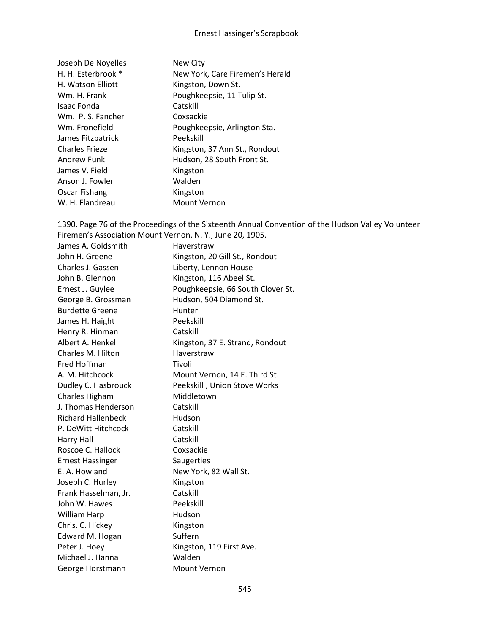| Joseph De Noyelles    | New City                        |
|-----------------------|---------------------------------|
| H. H. Esterbrook *    | New York, Care Firemen's Herald |
| H. Watson Elliott     | Kingston, Down St.              |
| Wm. H. Frank          | Poughkeepsie, 11 Tulip St.      |
| Isaac Fonda           | Catskill                        |
| Wm. P. S. Fancher     | Coxsackie                       |
| Wm. Fronefield        | Poughkeepsie, Arlington Sta.    |
| James Fitzpatrick     | Peekskill                       |
| <b>Charles Frieze</b> | Kingston, 37 Ann St., Rondout   |
| Andrew Funk           | Hudson, 28 South Front St.      |
| James V. Field        | Kingston                        |
| Anson J. Fowler       | Walden                          |
| Oscar Fishang         | Kingston                        |
| W. H. Flandreau       | <b>Mount Vernon</b>             |

1390. Page 76 of the Proceedings of the Sixteenth Annual Convention of the Hudson Valley Volunteer Firemen's Association Mount Vernon, N. Y., June 20, 1905. James A. Goldsmith Haverstraw John H. Greene Kingston, 20 Gill St., Rondout Charles J. Gassen Liberty, Lennon House John B. Glennon Kingston, 116 Abeel St. Ernest J. Guylee **Poughkeepsie, 66 South Clover St.** George B. Grossman Hudson, 504 Diamond St. Burdette Greene Funter James H. Haight Peekskill Henry R. Hinman Catskill Albert A. Henkel Kingston, 37 E. Strand, Rondout Charles M. Hilton Haverstraw Fred Hoffman Tivoli A. M. Hitchcock Mount Vernon, 14 E. Third St. Dudley C. Hasbrouck Peekskill , Union Stove Works Charles Higham Middletown J. Thomas Henderson Catskill Richard Hallenbeck Hudson P. DeWitt Hitchcock Catskill Harry Hall Catskill Roscoe C. Hallock Coxsackie Ernest Hassinger Saugerties E. A. Howland New York, 82 Wall St. Joseph C. Hurley Kingston Frank Hasselman, Jr. Catskill John W. Hawes Peekskill William Harp **Hudson** Chris. C. Hickey Kingston Edward M. Hogan Suffern Peter J. Hoey Kingston, 119 First Ave. Michael J. Hanna Walden George Horstmann Mount Vernon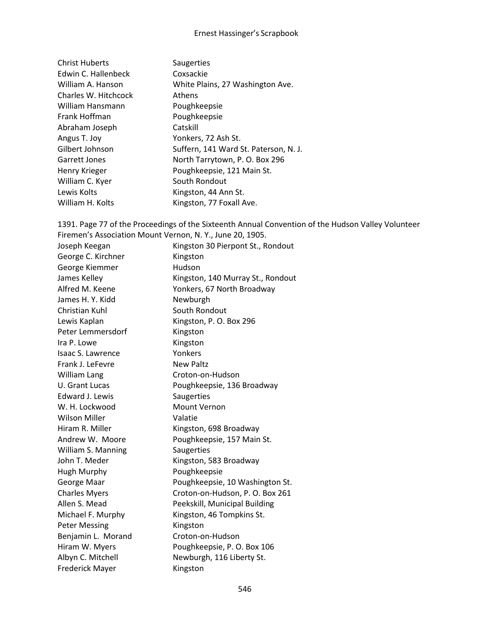| <b>Christ Huberts</b> | Saugerties                            |
|-----------------------|---------------------------------------|
| Edwin C. Hallenbeck   | Coxsackie                             |
| William A. Hanson     | White Plains, 27 Washington Ave.      |
| Charles W. Hitchcock  | <b>Athens</b>                         |
| William Hansmann      | Poughkeepsie                          |
| Frank Hoffman         | Poughkeepsie                          |
| Abraham Joseph        | Catskill                              |
| Angus T. Joy          | Yonkers, 72 Ash St.                   |
| Gilbert Johnson       | Suffern, 141 Ward St. Paterson, N. J. |
| Garrett Jones         | North Tarrytown, P. O. Box 296        |
| Henry Krieger         | Poughkeepsie, 121 Main St.            |
| William C. Kyer       | South Rondout                         |
| Lewis Kolts           | Kingston, 44 Ann St.                  |
| William H. Kolts      | Kingston, 77 Foxall Ave.              |
|                       |                                       |

1391. Page 77 of the Proceedings of the Sixteenth Annual Convention of the Hudson Valley Volunteer Firemen's Association Mount Vernon, N. Y., June 20, 1905. Joseph Keegan Kingston 30 Pierpont St., Rondout George C. Kirchner Kingston George Kiemmer **Hudson** James Kelley **Kingston, 140 Murray St., Rondout** Alfred M. Keene Yonkers, 67 North Broadway James H. Y. Kidd Newburgh Christian Kuhl South Rondout Lewis Kaplan Kingston, P. O. Box 296 Peter Lemmersdorf Kingston Ira P. Lowe Kingston Isaac S. Lawrence Yonkers Frank J. LeFevre New Paltz William Lang Croton-on-Hudson U. Grant Lucas Poughkeepsie, 136 Broadway Edward J. Lewis Saugerties W. H. Lockwood Mount Vernon Wilson Miller **Valatie** Hiram R. Miller Kingston, 698 Broadway Andrew W. Moore Poughkeepsie, 157 Main St. William S. Manning Saugerties John T. Meder Kingston, 583 Broadway Hugh Murphy Poughkeepsie George Maar **Poughkeepsie, 10 Washington St.** Charles Myers Croton-on-Hudson, P. O. Box 261 Allen S. Mead Peekskill, Municipal Building Michael F. Murphy Kingston, 46 Tompkins St. Peter Messing The Kingston Benjamin L. Morand Croton-on-Hudson Hiram W. Myers Poughkeepsie, P. O. Box 106

Albyn C. Mitchell Newburgh, 116 Liberty St. Frederick Mayer Kingston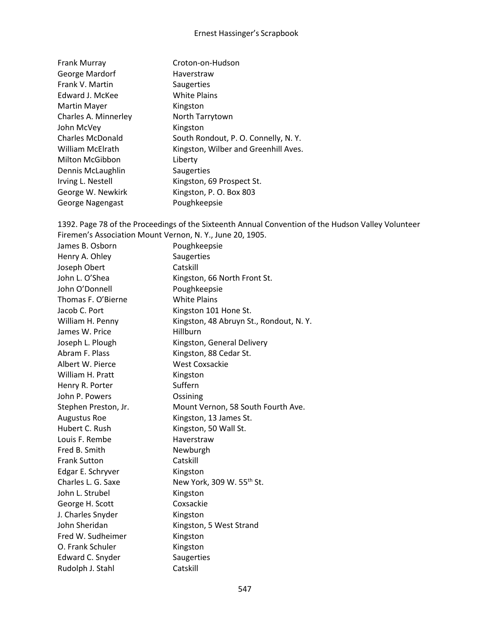| Frank Murray            | Croton-on-Hudson                     |
|-------------------------|--------------------------------------|
| George Mardorf          | Haverstraw                           |
| Frank V. Martin         | Saugerties                           |
| Edward J. McKee         | <b>White Plains</b>                  |
| <b>Martin Mayer</b>     | Kingston                             |
| Charles A. Minnerley    | North Tarrytown                      |
| John McVey              | Kingston                             |
| <b>Charles McDonald</b> | South Rondout, P. O. Connelly, N. Y. |
| William McElrath        | Kingston, Wilber and Greenhill Aves. |
| Milton McGibbon         | Liberty                              |
| Dennis McLaughlin       | Saugerties                           |
| Irving L. Nestell       | Kingston, 69 Prospect St.            |
| George W. Newkirk       | Kingston, P. O. Box 803              |
| George Nagengast        | Poughkeepsie                         |

1392. Page 78 of the Proceedings of the Sixteenth Annual Convention of the Hudson Valley Volunteer Firemen's Association Mount Vernon, N. Y., June 20, 1905. James B. Osborn Poughkeepsie Henry A. Ohley Saugerties Joseph Obert Catskill John L. O'Shea Kingston, 66 North Front St. John O'Donnell Poughkeepsie Thomas F. O'Bierne White Plains Jacob C. Port Kingston 101 Hone St. William H. Penny Kingston, 48 Abruyn St., Rondout, N.Y. James W. Price Hillburn Joseph L. Plough Kingston, General Delivery Abram F. Plass Kingston, 88 Cedar St. Albert W. Pierce West Coxsackie William H. Pratt Kingston Henry R. Porter Suffern John P. Powers **Ossining** Stephen Preston, Jr. Mount Vernon, 58 South Fourth Ave. Augustus Roe Kingston, 13 James St. Hubert C. Rush Kingston, 50 Wall St. Louis F. Rembe Haverstraw Fred B. Smith Newburgh Frank Sutton Catskill Edgar E. Schryver Kingston Charles L. G. Saxe New York, 309 W. 55<sup>th</sup> St. John L. Strubel Kingston George H. Scott Coxsackie J. Charles Snyder Kingston John Sheridan Kingston, 5 West Strand Fred W. Sudheimer Kingston O. Frank Schuler Kingston Edward C. Snyder Saugerties

Rudolph J. Stahl Catskill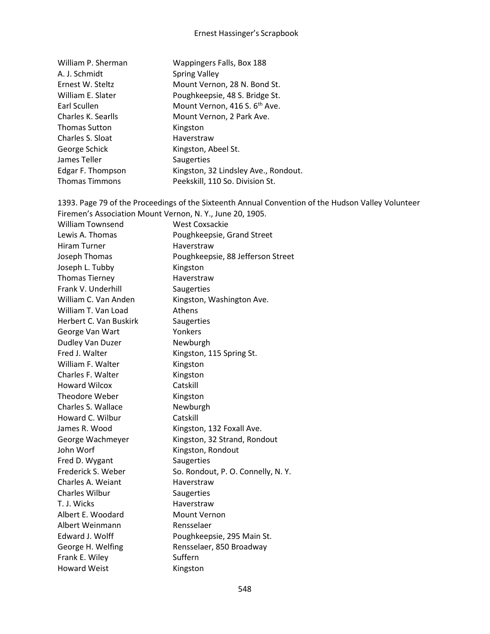| William P. Sherman    | Wappingers Falls, Box 188                 |
|-----------------------|-------------------------------------------|
| A. J. Schmidt         | <b>Spring Valley</b>                      |
| Ernest W. Steltz      | Mount Vernon, 28 N. Bond St.              |
| William E. Slater     | Poughkeepsie, 48 S. Bridge St.            |
| Earl Scullen          | Mount Vernon, 416 S. 6 <sup>th</sup> Ave. |
| Charles K. Searlls    | Mount Vernon, 2 Park Ave.                 |
| <b>Thomas Sutton</b>  | Kingston                                  |
| Charles S. Sloat      | Haverstraw                                |
| George Schick         | Kingston, Abeel St.                       |
| James Teller          | <b>Saugerties</b>                         |
| Edgar F. Thompson     | Kingston, 32 Lindsley Ave., Rondout.      |
| <b>Thomas Timmons</b> | Peekskill, 110 So. Division St.           |

1393. Page 79 of the Proceedings of the Sixteenth Annual Convention of the Hudson Valley Volunteer Firemen's Association Mount Vernon, N. Y., June 20, 1905.

| <b>William Townsend</b> | <b>West Coxsackie</b>              |
|-------------------------|------------------------------------|
| Lewis A. Thomas         | Poughkeepsie, Grand Street         |
| <b>Hiram Turner</b>     | Haverstraw                         |
| Joseph Thomas           | Poughkeepsie, 88 Jefferson Street  |
| Joseph L. Tubby         | Kingston                           |
| <b>Thomas Tierney</b>   | Haverstraw                         |
| Frank V. Underhill      | Saugerties                         |
| William C. Van Anden    | Kingston, Washington Ave.          |
| William T. Van Load     | Athens                             |
| Herbert C. Van Buskirk  | Saugerties                         |
| George Van Wart         | Yonkers                            |
| Dudley Van Duzer        | Newburgh                           |
| Fred J. Walter          | Kingston, 115 Spring St.           |
| William F. Walter       | Kingston                           |
| Charles F. Walter       | Kingston                           |
| <b>Howard Wilcox</b>    | Catskill                           |
| Theodore Weber          | Kingston                           |
| Charles S. Wallace      | Newburgh                           |
| Howard C. Wilbur        | Catskill                           |
| James R. Wood           | Kingston, 132 Foxall Ave.          |
| George Wachmeyer        | Kingston, 32 Strand, Rondout       |
| John Worf               | Kingston, Rondout                  |
| Fred D. Wygant          | Saugerties                         |
| Frederick S. Weber      | So. Rondout, P. O. Connelly, N. Y. |
| Charles A. Weiant       | Haverstraw                         |
| <b>Charles Wilbur</b>   | Saugerties                         |
| T. J. Wicks             | Haverstraw                         |
| Albert E. Woodard       | Mount Vernon                       |
| Albert Weinmann         | Rensselaer                         |
| Edward J. Wolff         | Poughkeepsie, 295 Main St.         |
| George H. Welfing       | Rensselaer, 850 Broadway           |
| Frank E. Wiley          | Suffern                            |
| <b>Howard Weist</b>     | Kingston                           |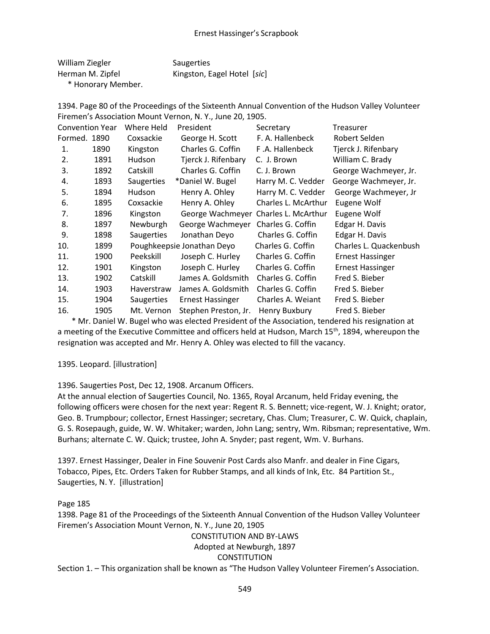| William Ziegler   | Saugerties                  |
|-------------------|-----------------------------|
| Herman M. Zipfel  | Kingston, Eagel Hotel [sic] |
| * Honorany Mombor |                             |

Honorary Member.

1394. Page 80 of the Proceedings of the Sixteenth Annual Convention of the Hudson Valley Volunteer Firemen's Association Mount Vernon, N. Y., June 20, 1905.

| <b>Convention Year</b> |      | Where Held    | President                  | Secretary           | Treasurer               |
|------------------------|------|---------------|----------------------------|---------------------|-------------------------|
| Formed. 1890           |      | Coxsackie     | George H. Scott            | F. A. Hallenbeck    | Robert Selden           |
| 1.                     | 1890 | Kingston      | Charles G. Coffin          | F.A. Hallenbeck     | Tjerck J. Rifenbary     |
| 2.                     | 1891 | <b>Hudson</b> | Tjerck J. Rifenbary        | C. J. Brown         | William C. Brady        |
| 3.                     | 1892 | Catskill      | Charles G. Coffin          | C. J. Brown         | George Wachmeyer, Jr.   |
| 4.                     | 1893 | Saugerties    | *Daniel W. Bugel           | Harry M. C. Vedder  | George Wachmeyer, Jr.   |
| 5.                     | 1894 | <b>Hudson</b> | Henry A. Ohley             | Harry M. C. Vedder  | George Wachmeyer, Jr    |
| 6.                     | 1895 | Coxsackie     | Henry A. Ohley             | Charles L. McArthur | Eugene Wolf             |
| 7.                     | 1896 | Kingston      | George Wachmeyer           | Charles L. McArthur | Eugene Wolf             |
| 8.                     | 1897 | Newburgh      | George Wachmeyer           | Charles G. Coffin   | Edgar H. Davis          |
| 9.                     | 1898 | Saugerties    | Jonathan Deyo              | Charles G. Coffin   | Edgar H. Davis          |
| 10.                    | 1899 |               | Poughkeepsie Jonathan Deyo | Charles G. Coffin   | Charles L. Quackenbush  |
| 11.                    | 1900 | Peekskill     | Joseph C. Hurley           | Charles G. Coffin   | <b>Ernest Hassinger</b> |
| 12.                    | 1901 | Kingston      | Joseph C. Hurley           | Charles G. Coffin   | <b>Ernest Hassinger</b> |
| 13.                    | 1902 | Catskill      | James A. Goldsmith         | Charles G. Coffin   | Fred S. Bieber          |
| 14.                    | 1903 | Haverstraw    | James A. Goldsmith         | Charles G. Coffin   | Fred S. Bieber          |
| 15.                    | 1904 | Saugerties    | <b>Ernest Hassinger</b>    | Charles A. Weiant   | Fred S. Bieber          |
| 16.                    | 1905 | Mt. Vernon    | Stephen Preston, Jr.       | Henry Buxbury       | Fred S. Bieber          |

 \* Mr. Daniel W. Bugel who was elected President of the Association, tendered his resignation at a meeting of the Executive Committee and officers held at Hudson, March 15<sup>th</sup>, 1894, whereupon the resignation was accepted and Mr. Henry A. Ohley was elected to fill the vacancy.

1395. Leopard. [illustration]

1396. Saugerties Post, Dec 12, 1908. Arcanum Officers.

At the annual election of Saugerties Council, No. 1365, Royal Arcanum, held Friday evening, the following officers were chosen for the next year: Regent R. S. Bennett; vice-regent, W. J. Knight; orator, Geo. B. Trumpbour; collector, Ernest Hassinger; secretary, Chas. Clum; Treasurer, C. W. Quick, chaplain, G. S. Rosepaugh, guide, W. W. Whitaker; warden, John Lang; sentry, Wm. Ribsman; representative, Wm. Burhans; alternate C. W. Quick; trustee, John A. Snyder; past regent, Wm. V. Burhans.

1397. Ernest Hassinger, Dealer in Fine Souvenir Post Cards also Manfr. and dealer in Fine Cigars, Tobacco, Pipes, Etc. Orders Taken for Rubber Stamps, and all kinds of Ink, Etc. 84 Partition St., Saugerties, N. Y. [illustration]

### Page 185

1398. Page 81 of the Proceedings of the Sixteenth Annual Convention of the Hudson Valley Volunteer Firemen's Association Mount Vernon, N. Y., June 20, 1905

# CONSTITUTION AND BY-LAWS Adopted at Newburgh, 1897 **CONSTITUTION**

Section 1. – This organization shall be known as "The Hudson Valley Volunteer Firemen's Association.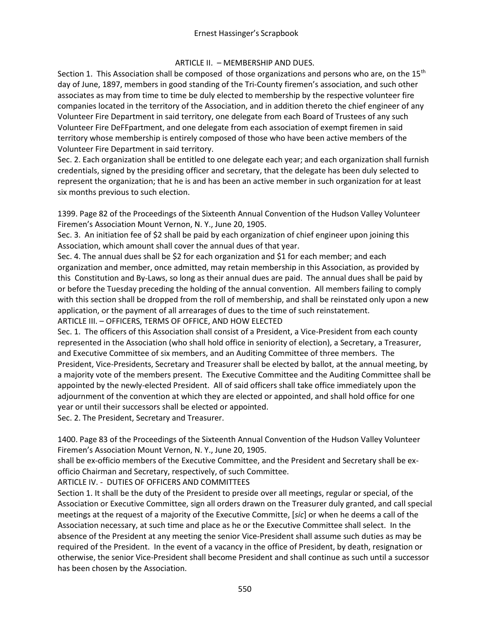# ARTICLE II. – MEMBERSHIP AND DUES.

Section 1. This Association shall be composed of those organizations and persons who are, on the  $15<sup>th</sup>$ day of June, 1897, members in good standing of the Tri-County firemen's association, and such other associates as may from time to time be duly elected to membership by the respective volunteer fire companies located in the territory of the Association, and in addition thereto the chief engineer of any Volunteer Fire Department in said territory, one delegate from each Board of Trustees of any such Volunteer Fire DeFFpartment, and one delegate from each association of exempt firemen in said territory whose membership is entirely composed of those who have been active members of the Volunteer Fire Department in said territory.

Sec. 2. Each organization shall be entitled to one delegate each year; and each organization shall furnish credentials, signed by the presiding officer and secretary, that the delegate has been duly selected to represent the organization; that he is and has been an active member in such organization for at least six months previous to such election.

1399. Page 82 of the Proceedings of the Sixteenth Annual Convention of the Hudson Valley Volunteer Firemen's Association Mount Vernon, N. Y., June 20, 1905.

Sec. 3. An initiation fee of \$2 shall be paid by each organization of chief engineer upon joining this Association, which amount shall cover the annual dues of that year.

Sec. 4. The annual dues shall be \$2 for each organization and \$1 for each member; and each organization and member, once admitted, may retain membership in this Association, as provided by this Constitution and By-Laws, so long as their annual dues are paid. The annual dues shall be paid by or before the Tuesday preceding the holding of the annual convention. All members failing to comply with this section shall be dropped from the roll of membership, and shall be reinstated only upon a new application, or the payment of all arrearages of dues to the time of such reinstatement. ARTICLE III. – OFFICERS, TERMS OF OFFICE, AND HOW ELECTED

Sec. 1. The officers of this Association shall consist of a President, a Vice-President from each county represented in the Association (who shall hold office in seniority of election), a Secretary, a Treasurer, and Executive Committee of six members, and an Auditing Committee of three members. The President, Vice-Presidents, Secretary and Treasurer shall be elected by ballot, at the annual meeting, by a majority vote of the members present. The Executive Committee and the Auditing Committee shall be appointed by the newly-elected President. All of said officers shall take office immediately upon the adjournment of the convention at which they are elected or appointed, and shall hold office for one year or until their successors shall be elected or appointed.

Sec. 2. The President, Secretary and Treasurer.

1400. Page 83 of the Proceedings of the Sixteenth Annual Convention of the Hudson Valley Volunteer Firemen's Association Mount Vernon, N. Y., June 20, 1905.

shall be ex-officio members of the Executive Committee, and the President and Secretary shall be exofficio Chairman and Secretary, respectively, of such Committee.

ARTICLE IV. - DUTIES OF OFFICERS AND COMMITTEES

Section 1. It shall be the duty of the President to preside over all meetings, regular or special, of the Association or Executive Committee, sign all orders drawn on the Treasurer duly granted, and call special meetings at the request of a majority of the Executive Committe, [*sic*] or when he deems a call of the Association necessary, at such time and place as he or the Executive Committee shall select. In the absence of the President at any meeting the senior Vice-President shall assume such duties as may be required of the President. In the event of a vacancy in the office of President, by death, resignation or otherwise, the senior Vice-President shall become President and shall continue as such until a successor has been chosen by the Association.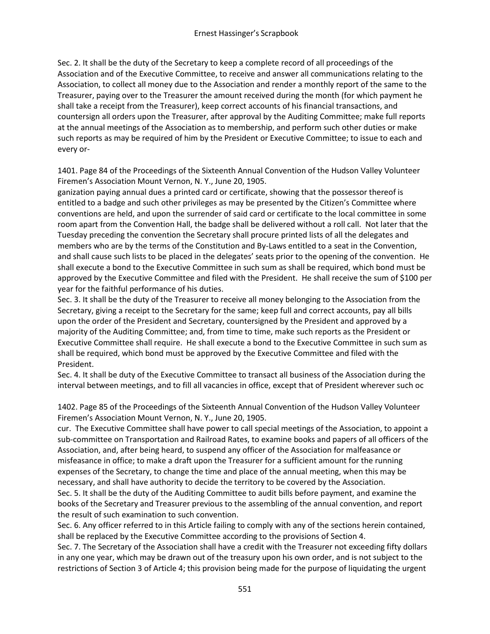Sec. 2. It shall be the duty of the Secretary to keep a complete record of all proceedings of the Association and of the Executive Committee, to receive and answer all communications relating to the Association, to collect all money due to the Association and render a monthly report of the same to the Treasurer, paying over to the Treasurer the amount received during the month (for which payment he shall take a receipt from the Treasurer), keep correct accounts of his financial transactions, and countersign all orders upon the Treasurer, after approval by the Auditing Committee; make full reports at the annual meetings of the Association as to membership, and perform such other duties or make such reports as may be required of him by the President or Executive Committee; to issue to each and every or-

1401. Page 84 of the Proceedings of the Sixteenth Annual Convention of the Hudson Valley Volunteer Firemen's Association Mount Vernon, N. Y., June 20, 1905.

ganization paying annual dues a printed card or certificate, showing that the possessor thereof is entitled to a badge and such other privileges as may be presented by the Citizen's Committee where conventions are held, and upon the surrender of said card or certificate to the local committee in some room apart from the Convention Hall, the badge shall be delivered without a roll call. Not later that the Tuesday preceding the convention the Secretary shall procure printed lists of all the delegates and members who are by the terms of the Constitution and By-Laws entitled to a seat in the Convention, and shall cause such lists to be placed in the delegates' seats prior to the opening of the convention. He shall execute a bond to the Executive Committee in such sum as shall be required, which bond must be approved by the Executive Committee and filed with the President. He shall receive the sum of \$100 per year for the faithful performance of his duties.

Sec. 3. It shall be the duty of the Treasurer to receive all money belonging to the Association from the Secretary, giving a receipt to the Secretary for the same; keep full and correct accounts, pay all bills upon the order of the President and Secretary, countersigned by the President and approved by a majority of the Auditing Committee; and, from time to time, make such reports as the President or Executive Committee shall require. He shall execute a bond to the Executive Committee in such sum as shall be required, which bond must be approved by the Executive Committee and filed with the President.

Sec. 4. It shall be duty of the Executive Committee to transact all business of the Association during the interval between meetings, and to fill all vacancies in office, except that of President wherever such oc

1402. Page 85 of the Proceedings of the Sixteenth Annual Convention of the Hudson Valley Volunteer Firemen's Association Mount Vernon, N. Y., June 20, 1905.

cur. The Executive Committee shall have power to call special meetings of the Association, to appoint a sub-committee on Transportation and Railroad Rates, to examine books and papers of all officers of the Association, and, after being heard, to suspend any officer of the Association for malfeasance or misfeasance in office; to make a draft upon the Treasurer for a sufficient amount for the running expenses of the Secretary, to change the time and place of the annual meeting, when this may be necessary, and shall have authority to decide the territory to be covered by the Association.

Sec. 5. It shall be the duty of the Auditing Committee to audit bills before payment, and examine the books of the Secretary and Treasurer previous to the assembling of the annual convention, and report the result of such examination to such convention.

Sec. 6. Any officer referred to in this Article failing to comply with any of the sections herein contained, shall be replaced by the Executive Committee according to the provisions of Section 4.

Sec. 7. The Secretary of the Association shall have a credit with the Treasurer not exceeding fifty dollars in any one year, which may be drawn out of the treasury upon his own order, and is not subject to the restrictions of Section 3 of Article 4; this provision being made for the purpose of liquidating the urgent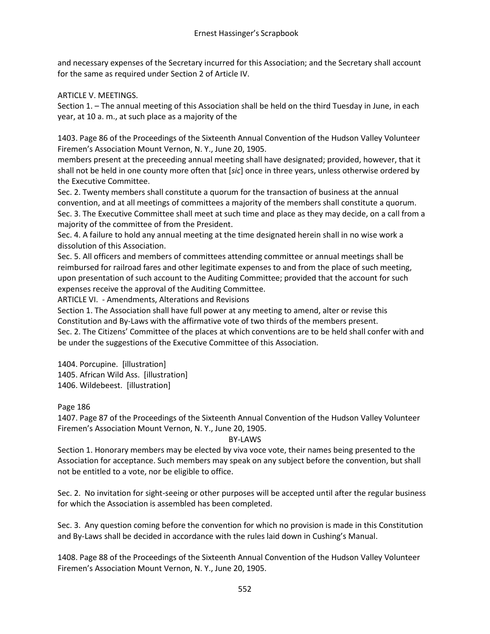and necessary expenses of the Secretary incurred for this Association; and the Secretary shall account for the same as required under Section 2 of Article IV.

ARTICLE V. MEETINGS.

Section 1. – The annual meeting of this Association shall be held on the third Tuesday in June, in each year, at 10 a. m., at such place as a majority of the

1403. Page 86 of the Proceedings of the Sixteenth Annual Convention of the Hudson Valley Volunteer Firemen's Association Mount Vernon, N. Y., June 20, 1905.

members present at the preceeding annual meeting shall have designated; provided, however, that it shall not be held in one county more often that [*sic*] once in three years, unless otherwise ordered by the Executive Committee.

Sec. 2. Twenty members shall constitute a quorum for the transaction of business at the annual convention, and at all meetings of committees a majority of the members shall constitute a quorum. Sec. 3. The Executive Committee shall meet at such time and place as they may decide, on a call from a majority of the committee of from the President.

Sec. 4. A failure to hold any annual meeting at the time designated herein shall in no wise work a dissolution of this Association.

Sec. 5. All officers and members of committees attending committee or annual meetings shall be reimbursed for railroad fares and other legitimate expenses to and from the place of such meeting, upon presentation of such account to the Auditing Committee; provided that the account for such expenses receive the approval of the Auditing Committee.

ARTICLE VI. - Amendments, Alterations and Revisions

Section 1. The Association shall have full power at any meeting to amend, alter or revise this Constitution and By-Laws with the affirmative vote of two thirds of the members present.

Sec. 2. The Citizens' Committee of the places at which conventions are to be held shall confer with and be under the suggestions of the Executive Committee of this Association.

1404. Porcupine. [illustration] 1405. African Wild Ass. [illustration] 1406. Wildebeest. [illustration]

Page 186

1407. Page 87 of the Proceedings of the Sixteenth Annual Convention of the Hudson Valley Volunteer Firemen's Association Mount Vernon, N. Y., June 20, 1905.

# BY-LAWS

Section 1. Honorary members may be elected by viva voce vote, their names being presented to the Association for acceptance. Such members may speak on any subject before the convention, but shall not be entitled to a vote, nor be eligible to office.

Sec. 2. No invitation for sight-seeing or other purposes will be accepted until after the regular business for which the Association is assembled has been completed.

Sec. 3. Any question coming before the convention for which no provision is made in this Constitution and By-Laws shall be decided in accordance with the rules laid down in Cushing's Manual.

1408. Page 88 of the Proceedings of the Sixteenth Annual Convention of the Hudson Valley Volunteer Firemen's Association Mount Vernon, N. Y., June 20, 1905.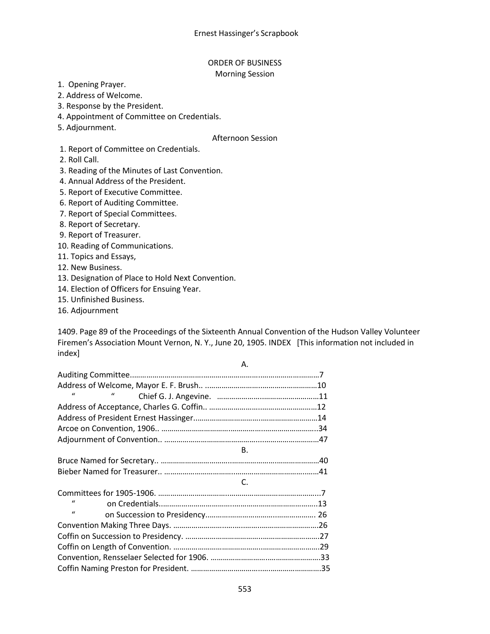### ORDER OF BUSINESS Morning Session

1. Opening Prayer.

2. Address of Welcome.

3. Response by the President.

4. Appointment of Committee on Credentials.

5. Adjournment.

### Afternoon Session

1. Report of Committee on Credentials.

2. Roll Call.

3. Reading of the Minutes of Last Convention.

4. Annual Address of the President.

5. Report of Executive Committee.

6. Report of Auditing Committee.

7. Report of Special Committees.

8. Report of Secretary.

9. Report of Treasurer.

10. Reading of Communications.

11. Topics and Essays,

12. New Business.

13. Designation of Place to Hold Next Convention.

14. Election of Officers for Ensuing Year.

15. Unfinished Business.

16. Adjournment

1409. Page 89 of the Proceedings of the Sixteenth Annual Convention of the Hudson Valley Volunteer Firemen's Association Mount Vernon, N. Y., June 20, 1905. INDEX [This information not included in index]

A.

| $\mathbf{u}$<br>$\iota$ |  |
|-------------------------|--|
|                         |  |
|                         |  |
|                         |  |
|                         |  |
| <b>B.</b>               |  |
|                         |  |
|                         |  |
| C.                      |  |
|                         |  |
| $\mathbf{u}$            |  |
| $\mathbf{u}$            |  |
|                         |  |
|                         |  |
|                         |  |
|                         |  |
|                         |  |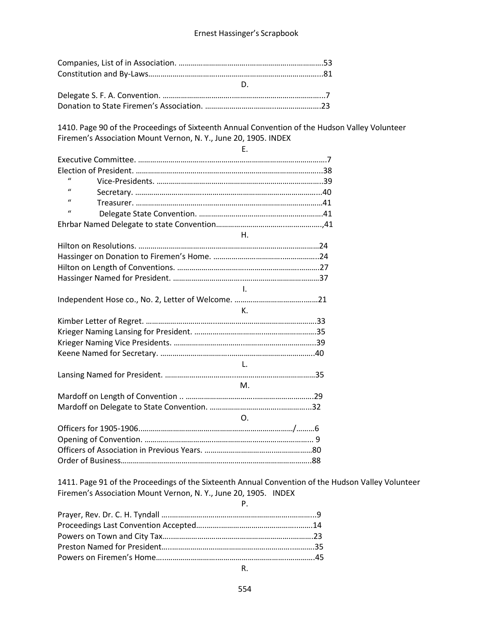1410. Page 90 of the Proceedings of Sixteenth Annual Convention of the Hudson Valley Volunteer Firemen's Association Mount Vernon, N. Y., June 20, 1905. INDEX

| $\mathbf{u}$ |             |  |
|--------------|-------------|--|
| $\mathbf{u}$ |             |  |
| $\mathbf{u}$ |             |  |
| $\mathbf{u}$ |             |  |
|              |             |  |
|              | $H_{\cdot}$ |  |
|              |             |  |
|              |             |  |
|              |             |  |
|              |             |  |
|              | $\sim 1$    |  |
|              |             |  |
|              | К.          |  |
|              |             |  |
|              |             |  |
|              |             |  |
|              |             |  |
|              | $-1.$       |  |
|              |             |  |
|              | M.          |  |
|              |             |  |
|              |             |  |
|              |             |  |
|              |             |  |
|              |             |  |
|              |             |  |
|              |             |  |
|              | $\Omega$    |  |

1411. Page 91 of the Proceedings of the Sixteenth Annual Convention of the Hudson Valley Volunteer Firemen's Association Mount Vernon, N. Y., June 20, 1905. INDEX

| $P_{\rm c}$ and $P_{\rm c}$ and $P_{\rm c}$ |  |
|---------------------------------------------|--|
|                                             |  |
|                                             |  |
|                                             |  |
|                                             |  |
|                                             |  |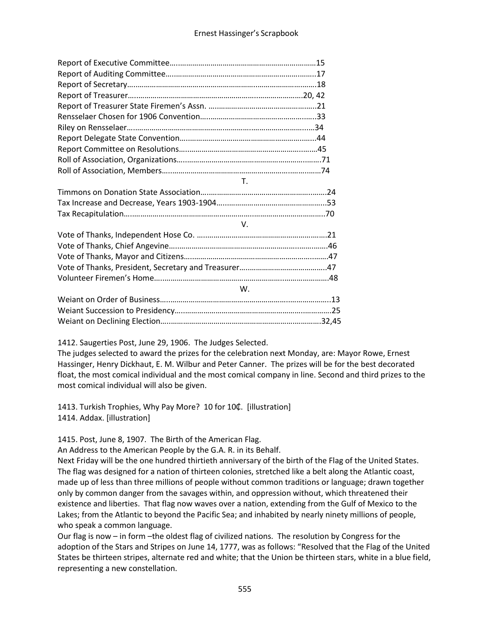| $T_{\rm c}$ |  |
|-------------|--|
|             |  |
|             |  |
|             |  |
| V.          |  |
|             |  |
|             |  |
|             |  |
|             |  |
|             |  |
| W.          |  |
|             |  |
|             |  |
|             |  |

### 1412. Saugerties Post, June 29, 1906. The Judges Selected.

The judges selected to award the prizes for the celebration next Monday, are: Mayor Rowe, Ernest Hassinger, Henry Dickhaut, E. M. Wilbur and Peter Canner. The prizes will be for the best decorated float, the most comical individual and the most comical company in line. Second and third prizes to the most comical individual will also be given.

1413. Turkish Trophies, Why Pay More? 10 for 10¢. [illustration] 1414. Addax. [illustration]

1415. Post, June 8, 1907. The Birth of the American Flag.

An Address to the American People by the G.A. R. in its Behalf.

Next Friday will be the one hundred thirtieth anniversary of the birth of the Flag of the United States. The flag was designed for a nation of thirteen colonies, stretched like a belt along the Atlantic coast, made up of less than three millions of people without common traditions or language; drawn together only by common danger from the savages within, and oppression without, which threatened their existence and liberties. That flag now waves over a nation, extending from the Gulf of Mexico to the Lakes; from the Atlantic to beyond the Pacific Sea; and inhabited by nearly ninety millions of people, who speak a common language.

Our flag is now – in form –the oldest flag of civilized nations. The resolution by Congress for the adoption of the Stars and Stripes on June 14, 1777, was as follows: "Resolved that the Flag of the United States be thirteen stripes, alternate red and white; that the Union be thirteen stars, white in a blue field, representing a new constellation.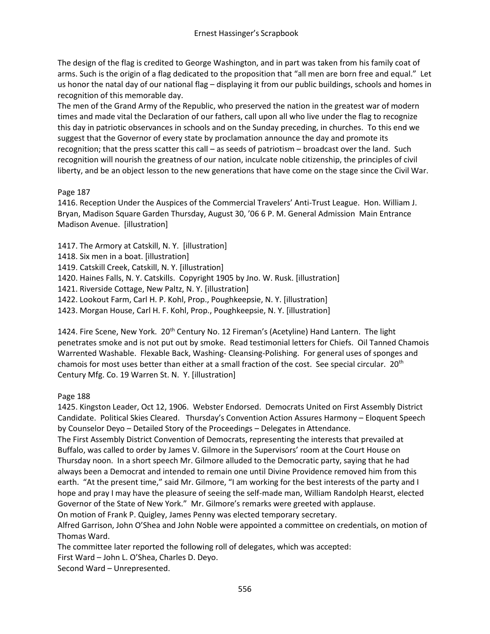The design of the flag is credited to George Washington, and in part was taken from his family coat of arms. Such is the origin of a flag dedicated to the proposition that "all men are born free and equal." Let us honor the natal day of our national flag – displaying it from our public buildings, schools and homes in recognition of this memorable day.

The men of the Grand Army of the Republic, who preserved the nation in the greatest war of modern times and made vital the Declaration of our fathers, call upon all who live under the flag to recognize this day in patriotic observances in schools and on the Sunday preceding, in churches. To this end we suggest that the Governor of every state by proclamation announce the day and promote its recognition; that the press scatter this call – as seeds of patriotism – broadcast over the land. Such recognition will nourish the greatness of our nation, inculcate noble citizenship, the principles of civil liberty, and be an object lesson to the new generations that have come on the stage since the Civil War.

# Page 187

1416. Reception Under the Auspices of the Commercial Travelers' Anti-Trust League. Hon. William J. Bryan, Madison Square Garden Thursday, August 30, '06 6 P. M. General Admission Main Entrance Madison Avenue. [illustration]

1417. The Armory at Catskill, N. Y. [illustration]

1418. Six men in a boat. [illustration]

1419. Catskill Creek, Catskill, N. Y. [illustration]

1420. Haines Falls, N. Y. Catskills. Copyright 1905 by Jno. W. Rusk. [illustration]

1421. Riverside Cottage, New Paltz, N. Y. [illustration]

1422. Lookout Farm, Carl H. P. Kohl, Prop., Poughkeepsie, N. Y. [illustration]

1423. Morgan House, Carl H. F. Kohl, Prop., Poughkeepsie, N. Y. [illustration]

1424. Fire Scene, New York. 20<sup>th</sup> Century No. 12 Fireman's (Acetyline) Hand Lantern. The light penetrates smoke and is not put out by smoke. Read testimonial letters for Chiefs. Oil Tanned Chamois Warrented Washable. Flexable Back, Washing- Cleansing-Polishing. For general uses of sponges and chamois for most uses better than either at a small fraction of the cost. See special circular. 20th Century Mfg. Co. 19 Warren St. N. Y. [illustration]

# Page 188

1425. Kingston Leader, Oct 12, 1906. Webster Endorsed. Democrats United on First Assembly District Candidate. Political Skies Cleared. Thursday's Convention Action Assures Harmony – Eloquent Speech by Counselor Deyo – Detailed Story of the Proceedings – Delegates in Attendance.

The First Assembly District Convention of Democrats, representing the interests that prevailed at Buffalo, was called to order by James V. Gilmore in the Supervisors' room at the Court House on Thursday noon. In a short speech Mr. Gilmore alluded to the Democratic party, saying that he had always been a Democrat and intended to remain one until Divine Providence removed him from this earth. "At the present time," said Mr. Gilmore, "I am working for the best interests of the party and I hope and pray I may have the pleasure of seeing the self-made man, William Randolph Hearst, elected Governor of the State of New York." Mr. Gilmore's remarks were greeted with applause. On motion of Frank P. Quigley, James Penny was elected temporary secretary.

Alfred Garrison, John O'Shea and John Noble were appointed a committee on credentials, on motion of

Thomas Ward. The committee later reported the following roll of delegates, which was accepted:

First Ward – John L. O'Shea, Charles D. Deyo.

Second Ward – Unrepresented.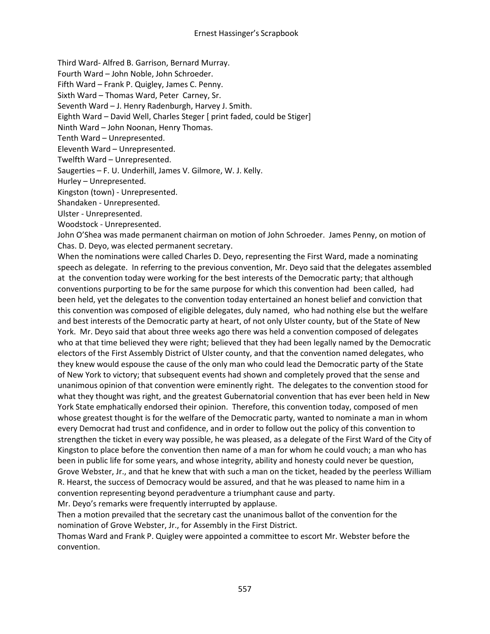Third Ward- Alfred B. Garrison, Bernard Murray.

Fourth Ward – John Noble, John Schroeder.

Fifth Ward – Frank P. Quigley, James C. Penny.

Sixth Ward – Thomas Ward, Peter Carney, Sr.

Seventh Ward – J. Henry Radenburgh, Harvey J. Smith.

Eighth Ward – David Well, Charles Steger [ print faded, could be Stiger]

Ninth Ward – John Noonan, Henry Thomas.

Tenth Ward – Unrepresented.

Eleventh Ward – Unrepresented.

Twelfth Ward – Unrepresented.

Saugerties – F. U. Underhill, James V. Gilmore, W. J. Kelly.

Hurley – Unrepresented.

Kingston (town) - Unrepresented.

Shandaken - Unrepresented.

Ulster - Unrepresented.

Woodstock - Unrepresented.

John O'Shea was made permanent chairman on motion of John Schroeder. James Penny, on motion of Chas. D. Deyo, was elected permanent secretary.

When the nominations were called Charles D. Deyo, representing the First Ward, made a nominating speech as delegate. In referring to the previous convention, Mr. Deyo said that the delegates assembled at the convention today were working for the best interests of the Democratic party; that although conventions purporting to be for the same purpose for which this convention had been called, had been held, yet the delegates to the convention today entertained an honest belief and conviction that this convention was composed of eligible delegates, duly named, who had nothing else but the welfare and best interests of the Democratic party at heart, of not only Ulster county, but of the State of New York. Mr. Deyo said that about three weeks ago there was held a convention composed of delegates who at that time believed they were right; believed that they had been legally named by the Democratic electors of the First Assembly District of Ulster county, and that the convention named delegates, who they knew would espouse the cause of the only man who could lead the Democratic party of the State of New York to victory; that subsequent events had shown and completely proved that the sense and unanimous opinion of that convention were eminently right. The delegates to the convention stood for what they thought was right, and the greatest Gubernatorial convention that has ever been held in New York State emphatically endorsed their opinion. Therefore, this convention today, composed of men whose greatest thought is for the welfare of the Democratic party, wanted to nominate a man in whom every Democrat had trust and confidence, and in order to follow out the policy of this convention to strengthen the ticket in every way possible, he was pleased, as a delegate of the First Ward of the City of Kingston to place before the convention then name of a man for whom he could vouch; a man who has been in public life for some years, and whose integrity, ability and honesty could never be question, Grove Webster, Jr., and that he knew that with such a man on the ticket, headed by the peerless William R. Hearst, the success of Democracy would be assured, and that he was pleased to name him in a convention representing beyond peradventure a triumphant cause and party.

Mr. Deyo's remarks were frequently interrupted by applause.

Then a motion prevailed that the secretary cast the unanimous ballot of the convention for the nomination of Grove Webster, Jr., for Assembly in the First District.

Thomas Ward and Frank P. Quigley were appointed a committee to escort Mr. Webster before the convention.